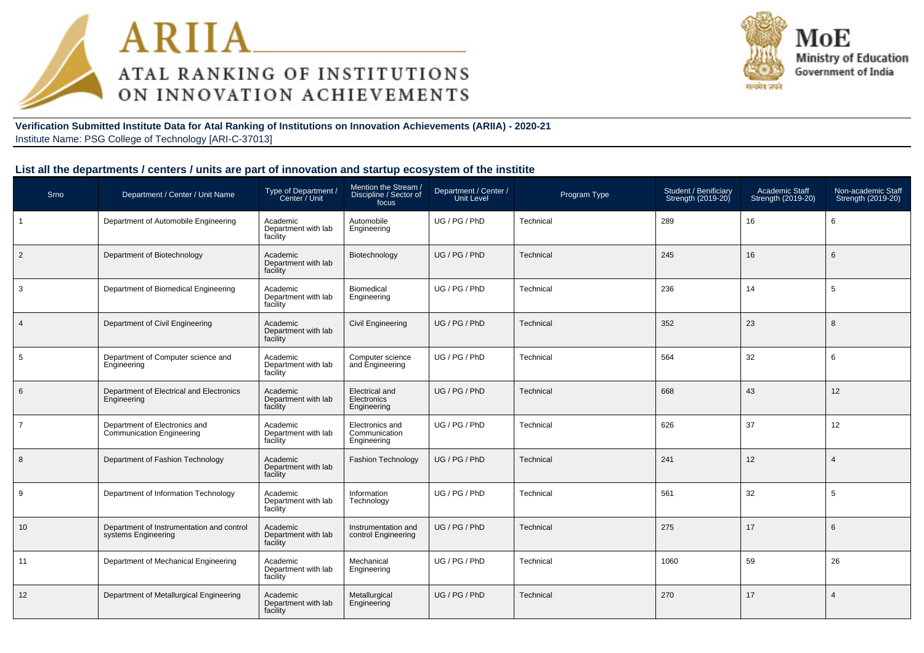



#### **Verification Submitted Institute Data for Atal Ranking of Institutions on Innovation Achievements (ARIIA) - 2020-21**Institute Name: PSG College of Technology [ARI-C-37013]

| Srno           | Department / Center / Unit Name                                                     | Mention the Stream /<br>Type of Department /<br>Center / Unit<br>Department / Center /<br>Discipline / Sector of<br>Program Type<br>Unit Level<br>focus |                                                 |                            |           | Student / Benificiary<br>Strength (2019-20) | Academic Staff<br>Strength (2019-20) | Non-academic Staff<br>Strength (2019-20) |
|----------------|-------------------------------------------------------------------------------------|---------------------------------------------------------------------------------------------------------------------------------------------------------|-------------------------------------------------|----------------------------|-----------|---------------------------------------------|--------------------------------------|------------------------------------------|
| $\overline{1}$ | Department of Automobile Engineering                                                | Academic<br>Department with lab<br>facility                                                                                                             | Automobile<br>Engineering                       | UG / PG / PhD              | Technical | 289                                         | 16                                   | 6                                        |
| $\overline{2}$ | Department of Biotechnology                                                         | Academic<br>Department with lab<br>facility                                                                                                             | Biotechnology                                   | UG / PG / PhD              | Technical | 245                                         | 16                                   | 6                                        |
| 3              | Department of Biomedical Engineering                                                | Academic<br>Department with lab<br>facility                                                                                                             | Biomedical<br>Engineering                       | UG / PG / PhD<br>Technical |           | 236                                         | 14                                   | 5                                        |
| $\overline{4}$ | Department of Civil Engineering                                                     | Academic<br>Department with lab<br>facility                                                                                                             | <b>Civil Engineering</b>                        | UG / PG / PhD              | Technical | 352                                         | 23                                   | 8                                        |
| 5              | Department of Computer science and<br>Engineering                                   | Academic<br>Department with lab<br>facility                                                                                                             | Computer science<br>and Engineering             | UG / PG / PhD              | Technical | 564                                         | 32                                   | 6                                        |
| 6              | Department of Electrical and Electronics<br>Engineering                             | Academic<br>Department with lab<br>facility                                                                                                             | Electrical and<br>Electronics<br>Engineering    | UG/PG/PhD                  | Technical | 668                                         | 43                                   | 12                                       |
| $\overline{7}$ | Department of Electronics and<br><b>Communication Engineering</b>                   | Academic<br>Department with lab<br>facility                                                                                                             | Electronics and<br>Communication<br>Engineering | UG / PG / PhD              | Technical | 626                                         | 37                                   | 12                                       |
| 8              | Department of Fashion Technology                                                    | Academic<br>Department with lab<br>facility                                                                                                             | <b>Fashion Technology</b>                       | UG / PG / PhD              | Technical | 241                                         | 12                                   | $\overline{4}$                           |
| 9              | Department of Information Technology                                                | Academic<br>Department with lab<br>facility                                                                                                             | Information<br>Technology                       | UG / PG / PhD              | Technical | 561                                         | 32                                   | 5                                        |
| 10             | Department of Instrumentation and control<br>systems Engineering                    | Academic<br>Department with lab<br>facility                                                                                                             | Instrumentation and<br>control Engineering      | UG/PG/PhD                  | Technical | 275                                         | 17                                   | 6                                        |
| 11             | Department of Mechanical Engineering<br>Academic<br>Department with lab<br>facility |                                                                                                                                                         | Mechanical<br>Engineering                       | UG / PG / PhD              | Technical | 1060                                        | 59                                   | 26                                       |
| 12             | Department of Metallurgical Engineering                                             | Academic<br>Department with lab<br>facility                                                                                                             | Metallurgical<br>Engineering                    | UG / PG / PhD              | Technical | 270                                         | 17                                   | $\overline{4}$                           |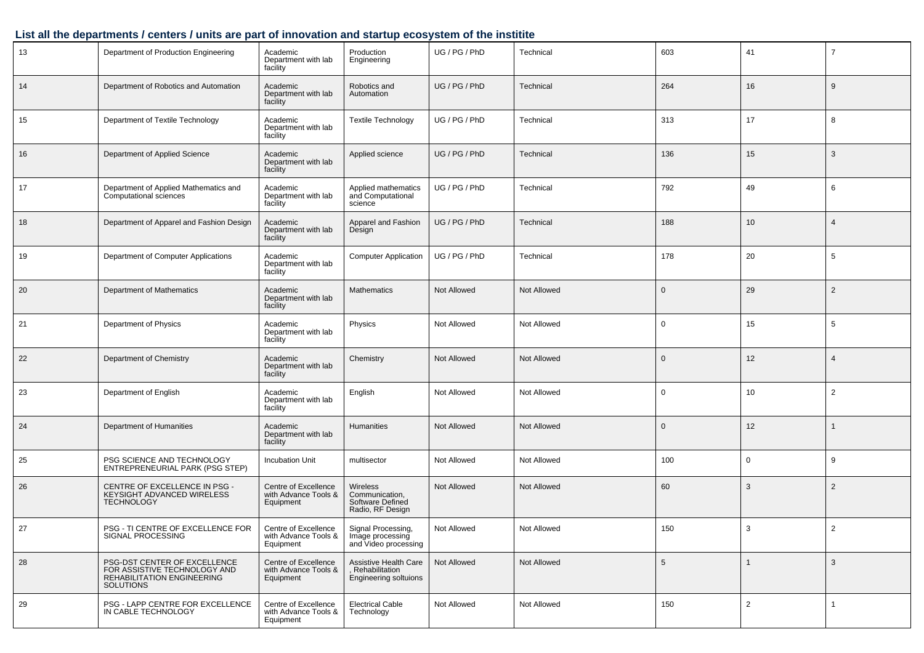| 13 | Department of Production Engineering<br>Academic<br>Department with lab<br>facility                                                                                                |                                                             | Production<br>Engineering                                                 | UG / PG / PhD | Technical   | 603             | 41             | $\overline{7}$ |
|----|------------------------------------------------------------------------------------------------------------------------------------------------------------------------------------|-------------------------------------------------------------|---------------------------------------------------------------------------|---------------|-------------|-----------------|----------------|----------------|
| 14 | Department of Robotics and Automation                                                                                                                                              | Academic<br>Department with lab<br>facility                 |                                                                           | UG / PG / PhD | Technical   | 264             | 16             | 9              |
| 15 | Department of Textile Technology                                                                                                                                                   | Academic<br>Department with lab<br>facility                 | <b>Textile Technology</b>                                                 | UG / PG / PhD | Technical   | 313             | 17             | 8              |
| 16 | Department of Applied Science                                                                                                                                                      | Academic<br>Department with lab<br>facility                 | Applied science                                                           | UG / PG / PhD | Technical   | 136             | 15             | 3              |
| 17 | Department of Applied Mathematics and<br>Computational sciences                                                                                                                    | Academic<br>Department with lab<br>facility                 | Applied mathematics<br>and Computational<br>science                       | UG / PG / PhD | Technical   | 792             | 49             | 6              |
| 18 | Department of Apparel and Fashion Design                                                                                                                                           | Academic<br>Department with lab<br>facility                 | Apparel and Fashion<br>Design                                             | UG / PG / PhD | Technical   | 188             | 10             | $\overline{4}$ |
| 19 | Department of Computer Applications                                                                                                                                                | Academic<br>Department with lab<br>facility                 | <b>Computer Application</b>                                               | UG / PG / PhD | Technical   | 178             | 20             | 5              |
| 20 | <b>Department of Mathematics</b>                                                                                                                                                   | Academic<br>Department with lab<br>facility                 | <b>Mathematics</b>                                                        | Not Allowed   | Not Allowed | $\mathbf{0}$    | 29             | 2              |
| 21 | Department of Physics                                                                                                                                                              | Academic<br>Department with lab<br>facility                 | Physics                                                                   | Not Allowed   | Not Allowed | 0               | 15             | 5              |
| 22 | Department of Chemistry                                                                                                                                                            | Academic<br>Department with lab<br>facility                 | Chemistry                                                                 | Not Allowed   | Not Allowed | $\mathbf{0}$    | 12             | $\overline{4}$ |
| 23 | Department of English                                                                                                                                                              | Academic<br>Department with lab<br>facility                 | English                                                                   | Not Allowed   | Not Allowed | 0               | 10             | $\overline{2}$ |
| 24 | Department of Humanities                                                                                                                                                           | Academic<br>Department with lab<br>facility                 | Humanities                                                                | Not Allowed   | Not Allowed | $\mathbf{0}$    | 12             |                |
| 25 | PSG SCIENCE AND TECHNOLOGY<br>ENTREPRENEURIAL PARK (PSG STEP)                                                                                                                      | Incubation Unit                                             | multisector                                                               | Not Allowed   | Not Allowed | 100             | 0              | 9              |
| 26 | CENTRE OF EXCELLENCE IN PSG -<br>KEYSIGHT ADVANCED WIRELESS<br><b>TECHNOLOGY</b>                                                                                                   | Centre of Excellence<br>with Advance Tools &<br>Equipment   | Wireless<br>Communication,<br>Software Defined<br>Radio, RF Design        | Not Allowed   | Not Allowed | 60              | 3              | 2              |
| 27 | PSG - TI CENTRE OF EXCELLENCE FOR<br>SIGNAL PROCESSING                                                                                                                             | Centre of Excellence<br>with Advance Tools & T<br>Equipment | Signal Processing,<br>Image processing<br>and Video processing            | Not Allowed   | Not Allowed | 150             | 3              | 2              |
| 28 | PSG-DST CENTER OF EXCELLENCE<br>Centre of Excellence<br>FOR ASSISTIVE TECHNOLOGY AND<br>with Advance Tools &<br><b>REHABILITATION ENGINEERING</b><br>Equipment<br><b>SOLUTIONS</b> |                                                             | Assistive Health Care<br>, Rehabilitation<br><b>Engineering soltuions</b> | Not Allowed   | Not Allowed | $5\phantom{.0}$ |                | $\mathbf{3}$   |
| 29 | PSG - LAPP CENTRE FOR EXCELLENCE<br>Centre of Excellence<br>IN CABLE TECHNOLOGY<br>with Advance Tools &<br>Equipment                                                               |                                                             | <b>Electrical Cable</b><br>Technology                                     | Not Allowed   | Not Allowed | 150             | $\overline{2}$ | $\overline{1}$ |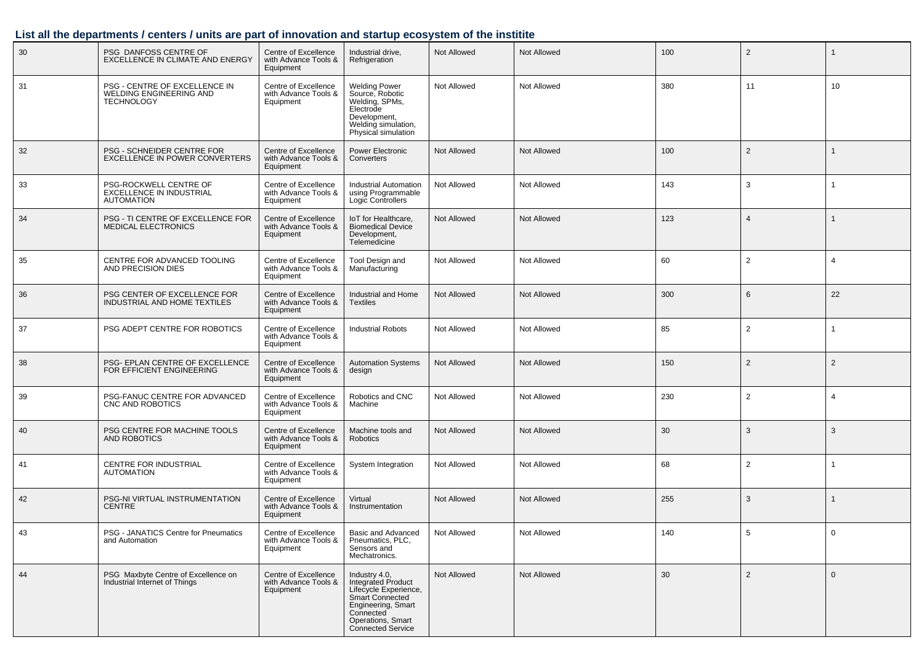| 30 | PSG DANFOSS CENTRE OF<br>EXCELLENCE IN CLIMATE AND ENERGY                     | Centre of Excellence<br>with Advance Tools &<br>Equipment | Industrial drive,<br>Refrigeration                                                                                                                                  | Not Allowed        | Not Allowed        | 100 | 2              |                |
|----|-------------------------------------------------------------------------------|-----------------------------------------------------------|---------------------------------------------------------------------------------------------------------------------------------------------------------------------|--------------------|--------------------|-----|----------------|----------------|
| 31 | PSG - CENTRE OF EXCELLENCE IN<br>WELDING ENGINEERING AND<br><b>TECHNOLOGY</b> | Centre of Excellence<br>with Advance Tools &<br>Equipment | <b>Welding Power</b><br>Source, Robotic<br>Welding, SPMs,<br>Electrode<br>Development,<br>Welding simulation,<br>Physical simulation                                | Not Allowed        | Not Allowed        | 380 | 11             | 10             |
| 32 | PSG - SCHNEIDER CENTRE FOR<br><b>EXCELLENCE IN POWER CONVERTERS</b>           | Centre of Excellence<br>with Advance Tools &<br>Equipment | Power Electronic<br>Converters                                                                                                                                      | Not Allowed        | Not Allowed        | 100 | $\overline{2}$ |                |
| 33 | PSG-ROCKWELL CENTRE OF<br><b>EXCELLENCE IN INDUSTRIAL</b><br>AUTOMATION       | Centre of Excellence<br>with Advance Tools &<br>Equipment | <b>Industrial Automation</b><br>using Programmable<br>Logic Controllers                                                                                             | Not Allowed        | Not Allowed        | 143 | 3              |                |
| 34 | PSG - TI CENTRE OF EXCELLENCE FOR<br><b>MEDICAL ELECTRONICS</b>               | Centre of Excellence<br>with Advance Tools &<br>Equipment | IoT for Healthcare,<br><b>Biomedical Device</b><br>Development,<br>Telemedicine                                                                                     | <b>Not Allowed</b> | <b>Not Allowed</b> | 123 | $\overline{4}$ |                |
| 35 | CENTRE FOR ADVANCED TOOLING<br>AND PRECISION DIES                             | Centre of Excellence<br>with Advance Tools &<br>Equipment | Tool Design and<br>Manufacturing                                                                                                                                    | Not Allowed        | Not Allowed        | 60  | $\overline{2}$ | $\overline{4}$ |
| 36 | PSG CENTER OF EXCELLENCE FOR<br>INDUSTRIAL AND HOME TEXTILES                  | Centre of Excellence<br>with Advance Tools &<br>Equipment | Industrial and Home<br><b>Textiles</b>                                                                                                                              | Not Allowed        | Not Allowed        | 300 | 6              | 22             |
| 37 | PSG ADEPT CENTRE FOR ROBOTICS                                                 | Centre of Excellence<br>with Advance Tools &<br>Equipment | <b>Industrial Robots</b>                                                                                                                                            | Not Allowed        | Not Allowed        | 85  | $\overline{2}$ |                |
| 38 | PSG- EPLAN CENTRE OF EXCELLENCE<br>FOR EFFICIENT ENGINEERING                  | Centre of Excellence<br>with Advance Tools &<br>Equipment | <b>Automation Systems</b><br>design                                                                                                                                 | Not Allowed        | <b>Not Allowed</b> | 150 | $\overline{2}$ | $\overline{2}$ |
| 39 | PSG-FANUC CENTRE FOR ADVANCED<br>CNC AND ROBOTICS                             | Centre of Excellence<br>with Advance Tools &<br>Equipment | Robotics and CNC<br>Machine                                                                                                                                         | Not Allowed        | Not Allowed        | 230 | $\overline{2}$ | $\overline{4}$ |
| 40 | PSG CENTRE FOR MACHINE TOOLS<br><b>AND ROBOTICS</b>                           | Centre of Excellence<br>with Advance Tools &<br>Equipment | Machine tools and<br>Robotics                                                                                                                                       | Not Allowed        | Not Allowed        | 30  | 3              | 3              |
| 41 | CENTRE FOR INDUSTRIAL<br><b>AUTOMATION</b>                                    | Centre of Excellence<br>with Advance Tools &<br>Equipment | System Integration                                                                                                                                                  | Not Allowed        | Not Allowed        | 68  | $\overline{2}$ |                |
| 42 | PSG-NI VIRTUAL INSTRUMENTATION<br><b>CENTRE</b>                               | Centre of Excellence<br>with Advance Tools &<br>Equipment | Virtual<br>Instrumentation                                                                                                                                          | Not Allowed        | Not Allowed        | 255 | 3              |                |
| 43 | PSG - JANATICS Centre for Pneumatics<br>and Automation                        | Centre of Excellence<br>with Advance Tools &<br>Equipment | Basic and Advanced<br>Pneumatics, PLC,<br>Sensors and<br>Mechatronics.                                                                                              | Not Allowed        | Not Allowed        | 140 | 5              | $\mathbf 0$    |
| 44 | PSG Maxbyte Centre of Excellence on<br>Industrial Internet of Things          | Centre of Excellence<br>with Advance Tools &<br>Equipment | Industry 4.0,<br>Integrated Product<br>Lifecycle Experience,<br>Smart Connected<br>Engineering, Smart<br>Connected<br>Operations, Smart<br><b>Connected Service</b> | Not Allowed        | Not Allowed        | 30  | $\overline{2}$ | $\mathbf 0$    |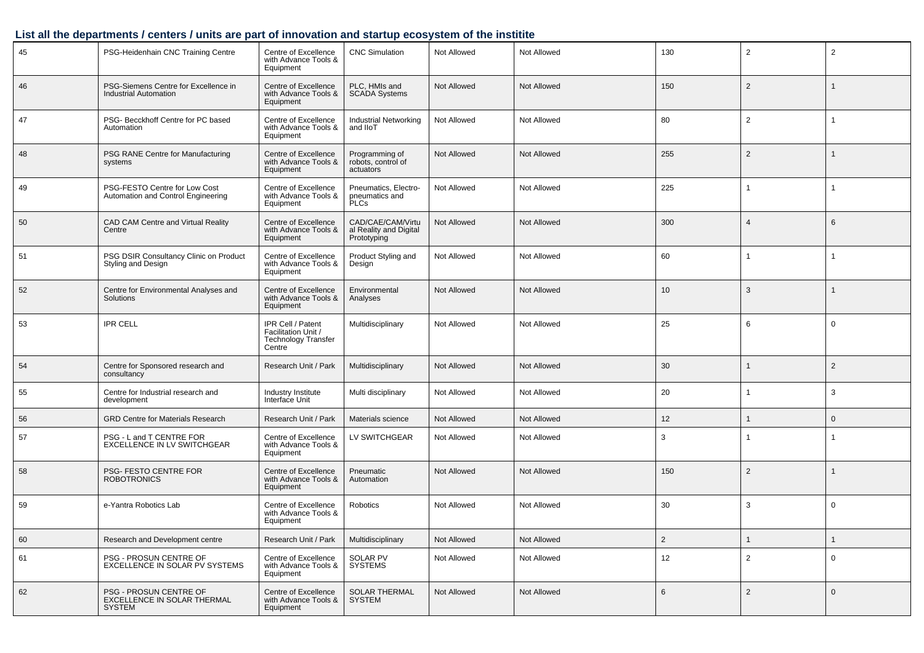| 45 | PSG-Heidenhain CNC Training Centre                                     | Centre of Excellence<br>with Advance Tools &<br>Equipment                        | <b>CNC Simulation</b>                                      | Not Allowed | Not Allowed        | 130            | 2              | $\overline{2}$ |
|----|------------------------------------------------------------------------|----------------------------------------------------------------------------------|------------------------------------------------------------|-------------|--------------------|----------------|----------------|----------------|
| 46 | PSG-Siemens Centre for Excellence in<br><b>Industrial Automation</b>   | Centre of Excellence<br>with Advance Tools &<br>Equipment                        | PLC, HMIs and<br><b>SCADA Systems</b>                      | Not Allowed | Not Allowed        | 150            | $\overline{2}$ |                |
| 47 | PSG- Becckhoff Centre for PC based<br>Automation                       | Centre of Excellence<br>with Advance Tools &<br>Equipment                        | <b>Industrial Networking</b><br>and IIoT                   | Not Allowed | Not Allowed        | 80             | $\overline{2}$ |                |
| 48 | PSG RANE Centre for Manufacturing<br>systems                           | Centre of Excellence<br>with Advance Tools &<br>Equipment                        | Programming of<br>robots, control of<br>actuators          | Not Allowed | Not Allowed        | 255            | $\overline{2}$ |                |
| 49 | PSG-FESTO Centre for Low Cost<br>Automation and Control Engineering    | Centre of Excellence<br>with Advance Tools &<br>Equipment                        | Pneumatics, Electro-<br>pneumatics and<br><b>PLCs</b>      | Not Allowed | Not Allowed        | 225            |                | $\overline{1}$ |
| 50 | CAD CAM Centre and Virtual Reality<br>Centre                           | Centre of Excellence<br>with Advance Tools &<br>Equipment                        | CAD/CAE/CAM/Virtu<br>al Reality and Digital<br>Prototyping | Not Allowed | <b>Not Allowed</b> | 300            | $\overline{4}$ | 6              |
| 51 | PSG DSIR Consultancy Clinic on Product<br>Styling and Design           | Centre of Excellence<br>with Advance Tools &<br>Equipment                        | Product Styling and<br>Design                              | Not Allowed | Not Allowed        | 60             | $\mathbf{1}$   | $\mathbf{1}$   |
| 52 | Centre for Environmental Analyses and<br>Solutions                     | Centre of Excellence<br>with Advance Tools &<br>Equipment                        | Environmental<br>Analyses                                  | Not Allowed | Not Allowed        | 10             | 3              | $\mathbf{1}$   |
| 53 | <b>IPR CELL</b>                                                        | IPR Cell / Patent<br>Facilitation Unit /<br><b>Technology Transfer</b><br>Centre | Multidisciplinary                                          | Not Allowed | Not Allowed        | 25             | 6              | $\mathbf 0$    |
| 54 | Centre for Sponsored research and<br>consultancy                       | Research Unit / Park                                                             | Multidisciplinary                                          | Not Allowed | Not Allowed        | 30             |                | $\overline{2}$ |
| 55 | Centre for Industrial research and<br>development                      | Industry Institute<br>Interface Unit                                             | Multi disciplinary                                         | Not Allowed | Not Allowed        | 20             | -1             | 3              |
| 56 | <b>GRD Centre for Materials Research</b>                               | Research Unit / Park                                                             | Materials science                                          | Not Allowed | Not Allowed        | 12             |                | $\mathbf 0$    |
| 57 | PSG - L and T CENTRE FOR<br>EXCELLENCE IN LV SWITCHGEAR                | Centre of Excellence<br>with Advance Tools &<br>Equipment                        | LV SWITCHGEAR                                              | Not Allowed | Not Allowed        | 3              |                | -1             |
| 58 | PSG- FESTO CENTRE FOR<br><b>ROBOTRONICS</b>                            | Centre of Excellence<br>with Advance Tools &<br>Equipment                        | Pneumatic<br>Automation                                    | Not Allowed | <b>Not Allowed</b> | 150            | $\overline{2}$ | 1              |
| 59 | e-Yantra Robotics Lab                                                  | Centre of Excellence<br>with Advance Tools &<br>Equipment                        | Robotics                                                   | Not Allowed | Not Allowed        | 30             | 3              | $\mathbf 0$    |
| 60 | Research and Development centre                                        | Research Unit / Park                                                             | Multidisciplinary                                          | Not Allowed | Not Allowed        | $\overline{2}$ |                | $\mathbf{1}$   |
| 61 | PSG - PROSUN CENTRE OF<br>EXCELLENCE IN SOLAR PV SYSTEMS               | Centre of Excellence<br>with Advance Tools &<br>Equipment                        | <b>SOLAR PV</b><br><b>SYSTEMS</b>                          | Not Allowed | Not Allowed        | 12             | $\overline{2}$ | $\mathbf 0$    |
| 62 | PSG - PROSUN CENTRE OF<br>EXCELLENCE IN SOLAR THERMAL<br><b>SYSTEM</b> | Centre of Excellence<br>with Advance Tools &<br>Equipment                        | <b>SOLAR THERMAL</b><br><b>SYSTEM</b>                      | Not Allowed | Not Allowed        | 6              | $\overline{2}$ | $\mathbf 0$    |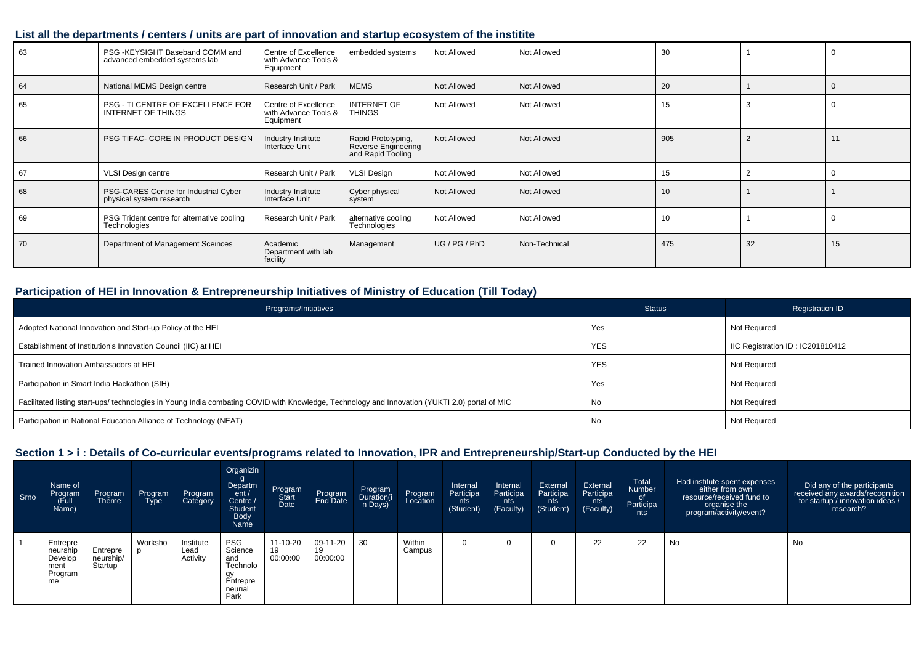| 63 | PSG -KEYSIGHT Baseband COMM and<br>advanced embedded systems lab  | Centre of Excellence<br>with Advance Tools &<br>Equipment | embedded systems                                               | Not Allowed | Not Allowed        | 30  |    |    |
|----|-------------------------------------------------------------------|-----------------------------------------------------------|----------------------------------------------------------------|-------------|--------------------|-----|----|----|
| 64 | National MEMS Design centre                                       | Research Unit / Park                                      | <b>MEMS</b>                                                    | Not Allowed | <b>Not Allowed</b> | 20  |    |    |
| 65 | PSG - TI CENTRE OF EXCELLENCE FOR<br>INTERNET OF THINGS           | Centre of Excellence<br>with Advance Tools &<br>Equipment | <b>INTERNET OF</b><br><b>THINGS</b>                            | Not Allowed | Not Allowed        | 15  |    |    |
| 66 | PSG TIFAC- CORE IN PRODUCT DESIGN                                 | Industry Institute<br>Interface Unit                      | Rapid Prototyping,<br>Reverse Engineering<br>and Rapid Tooling | Not Allowed | <b>Not Allowed</b> | 905 |    | 11 |
| 67 | <b>VLSI Design centre</b>                                         | Research Unit / Park                                      | <b>VLSI Design</b>                                             | Not Allowed | Not Allowed        | 15  |    |    |
| 68 | PSG-CARES Centre for Industrial Cyber<br>physical system research | Industry Institute<br>Interface Unit                      | Cyber physical<br>system                                       | Not Allowed | <b>Not Allowed</b> | 10  |    |    |
| 69 | PSG Trident centre for alternative cooling<br>Technologies        | Research Unit / Park                                      | alternative cooling<br>Technologies                            | Not Allowed | Not Allowed        | 10  |    |    |
| 70 | Department of Management Sceinces                                 | Academic<br>Department with lab<br>facility               | Management                                                     | UG/PG/PhD   | Non-Technical      | 475 | 32 | 15 |

#### **Participation of HEI in Innovation & Entrepreneurship Initiatives of Ministry of Education (Till Today)**

| Programs/Initiatives                                                                                                                           | Status     | <b>Registration ID</b>           |
|------------------------------------------------------------------------------------------------------------------------------------------------|------------|----------------------------------|
| Adopted National Innovation and Start-up Policy at the HEI                                                                                     | Yes        | Not Required                     |
| Establishment of Institution's Innovation Council (IIC) at HEI                                                                                 | <b>YES</b> | IIC Registration ID: IC201810412 |
| Trained Innovation Ambassadors at HEI                                                                                                          | <b>YES</b> | Not Required                     |
| Participation in Smart India Hackathon (SIH)                                                                                                   | Yes        | Not Required                     |
| Facilitated listing start-ups/ technologies in Young India combating COVID with Knowledge, Technology and Innovation (YUKTI 2.0) portal of MIC | No         | Not Required                     |
| Participation in National Education Alliance of Technology (NEAT)                                                                              | No         | <b>Not Required</b>              |

#### **Section 1 > i : Details of Co-curricular events/programs related to Innovation, IPR and Entrepreneurship/Start-up Conducted by the HEI**

| Srno | Name of<br>Program<br>Full)<br>Name)                     | Program<br>Theme                 | Program<br>Type | Program<br>Category           | Organizin<br>్ర<br>Departm<br>ent/<br>Centre /<br><b>Student</b><br><b>Body</b><br>Name | Program<br>Start<br>Date   | Program<br>End Date        | Program<br>Duration(i<br>n Days) | Program          | Internal<br>Participa<br>nts<br>(Student) | Internal<br>Participa<br>nts<br>(Faculty) | External<br>Participa<br>nts<br>(Student) | External<br>Participa<br>nts<br>(Faculty) | Total<br>Number<br>0f<br>Participa<br>nts | Had institute spent expenses<br>either from own<br>resource/received fund to<br>organise the<br>program/activity/event? | Did any of the participants<br>received any awards/recognition<br>for startup / innovation ideas /<br>research? |
|------|----------------------------------------------------------|----------------------------------|-----------------|-------------------------------|-----------------------------------------------------------------------------------------|----------------------------|----------------------------|----------------------------------|------------------|-------------------------------------------|-------------------------------------------|-------------------------------------------|-------------------------------------------|-------------------------------------------|-------------------------------------------------------------------------------------------------------------------------|-----------------------------------------------------------------------------------------------------------------|
|      | Entrepre<br>neurship<br>Develop<br>ment<br>Program<br>me | Entrepre<br>neurship/<br>Startup | Worksho         | Institute<br>Lead<br>Activity | <b>PSG</b><br>Science<br>and<br>Technolo<br>gу<br>Entrepre<br>neurial<br>Park           | 11-10-20<br>19<br>00:00:00 | 09-11-20<br>19<br>00:00:00 | 30                               | Within<br>Campus |                                           |                                           |                                           | 22                                        | 22                                        | No                                                                                                                      | No                                                                                                              |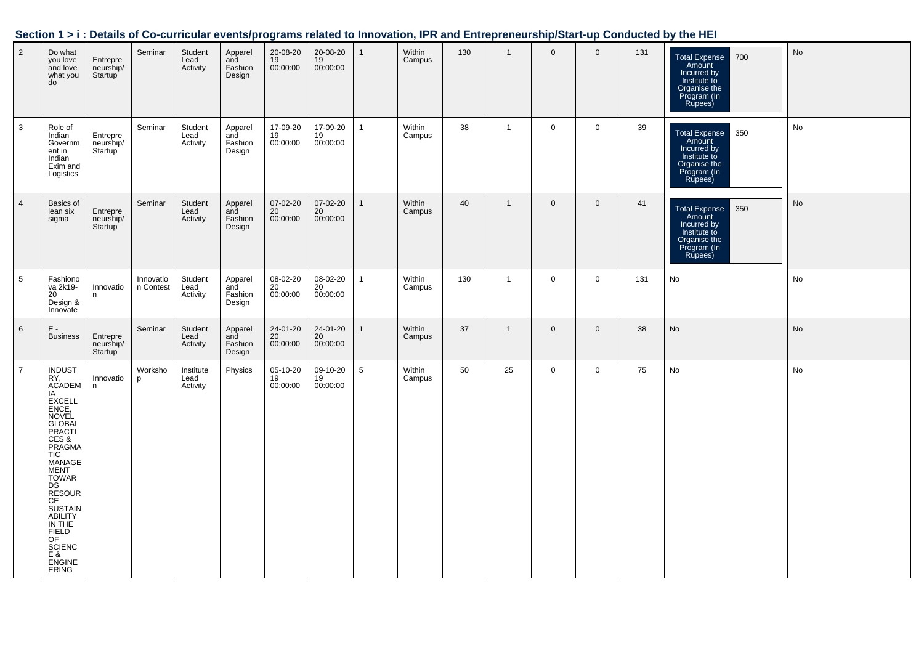| Section 1 > i : Details of Co-curricular events/programs related to Innovation, IPR and Entrepreneurship/Start-up Conducted by the HEI |  |
|----------------------------------------------------------------------------------------------------------------------------------------|--|
|                                                                                                                                        |  |

| $\overline{2}$ | Do what<br>you love<br>and love<br>what you<br>do                                                                                                                                                                                                                                                                                             | Entrepre<br>neurship/<br>Startup <sup>1</sup> | Seminar                | Student<br>Lead<br>Activity   | Apparel<br>and<br>Fashion<br>Design | 20-08-20<br>19<br>00:00:00 | 20-08-20<br>19<br>00:00:00 | $\mathbf{1}$   | Within<br>Campus | 130 | $\mathbf{1}$   | $\mathbf 0$ | $\mathbf 0$ | 131 | 700<br><b>Total Expense</b><br>Amount<br>Incurred by<br>Institute to<br>Organise the<br>Program (In<br>Rupees) | No |
|----------------|-----------------------------------------------------------------------------------------------------------------------------------------------------------------------------------------------------------------------------------------------------------------------------------------------------------------------------------------------|-----------------------------------------------|------------------------|-------------------------------|-------------------------------------|----------------------------|----------------------------|----------------|------------------|-----|----------------|-------------|-------------|-----|----------------------------------------------------------------------------------------------------------------|----|
| 3              | Role of<br>Indian<br>Governm<br>ent in<br>Indian<br>Exim and<br>Logistics                                                                                                                                                                                                                                                                     | Entrepre<br>neurship/<br>Startup <sup>'</sup> | Seminar                | Student<br>Lead<br>Activity   | Apparel<br>and<br>Fashion<br>Design | 17-09-20<br>19<br>00:00:00 | 17-09-20<br>19<br>00:00:00 | $\mathbf{1}$   | Within<br>Campus | 38  | $\overline{1}$ | $\mathbf 0$ | $\mathbf 0$ | 39  | 350<br><b>Total Expense</b><br>Amount<br>Incurred by<br>Institute to<br>Organise the<br>Program (In<br>Rupees) | No |
| $\overline{4}$ | Basics of<br>lean six<br>sigma                                                                                                                                                                                                                                                                                                                | Entrepre<br>neurship/<br><b>Startup</b>       | Seminar                | Student<br>Lead<br>Activity   | Apparel<br>and<br>Fashion<br>Design | 07-02-20<br>20<br>00:00:00 | 07-02-20<br>20<br>00:00:00 | $\mathbf{1}$   | Within<br>Campus | 40  | $\overline{1}$ | $\mathbf 0$ | $\mathbf 0$ | 41  | <b>Total Expense</b><br>350<br>Amount<br>Incurred by<br>Institute to<br>Organise the<br>Program (In<br>Rupees) | No |
| 5              | Fashiono<br>va 2k19-<br>20<br>Design &<br>Innovate                                                                                                                                                                                                                                                                                            | Innovatio<br>n                                | Innovatio<br>n Contest | Student<br>Lead<br>Activity   | Apparel<br>and<br>Fashion<br>Design | 08-02-20<br>20<br>00:00:00 | 08-02-20<br>20<br>00:00:00 | $\mathbf{1}$   | Within<br>Campus | 130 | $\mathbf{1}$   | $\mathbf 0$ | $\mathbf 0$ | 131 | No                                                                                                             | No |
| 6              | $E -$<br><b>Business</b>                                                                                                                                                                                                                                                                                                                      | Entrepre<br>neurship/<br>Startup              | Seminar                | Student<br>Lead<br>Activity   | Apparel<br>and<br>Fashion<br>Design | 24-01-20<br>20<br>00:00:00 | 24-01-20<br>20<br>00:00:00 | $\overline{1}$ | Within<br>Campus | 37  | $\overline{1}$ | $\mathbf 0$ | $\mathbf 0$ | 38  | No                                                                                                             | No |
| $\overline{7}$ | <b>INDUST</b><br>RY.<br><b>ACADEM</b><br>IA<br><b>EXCELL</b><br>ENCE,<br><b>NOVEL</b><br><b>GLOBAL</b><br>PRACTI<br>CES &<br><b>PRAGMA</b><br><b>TIC</b><br>MANAGE<br><b>MENT</b><br><b>TOWAR</b><br>DS<br>RESOUR<br>CE<br><b>SUSTAIN</b><br>ABILITY<br>IN THE<br><b>FIELD</b><br>OF<br><b>SCIENC</b><br>E &<br><b>ENGINE</b><br><b>ERING</b> | Innovatio<br>n                                | Worksho<br>p           | Institute<br>Lead<br>Activity | Physics                             | 05-10-20<br>19<br>00:00:00 | 09-10-20<br>19<br>00:00:00 | 5              | Within<br>Campus | 50  | 25             | $\mathbf 0$ | $\mathbf 0$ | 75  | No                                                                                                             | No |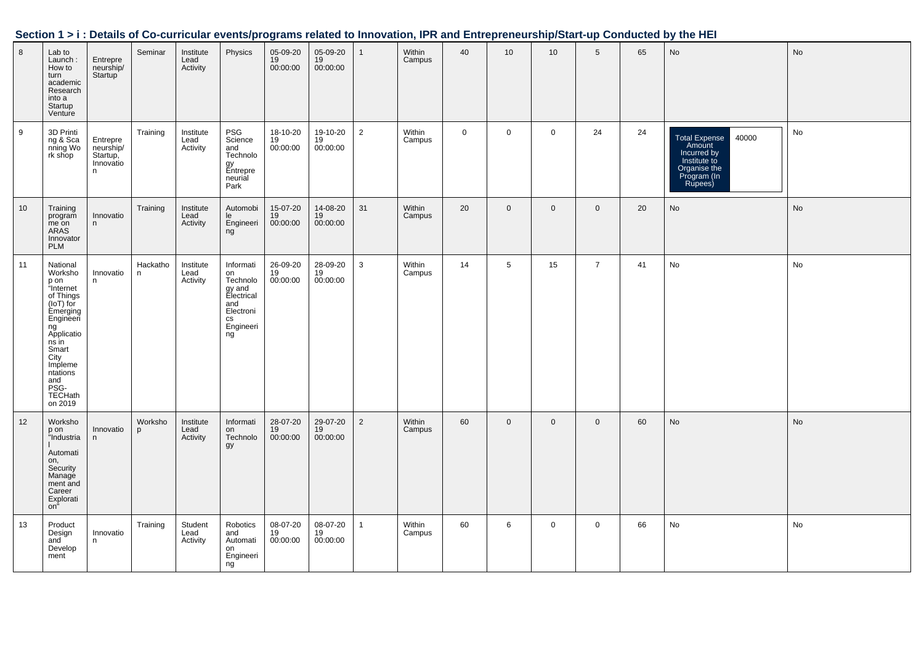| Section 1 > i : Details of Co-curricular events/programs related to Innovation, IPR and Entrepreneurship/Start-up Conducted by the HEI |  |
|----------------------------------------------------------------------------------------------------------------------------------------|--|
|                                                                                                                                        |  |

| $\overline{8}$ | Lab to<br>Launch:<br>How to<br>turn<br>academic<br>Research<br>into a<br>Startup<br>Venture                                                                                                             | Entrepre<br>neurship/<br>Startup                     | Seminar       | Institute<br>Lead<br>Activity | Physics                                                                                                            | 05-09-20<br>19<br>00:00:00 | 05-09-20<br>19<br>00:00:00 | $\mathbf{1}$   | Within<br>Campus | 40          | 10              | 10 <sup>1</sup> | $5\phantom{.0}$ | 65 | <b>No</b>                                                                                                        | No |
|----------------|---------------------------------------------------------------------------------------------------------------------------------------------------------------------------------------------------------|------------------------------------------------------|---------------|-------------------------------|--------------------------------------------------------------------------------------------------------------------|----------------------------|----------------------------|----------------|------------------|-------------|-----------------|-----------------|-----------------|----|------------------------------------------------------------------------------------------------------------------|----|
| 9              | 3D Printi<br>ng & Sca<br>nning Wo<br>rk shop                                                                                                                                                            | Entrepre<br>neurship/<br>Startup,<br>Innovatio<br>n. | Training      | Institute<br>Lead<br>Activity | PSG<br>Science<br>and<br>Technolo<br>gy<br>Entrepre<br>neurial<br>Park                                             | 18-10-20<br>19<br>00:00:00 | 19-10-20<br>19<br>00:00:00 | $\overline{2}$ | Within<br>Campus | $\mathbf 0$ | $\mathbf 0$     | $\mathsf{O}$    | 24              | 24 | 40000<br><b>Total Expense</b><br>Amount<br>Incurred by<br>Institute to<br>Organise the<br>Program (In<br>Rupees) | No |
| 10             | Training<br>program<br>me on<br>ARAS<br>Innovator<br><b>PLM</b>                                                                                                                                         | Innovatio<br>n                                       | Training      | Institute<br>Lead<br>Activity | Automobi<br>le<br>Engineeri<br>ng                                                                                  | 15-07-20<br>19<br>00:00:00 | 14-08-20<br>19<br>00:00:00 | 31             | Within<br>Campus | 20          | $\mathbf 0$     | $\mathbf 0$     | $\overline{0}$  | 20 | <b>No</b>                                                                                                        | No |
| 11             | National<br>Worksho<br>p on<br>"Internet<br>of Things<br>(IOT) for<br>Èmérging<br>Engineeri<br>ng<br>Applicatio<br>$ns$ in<br>Smart<br>City<br>Impleme<br>ntations<br>and<br>PSG-<br>TECHath<br>on 2019 | Innovatio<br>n                                       | Hackatho<br>n | Institute<br>Lead<br>Activity | Informati<br>on<br>Technolo<br>gy and<br>Electrical<br>and<br>Electroni<br>$\mathsf{CS}\xspace$<br>Engineeri<br>ng | 26-09-20<br>19<br>00:00:00 | 28-09-20<br>19<br>00:00:00 | 3              | Within<br>Campus | 14          | $5\phantom{.0}$ | 15              | $\overline{7}$  | 41 | No                                                                                                               | No |
| 12             | Worksho<br>p on<br>"Industria<br>Automati<br>on,<br>Security<br>Manage<br>ment and<br>Career<br>Explorati<br>on"                                                                                        | Innovatio<br>n                                       | Worksho<br>p  | Institute<br>Lead<br>Activity | Informati<br>on<br>Technolo<br>gy                                                                                  | 28-07-20<br>19<br>00:00:00 | 29-07-20<br>19<br>00:00:00 | 2              | Within<br>Campus | 60          | $\mathbf 0$     | $\mathbf 0$     | $\mathbf 0$     | 60 | <b>No</b>                                                                                                        | No |
| 13             | Product<br>Design<br>and<br>Develop<br>ment                                                                                                                                                             | Innovatio<br>n                                       | Training      | Student<br>Lead<br>Activity   | Robotics<br>and<br>Automati<br>on<br>Engineeri<br>ng                                                               | 08-07-20<br>19<br>00:00:00 | 08-07-20<br>19<br>00:00:00 | $\mathbf{1}$   | Within<br>Campus | 60          | 6               | $\mathbf 0$     | $\mathbf 0$     | 66 | No                                                                                                               | No |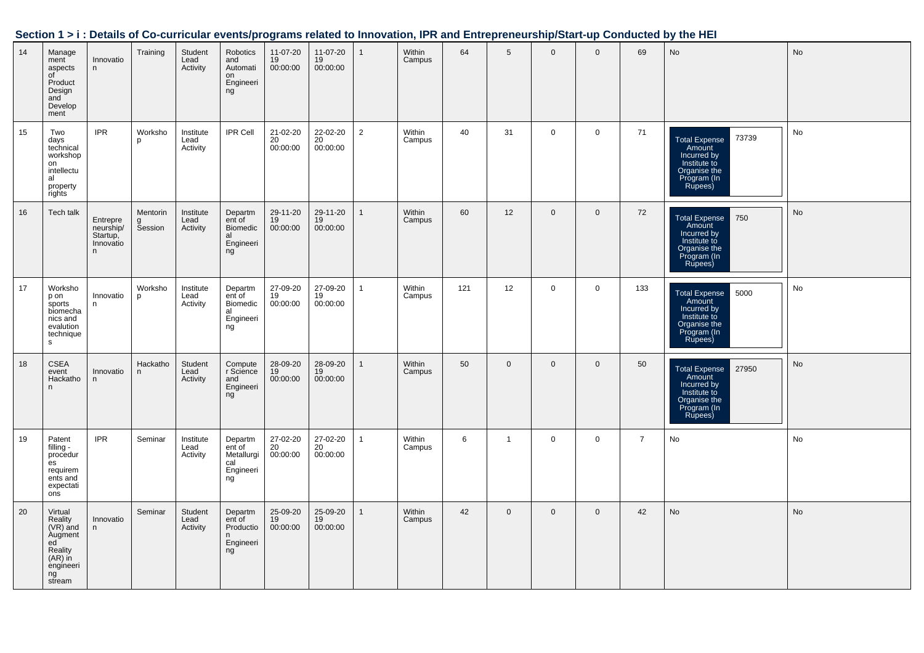| 14 | Manage<br>ment<br>aspects<br>of<br>Product<br>Design<br>and<br>Develop<br>ment                           | Innovatio<br>n                                      | Training                 | Student<br>Lead<br>Activity   | Robotics<br>and<br>Automati<br>on<br>Engineeri<br>ng      | 11-07-20<br>$19$<br>00:00:00            | 11-07-20<br>19<br>00:00:00              | $\overline{1}$ | Within<br>Campus | 64  | 5              | $\mathbf 0$  | $\mathbf{0}$ | 69             | No                                                                                                        | No |
|----|----------------------------------------------------------------------------------------------------------|-----------------------------------------------------|--------------------------|-------------------------------|-----------------------------------------------------------|-----------------------------------------|-----------------------------------------|----------------|------------------|-----|----------------|--------------|--------------|----------------|-----------------------------------------------------------------------------------------------------------|----|
| 15 | Two<br>days<br>technical<br>workshop<br>on<br>intellectu<br>al<br>property<br>rights                     | <b>IPR</b>                                          | Worksho<br>p             | Institute<br>Lead<br>Activity | IPR Cell                                                  | 21-02-20<br>20<br>00:00:00              | 22-02-20<br>20<br>00:00:00              | $\overline{2}$ | Within<br>Campus | 40  | 31             | $\mathbf 0$  | $\mathbf 0$  | 71             | 73739<br>Total Expense<br>Amount<br>Incurred by<br>Institute to<br>Organise the<br>Program (In<br>Rupees) | No |
| 16 | Tech talk                                                                                                | Entrepre<br>neurship/<br>Startup,<br>Innovatio<br>n | Mentorin<br>g<br>Session | Institute<br>Lead<br>Activity | Departm<br>ent of<br>Biomedic<br>al<br>Engineeri<br>ng    | 29-11-20<br>19<br>00:00:00              | 29-11-20<br>19<br>00:00:00              | $\overline{1}$ | Within<br>Campus | 60  | 12             | $\mathbf 0$  | $\mathbf 0$  | 72             | 750 <br>Total Expense<br>Amount<br>Incurred by<br>Institute to<br>Organise the<br>Program (In<br>Rupees)  | No |
| 17 | Worksho<br>p on<br>sports<br>biomecha<br>nics and<br>evalution<br>technique<br>s.                        | Innovatio<br>n                                      | Worksho<br>p             | Institute<br>Lead<br>Activity | Departm<br>ent of<br>Biomedic<br>al<br>Engineeri<br>ng    | 27-09-20<br>19<br>00:00:00              | 27-09-20<br>19<br>00:00:00              | $\overline{1}$ | Within<br>Campus | 121 | 12             | $\mathbf 0$  | $\mathbf 0$  | 133            | Total Expense 5000<br>Amount<br>Incurred by<br>Institute to<br>Organise the<br>Program (In<br>Rupees)     | No |
| 18 | <b>CSEA</b><br>event<br>Hackatho<br>$\mathsf{n}$                                                         | Innovatio<br>n                                      | Hackatho<br>n            | Student<br>Lead<br>Activity   | Compute<br>r Science<br>and<br>Engineeri<br>ng            | 28-09-20<br>19<br>00:00:00              | 28-09-20<br>19<br>00:00:00              | $\overline{1}$ | Within<br>Campus | 50  | $\overline{0}$ | $\mathbf{0}$ | $\mathbf{0}$ | 50             | Total Expense 27950<br>Incurred by<br>Institute to<br>Organise the<br>Program (In<br>Rupees)              | No |
| 19 | Patent<br>filling -<br>procedur<br>$\mathsf{es}$<br>requirem<br>ents and<br>expectati<br>ons             | <b>IPR</b>                                          | Seminar                  | Institute<br>Lead<br>Activity | Departm<br>ent of<br>Metallurgi<br>cal<br>Engineeri<br>ng | 27-02-20<br>20<br>00:00:00              | 27-02-20<br>20<br>00:00:00              | $\overline{1}$ | Within<br>Campus | 6   | $\mathbf{1}$   | $\mathbf 0$  | $\mathbf 0$  | $\overline{7}$ | No                                                                                                        | No |
| 20 | Virtual<br>Reality<br>(VR) and<br>Augment<br>ed<br>ed<br>Reality<br>(AR) in<br>engineeri<br>ng<br>stream | Innovatio<br>n                                      | Seminar                  | Student<br>Lead<br>Activity   | Departm<br>ent of<br>Productio<br>n<br>Engineeri<br>ng    | 25-09-20<br>$\frac{19}{19}$<br>00:00:00 | 25-09-20<br>$\frac{19}{19}$<br>00:00:00 | $\overline{1}$ | Within<br>Campus | 42  | $\mathbf 0$    | $\mathbf{0}$ | $\mathbf{0}$ | 42             | No                                                                                                        | No |

#### **Section 1 > i : Details of Co-curricular events/programs related to Innovation, IPR and Entrepreneurship/Start-up Conducted by the HEI**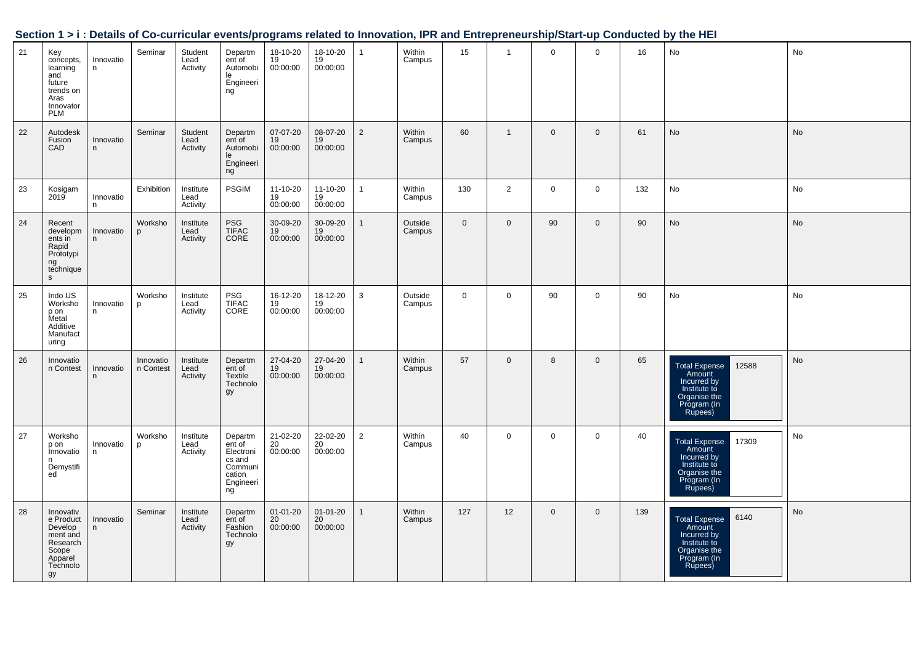|    |                                                                                                 |                |                        |                               |                                                                                  |                                         |                                         |                |                   |             |                |              |                |     | occubil 121. Details of Co-curricular events/programs related to impovation, in Kand Entrepreneurship/Start-up Conducted by the HET |    |
|----|-------------------------------------------------------------------------------------------------|----------------|------------------------|-------------------------------|----------------------------------------------------------------------------------|-----------------------------------------|-----------------------------------------|----------------|-------------------|-------------|----------------|--------------|----------------|-----|-------------------------------------------------------------------------------------------------------------------------------------|----|
| 21 | Key<br>concepts,<br>learning<br>and<br>future<br>trends on<br>Aras<br>Innovator<br><b>PLM</b>   | Innovatio<br>n | Seminar                | Student<br>Lead<br>Activity   | Departm<br>ent of<br>Automobi<br>le<br>Engineeri<br>ng                           | 18-10-20<br>19<br>00:00:00              | 18-10-20<br>19<br>00:00:00              | $\mathbf{1}$   | Within<br>Campus  | 15          | $\overline{1}$ | $\mathbf 0$  | $\mathbf 0$    | 16  | No                                                                                                                                  | No |
| 22 | Autodesk<br>Fusion<br>CAD                                                                       | Innovatio<br>n | Seminar                | Student<br>Lead<br>Activity   | Departm<br>ent of<br>Automobi<br>le<br>Engineeri<br>ng                           | 07-07-20<br>19<br>00:00:00              | 08-07-20<br>$\frac{19}{19}$<br>00:00:00 | $\overline{2}$ | Within<br>Campus  | 60          | $\mathbf{1}$   | $\mathbf 0$  | $\mathbf 0$    | 61  | No                                                                                                                                  | No |
| 23 | Kosigam<br>2019                                                                                 | Innovatio<br>n | Exhibition             | Institute<br>Lead<br>Activity | <b>PSGIM</b>                                                                     | $11 - 10 - 20$<br>19<br>00:00:00        | 11-10-20<br>19<br>00:00:00              | $\mathbf{1}$   | Within<br>Campus  | 130         | $\overline{2}$ | $\mathbf 0$  | $\mathbf 0$    | 132 | No                                                                                                                                  | No |
| 24 | Recent<br>developm<br>ents in<br>Rapid<br>Prototypi<br>ng<br>technique<br>$\mathsf{s}$          | Innovatio<br>n | Worksho<br><b>p</b>    | Institute<br>Lead<br>Activity | PSG<br>TIFAC<br>CORE                                                             | 30-09-20<br>19<br>00:00:00              | 30-09-20<br>19<br>00:00:00              | $\mathbf{1}$   | Outside<br>Campus | $\mathbf 0$ | $\overline{0}$ | 90           | $\mathbf 0$    | 90  | No                                                                                                                                  | No |
| 25 | Indo US<br>Worksho<br>p on<br>Metal<br>Additive<br>Manufact<br>uring                            | Innovatio<br>n | Worksho<br>p           | Institute<br>Lead<br>Activity | PSG<br>TIFAC<br>CORE                                                             | 16-12-20<br>19<br>00:00:00              | 18-12-20<br>19<br>00:00:00              | $\mathbf{3}$   | Outside<br>Campus | $\mathbf 0$ | $\mathbf 0$    | 90           | $\mathbf 0$    | 90  | No                                                                                                                                  | No |
| 26 | Innovatio<br>n Contest                                                                          | Innovatio<br>n | Innovatio<br>n Contest | Institute<br>Lead<br>Activity | Departm<br>ent of<br>Textile<br>Technolo<br>gy                                   | 27-04-20<br>$\frac{19}{19}$<br>00:00:00 | 27-04-20<br>19<br>00:00:00              | $\mathbf{1}$   | Within<br>Campus  | 57          | $\mathbf 0$    | 8            | $\overline{0}$ | 65  | Total Expense<br>Amount<br>Incurred by<br>12588<br>Institute to<br>Organise the<br>Program (In<br>Rupees)                           | No |
| 27 | Worksho<br>p on<br>Innovatio<br>n<br>Demystifi<br>ed                                            | Innovatio<br>n | Worksho<br>p           | Institute<br>Lead<br>Activity | Departm<br>ent of<br>Electroni<br>cs and<br>Communi<br>cation<br>Engineeri<br>ng | 21-02-20<br>20<br>00:00:00              | 22-02-20<br>20<br>00:00:00              | $\overline{2}$ | Within<br>Campus  | 40          | $\mathbf 0$    | $\mathsf{O}$ | $\mathbf 0$    | 40  | 17309<br>Total Expense<br>Amount<br>Incurred by<br>Institute to<br>Organise the<br>Program (In<br>Rupees)                           | No |
| 28 | Innovativ<br>e Product<br>Develop<br>ment and<br>Research<br>Scope<br>Apparel<br>Technolo<br>gy | Innovatio<br>n | Seminar                | Institute<br>Lead<br>Activity | Departm<br>ent of<br>Fashion<br>Technolo<br>gy                                   | 01-01-20<br>20<br>00:00:00              | $01 - 01 - 20$<br>20<br>00:00:00        | $\mathbf{1}$   | Within<br>Campus  | 127         | 12             | $\mathbf{0}$ | $\mathbf 0$    | 139 | 6140<br><b>Total Expense</b><br>Amount<br>Incurred by<br>Institute to<br>Organise the<br>Program (In<br>Rupees)                     | No |

#### **Section 1 > i : Details of Co-curricular events/programs related to Innovation, IPR and Entrepreneurship/Start-up Conducted by the HEI**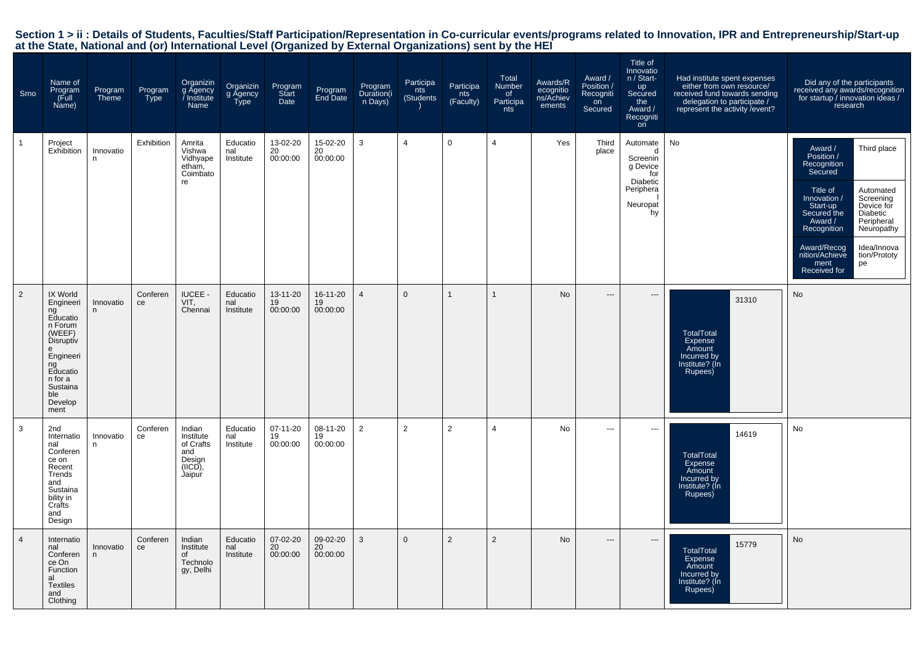| Srno           | Name of<br>Program<br>Full)<br>Name)                                                                                                                      | Program<br><b>Theme</b> | Program<br>Type | Organizin<br>g Agency<br>Institute<br>Name                                | Organizin<br>g Agency<br>Type | Program<br>Start<br>Date   | Program<br>End Date        | Program<br>Duration(i<br>n Days) | Participa<br>nts<br>(Students | Participa<br>nts<br>(Faculty) | Total<br><b>Number</b><br>of<br>Participa<br>nts | Awards/R<br>ecognitio<br>ns/Achiev<br>ements | Award /<br>Position /<br>Recogniti<br>on<br>Secured | Title of<br>Innovatio<br>n / Start-<br>up<br>Secured<br>the<br>Award /<br>Recogniti<br>on | Had institute spent expenses<br>either from own resource/<br>received fund towards sending<br>delegation to participate /<br>represent the activity / event? | Did any of the participants<br>received any awards/recognition<br>for startup / innovation ideas /<br>research                                                                                                                                                                                                                |
|----------------|-----------------------------------------------------------------------------------------------------------------------------------------------------------|-------------------------|-----------------|---------------------------------------------------------------------------|-------------------------------|----------------------------|----------------------------|----------------------------------|-------------------------------|-------------------------------|--------------------------------------------------|----------------------------------------------|-----------------------------------------------------|-------------------------------------------------------------------------------------------|--------------------------------------------------------------------------------------------------------------------------------------------------------------|-------------------------------------------------------------------------------------------------------------------------------------------------------------------------------------------------------------------------------------------------------------------------------------------------------------------------------|
|                | Project<br>Exhibition                                                                                                                                     | Innovatio<br>n          | Exhibition      | Amrita<br>Vishwa<br>Vidhyape<br>etham,<br>Coimbato<br>re                  | Educatio<br>nal<br>Institute  | 13-02-20<br>20<br>00:00:00 | 15-02-20<br>20<br>00:00:00 | 3                                | 4                             | $\mathbf 0$                   | $\overline{4}$                                   | Yes                                          | Third<br>place                                      | Automate<br>d<br>Screenin<br>g Device<br>for<br>Diabetic<br>Periphera<br>Neuropat<br>hy   | No                                                                                                                                                           | Award /<br>Third place<br>Position /<br>Recognition<br>Secured<br>Title of<br>Automated<br>Innovation /<br>Screening<br>Device for<br>Start-up<br>Secured the<br>Diabetic<br>Peripheral<br>Award /<br>Recognition<br>Neuropathy<br>Award/Recog<br>Idea/Innova<br>tion/Prototy<br>nition/Achieve<br>ment<br>pe<br>Received for |
| $\overline{2}$ | IX World<br>Engineeri<br>ng<br>Educatio<br>n Forum<br>(WEEF)<br>Disruptiv<br>Engineeri<br>ng<br>Educatio<br>n for a<br>Sustaina<br>ble<br>Develop<br>ment | Innovatio<br>n          | Conferen<br>ce  | IUCEE -<br>VIT,<br>Chennai                                                | Educatio<br>nal<br>Institute  | 13-11-20<br>19<br>00:00:00 | 16-11-20<br>19<br>00:00:00 | $\overline{4}$                   | $\Omega$                      | $\overline{1}$                | 1                                                | No                                           | ---                                                 | $\overline{\phantom{a}}$                                                                  | 31310<br><b>TotalTotal</b><br>Expense<br>Amount<br>Incurred by<br>Institute? (In<br>Rupees)                                                                  | No                                                                                                                                                                                                                                                                                                                            |
| 3              | 2nd<br>Internatio<br>nal<br>Conferen<br>ce on<br>Recent<br>Trends<br>and<br>Sustaina<br>bility in<br>Crafts<br>and<br>Design                              | Innovatio<br>n          | Conferen<br>ce  | Indian<br>Institute<br>of Crafts<br>and<br>Design<br>$(IICD)$ ,<br>Jaipur | Educatio<br>nal<br>Institute  | 07-11-20<br>19<br>00:00:00 | 08-11-20<br>19<br>00:00:00 | 2                                | 2                             | $\overline{2}$                | $\overline{4}$                                   | No                                           | ---                                                 | $\overline{\phantom{a}}$                                                                  | 14619<br>TotalTotal<br>Expense<br>Amount<br>Incurred by<br>Institute? (In<br>Rupees)                                                                         | No                                                                                                                                                                                                                                                                                                                            |
| $\overline{4}$ | Internatio<br>nal<br>Conferen<br>ce On<br>Function<br>al<br><b>Textiles</b><br>and<br>Clothing                                                            | Innovatio<br>n          | Conferen<br>ce  | Indian<br>Institute<br>0f<br>Technolo<br>gy, Delhi                        | Educatio<br>nal<br>Institute  | 07-02-20<br>20<br>00:00:00 | 09-02-20<br>20<br>00:00:00 | 3                                | $\mathbf{0}$                  | $\overline{2}$                | 2                                                | No                                           | $\overline{a}$                                      | $\hspace{0.05cm} \ldots$                                                                  | 15779<br><b>TotalTotal</b><br>Expense<br>Amount<br>Incurred by<br>Institute? (In<br>Rupees)                                                                  | No                                                                                                                                                                                                                                                                                                                            |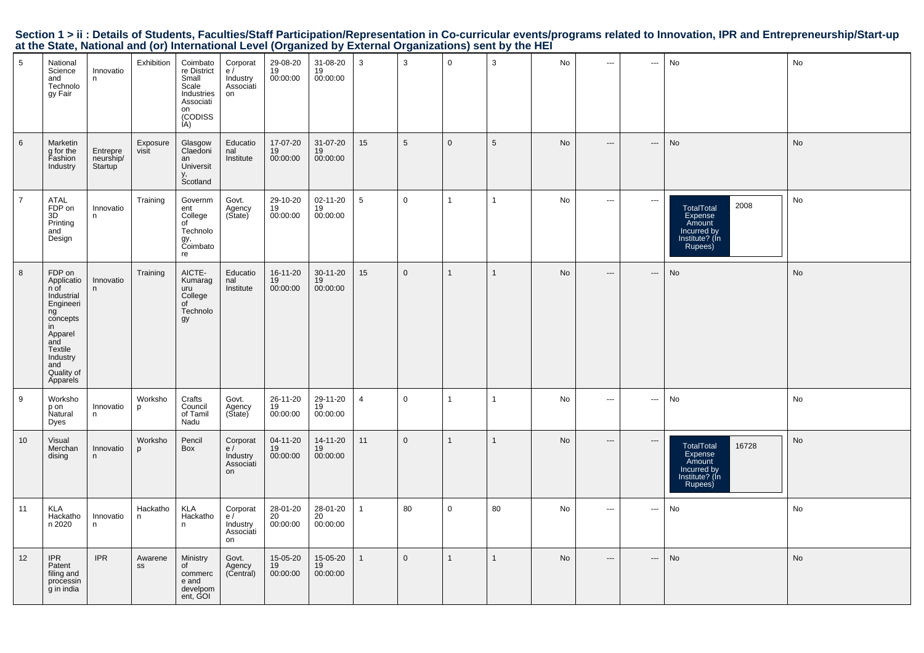| 5              | National<br>Science<br>and<br>Technolo<br>gy Fair                                                                                                         | Innovatio<br>n.                  | Exhibition        | Coimbato<br>re District<br>Small<br>Scale<br>Industries<br>Associati<br>on<br>(CODISS<br>IA) | Corporat<br>e/<br>Industry<br>Associati<br>on | 29-08-20<br>19<br>00:00:00 | 31-08-20<br>19<br>00:00:00 | 3              | 3              | $\mathbf 0$    | 3               | No | $\hspace{0.05cm} \ldots$ | ---                        | No                                                                                          | No        |
|----------------|-----------------------------------------------------------------------------------------------------------------------------------------------------------|----------------------------------|-------------------|----------------------------------------------------------------------------------------------|-----------------------------------------------|----------------------------|----------------------------|----------------|----------------|----------------|-----------------|----|--------------------------|----------------------------|---------------------------------------------------------------------------------------------|-----------|
| 6              | Marketin<br>g for the<br>Fashion<br>Industry                                                                                                              | Entrepre<br>neurship/<br>Startup | Exposure<br>visit | Glasgow<br>Claedoni<br>an<br>Universit<br>y,<br>Scotland                                     | Educatio<br>nal<br>Institute                  | 17-07-20<br>19<br>00:00:00 | 31-07-20<br>19<br>00:00:00 | 15             | 5              | $\mathbf{0}$   | $5\phantom{.0}$ | No | $\qquad \qquad -\qquad$  | $\qquad \qquad - \qquad -$ | No                                                                                          | No        |
| $\overline{7}$ | ATAL<br>FDP on<br>3D<br>Printing<br>and<br>Design                                                                                                         | Innovatio<br>n                   | Training          | Governm<br>ent<br>College<br>of<br>Technolo<br>gy,<br>Coimbato<br>re                         | Govt.<br>Agency<br>(Sitate)                   | 29-10-20<br>19<br>00:00:00 | 02-11-20<br>19<br>00:00:00 | 5              | $\mathbf 0$    | $\overline{1}$ | $\overline{1}$  | No | $\overline{\phantom{a}}$ | $\hspace{0.05cm} \ldots$   | 2008<br><b>TotalTotal</b><br>Expense<br>Amount<br>Incurred by<br>Institute? (In<br>Rupees)  | No        |
| 8              | FDP on<br>Applicatio<br>n of<br>Industrial<br>Engineeri<br>ng<br>concepts<br>in<br>Apparel<br>and<br>Textile<br>Industry<br>and<br>Quality of<br>Apparels | Innovatio<br>n.                  | Training          | AICTE-<br>Kumarag<br>uru<br>College<br>of<br>Technolo<br>gy                                  | Educatio<br>nal<br>Institute                  | 16-11-20<br>19<br>00:00:00 | 30-11-20<br>19<br>00:00:00 | 15             | $\overline{0}$ | $\mathbf{1}$   | $\mathbf{1}$    | No | $\hspace{0.05cm} \cdots$ | ---                        | No                                                                                          | <b>No</b> |
| 9              | Worksho<br>p on<br>Natural<br>Dyes                                                                                                                        | Innovatio<br>n                   | Worksho<br>p      | Crafts<br>Council<br>of Tamil<br>Nadu                                                        | Govt.<br>Agency<br>(Sitate)                   | 26-11-20<br>19<br>00:00:00 | 29-11-20<br>19<br>00:00:00 | $\overline{4}$ | $\overline{0}$ | $\mathbf{1}$   | $\mathbf{1}$    | No | $\hspace{0.05cm} \ldots$ | $\sim$                     | No                                                                                          | No        |
| 10             | Visual<br>Merchan<br>dising                                                                                                                               | Innovatio<br>n                   | Worksho<br>p      | Pencil<br>Box                                                                                | Corporat<br>e/<br>Industry<br>Associati<br>on | 04-11-20<br>19<br>00:00:00 | 14-11-20<br>19<br>00:00:00 | 11             | $\overline{0}$ | $\mathbf{1}$   | $\mathbf{1}$    | No | $\hspace{0.05cm} \ldots$ | $\hspace{0.05cm} \cdots$   | <b>TotalTotal</b><br>16728<br>Expense<br>Amount<br>Incurred by<br>Institute? (In<br>Rupees) | <b>No</b> |
| 11             | <b>KLA</b><br>Hackatho<br>n 2020                                                                                                                          | Innovatio<br>n                   | Hackatho<br>n     | <b>KLA</b><br>Hackatho<br>n                                                                  | Corporat<br>e/<br>Industry<br>Associati<br>on | 28-01-20<br>20<br>00:00:00 | 28-01-20<br>20<br>00:00:00 | $\mathbf{1}$   | 80             | $\mathbf 0$    | 80              | No | $\hspace{0.05cm} \ldots$ | $\sim$                     | No                                                                                          | No        |
| 12             | <b>IPR</b><br>Patent<br>filing and<br>processin<br>g in india                                                                                             | <b>IPR</b>                       | Awarene<br>SS     | Ministry<br>of<br>commerc<br>e and<br>develpom<br>ent, GOI                                   | Govt.<br>Agency<br>(Central)                  | 15-05-20<br>19<br>00:00:00 | 15-05-20<br>19<br>00:00:00 | $\mathbf{1}$   | $\overline{0}$ | $\mathbf{1}$   | $\mathbf{1}$    | No | $\hspace{0.05cm} \ldots$ | $\hspace{0.05cm} \cdots$   | No                                                                                          | <b>No</b> |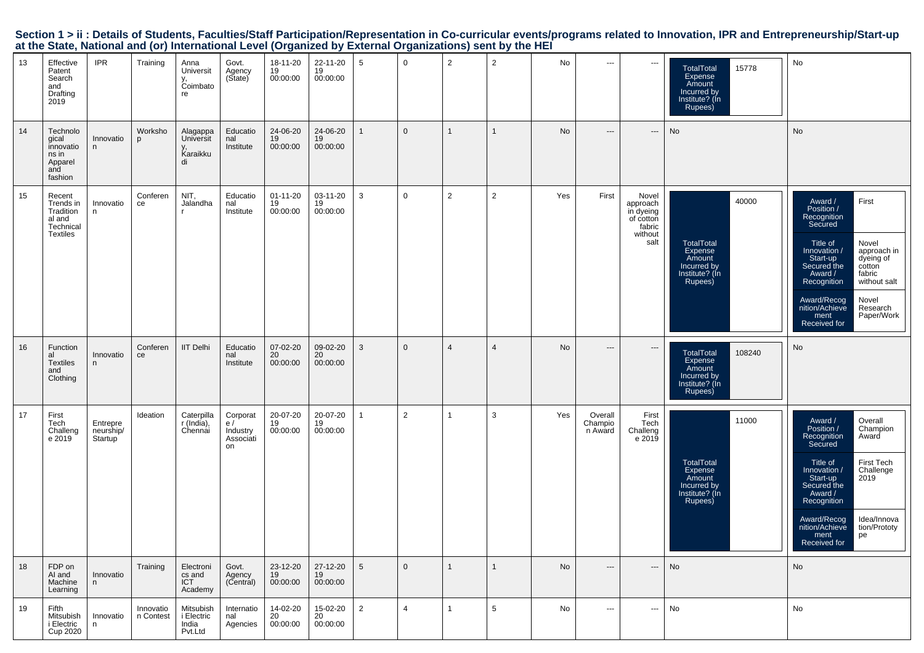| Section 1 > ii : Details of Students, Faculties/Staff Participation/Representation in Co-curricular events/programs related to Innovation, IPR and Entrepreneurship/Start-up |  |
|------------------------------------------------------------------------------------------------------------------------------------------------------------------------------|--|
| at the State, National and (or) International Level (Organized by External Organizations) sent by the HEI                                                                    |  |

| 13 | Effective<br>Patent<br>Search<br>and<br>Drafting<br>2019                   | <b>IPR</b>                       | Training               | Anna<br>Universit<br>v.<br>Coimbato<br>re    | Govt.<br>Agency<br>(State)                    | 18-11-20<br>19<br>00:00:00       | 22-11-20<br>19<br>00:00:00 | 5               | 0              | $\overline{2}$ | $\overline{2}$  | No  | ---                           | ---                                                                      | 15778<br>TotalTotal<br>Expense<br>Amount<br>Incurred by<br>Institute? (In<br>Rupees)         | No                                                                                                                                                                                                                                                                                                             |
|----|----------------------------------------------------------------------------|----------------------------------|------------------------|----------------------------------------------|-----------------------------------------------|----------------------------------|----------------------------|-----------------|----------------|----------------|-----------------|-----|-------------------------------|--------------------------------------------------------------------------|----------------------------------------------------------------------------------------------|----------------------------------------------------------------------------------------------------------------------------------------------------------------------------------------------------------------------------------------------------------------------------------------------------------------|
| 14 | Technolo<br>gical<br>innovatio<br>ns in<br>Apparel<br>and<br>fashion       | Innovatio<br>n                   | Worksho<br>p           | Alagappa<br>Universit<br>Karaikku<br>di      | Educatio<br>nal<br>Institute                  | 24-06-20<br>19<br>00:00:00       | 24-06-20<br>19<br>00:00:00 | $\mathbf{1}$    | $\mathbf{0}$   | $\mathbf{1}$   | $\mathbf{1}$    | No  | $\hspace{1.5cm} \textbf{---}$ | $\hspace{0.05cm} \ldots$                                                 | No                                                                                           | No                                                                                                                                                                                                                                                                                                             |
| 15 | Recent<br>Trends in<br>Tradition<br>al and<br>Technical<br><b>Textiles</b> | Innovatio<br>n                   | Conferen<br>ce         | NIT,<br>Jalandha                             | Educatio<br>nal<br>Institute                  | $01 - 11 - 20$<br>19<br>00:00:00 | 03-11-20<br>19<br>00:00:00 | 3               | $\mathbf 0$    | $\overline{2}$ | $\overline{2}$  | Yes | First                         | Novel<br>approach<br>in dyeing<br>of cotton<br>fabric<br>without<br>salt | 40000<br>TotalTotal<br>Expense<br>Amount<br>Incurred by<br>Institute? (In<br>Rupees)         | First<br>Award /<br>Position /<br>Recognition<br>Secured<br>Title of<br>Novel<br>Innovation /<br>approach in<br>Start-up<br>dyeing of<br>cotton<br>Secured the<br>Award /<br>fabric<br>Recognition<br>without salt<br>Award/Recog<br>Novel<br>nition/Achieve<br>Research<br>Paper/Work<br>ment<br>Received for |
| 16 | Function<br>al<br><b>Textiles</b><br>and<br>Clothing                       | Innovatio<br>n                   | Conferen<br>ce         | <b>IIT Delhi</b>                             | Educatio<br>nal<br>Institute                  | 07-02-20<br>20<br>00:00:00       | 09-02-20<br>20<br>00:00:00 | 3               | $\mathbf{0}$   | $\overline{4}$ | $\overline{4}$  | No  | $\hspace{0.05cm} \ldots$      | $\hspace{0.05cm} \cdots$                                                 | <b>TotalTotal</b><br>108240<br>Expense<br>Amount<br>Incurred by<br>Institute? (In<br>Rupees) | No                                                                                                                                                                                                                                                                                                             |
| 17 | First<br>Tech<br>Challeng<br>e 2019                                        | Entrepre<br>neurship/<br>Startup | Ideation               | Caterpilla<br>r (India),<br>Chennai          | Corporat<br>e/<br>Industry<br>Associati<br>on | 20-07-20<br>19<br>00:00:00       | 20-07-20<br>19<br>00:00:00 | $\overline{1}$  | $\overline{2}$ | $\mathbf{1}$   | 3               | Yes | Overall<br>Champio<br>n Award | First<br>Tech<br>Challeng<br>e 2019                                      | 11000<br>TotalTotal<br>Expense<br>Amount<br>Incurred by<br>Institute? (In<br>Rupees)         | Overall<br>Award /<br>Position /<br>Champion<br>Recognition<br>Award<br>Secured<br>Title of<br>First Tech<br>Innovation /<br>Challenge<br>2019<br>Start-up<br>Secured the<br>Award /<br>Recognition<br>Idea/Innova<br>Award/Recog<br>nition/Achieve<br>tion/Prototy<br>ment<br>pe<br>Received for              |
| 18 | FDP on<br>AI and<br>Machine<br>Learning                                    | Innovatio<br>n                   | Training               | Electroni<br>cs and<br><b>ICT</b><br>Academy | Govt.<br>Agency<br>(Central)                  | 23-12-20<br>19<br>00:00:00       | 27-12-20<br>19<br>00:00:00 | $5\phantom{.0}$ | $\mathbf 0$    | $\mathbf{1}$   | $\mathbf{1}$    | No  | $\hspace{1.5cm} \textbf{---}$ | ---                                                                      | No                                                                                           | No                                                                                                                                                                                                                                                                                                             |
| 19 | Fifth<br>Mitsubish<br>i Electric<br>Cup 2020                               | Innovatio<br>n                   | Innovatio<br>n Contest | Mitsubish<br>i Electric<br>India<br>Pvt.Ltd  | Internatio<br>nal<br>Agencies                 | 14-02-20<br>20<br>00:00:00       | 15-02-20<br>20<br>00:00:00 | $\overline{2}$  | $\overline{4}$ | $\mathbf{1}$   | $5\phantom{.0}$ | No  | $\cdots$                      | $\cdots$                                                                 | No                                                                                           | No                                                                                                                                                                                                                                                                                                             |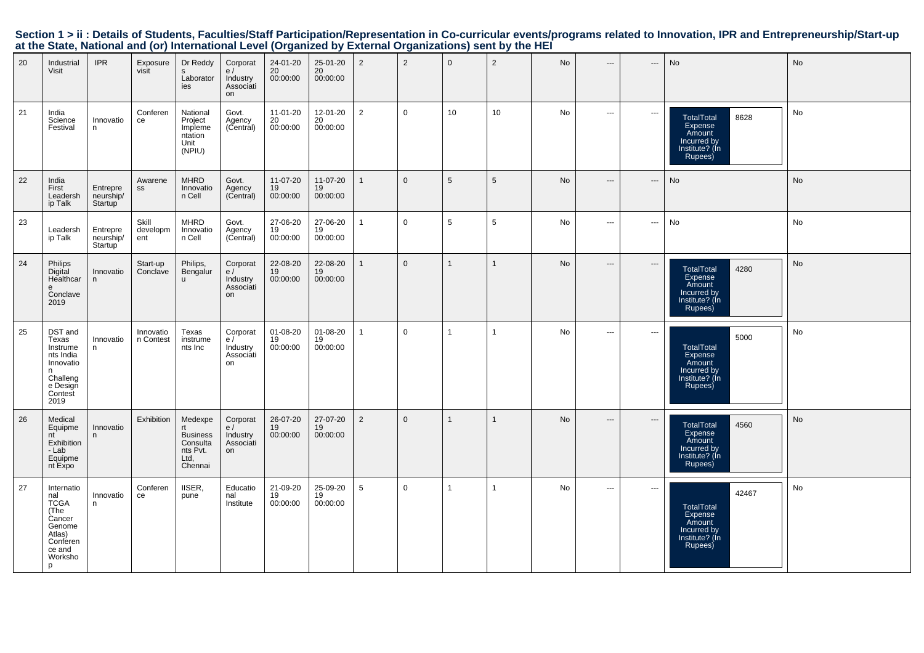| 20 | Industrial<br>Visit                                                                                          | <b>IPR</b>                                    | Exposure<br>visit        | Dr Reddy<br>s<br>Laborator<br>ies                                     | Corporat<br>e/<br>Industry<br>Associati<br>on | 24-01-20<br>20<br>00:00:00   | 25-01-20<br>20<br>00:00:00 | 2              | 2            | $\mathbf 0$     | $\overline{2}$  | No | $\hspace{0.05cm} \ldots$      | ---                               | No                                                                                          | No |
|----|--------------------------------------------------------------------------------------------------------------|-----------------------------------------------|--------------------------|-----------------------------------------------------------------------|-----------------------------------------------|------------------------------|----------------------------|----------------|--------------|-----------------|-----------------|----|-------------------------------|-----------------------------------|---------------------------------------------------------------------------------------------|----|
| 21 | India<br>Science<br>Festival                                                                                 | Innovatio<br>n                                | Conferen<br>ce           | National<br>Project<br>Impleme<br>ntation<br>Unit<br>(NPIU)           | Govt.<br>Agency<br>(Central)                  | 11-01-20<br>$20$<br>00:00:00 | 12-01-20<br>20<br>00:00:00 | $\overline{2}$ | $\mathbf 0$  | 10 <sup>1</sup> | 10 <sup>1</sup> | No | $\sim$ $\sim$                 | $\hspace{0.05cm} \cdots$          | 8628<br><b>TotalTotal</b><br>Expense<br>Amount<br>Incurred by<br>Institute? (In<br>Rupees)  | No |
| 22 | India<br>First<br>Leadersh<br>ip Talk                                                                        | Entrepre<br>neurship/<br>Startup <sup>1</sup> | Awarene<br>SS            | <b>MHRD</b><br>Innovatio<br>n Cell                                    | Govt.<br>Agency<br>(Central)                  | 11-07-20<br>19<br>00:00:00   | 11-07-20<br>19<br>00:00:00 |                | $\mathbf{0}$ | 5               | $\overline{5}$  | No | $\hspace{1.5cm} \textbf{---}$ | $\hspace{0.05cm} \dashrightarrow$ | No                                                                                          | No |
| 23 | Leadersh<br>ip Talk                                                                                          | Entrepre<br>neurship/<br>Startup              | Skill<br>developm<br>ent | <b>MHRD</b><br>Innovatio<br>n Cell                                    | Govt.<br>Agency<br>(Central)                  | 27-06-20<br>19<br>00:00:00   | 27-06-20<br>19<br>00:00:00 | $\mathbf{1}$   | $\mathbf 0$  | 5               | $\sqrt{5}$      | No | $\cdots$                      | $\hspace{0.05cm} \cdots$          | No                                                                                          | No |
| 24 | Philips<br>Digital<br>Healthcar<br>e<br>Conclave<br>2019                                                     | Innovatio<br>n                                | Start-up<br>Conclave     | Philips,<br>Bengalur<br>$\mathbf{u}$                                  | Corporat<br>e/<br>Industry<br>Associati<br>on | 22-08-20<br>19<br>00:00:00   | 22-08-20<br>19<br>00:00:00 | $\mathbf{1}$   | $\mathbf{0}$ |                 | $\mathbf{1}$    | No | $\hspace{0.05cm} \cdots$      | $\hspace{0.05cm} \dashrightarrow$ | 4280<br><b>TotalTotal</b><br>Expense<br>Amount<br>Incurred by<br>Institute? (In<br>Rupees)  | No |
| 25 | DST and<br>Texas<br>Instrume<br>nts India<br>Innovatio<br>n<br>Challeng<br>e Design<br>Contest<br>2019       | Innovatio<br>n                                | Innovatio<br>n Contest   | Texas<br>instrume<br>nts Inc                                          | Corporat<br>e/<br>Industry<br>Associati<br>on | 01-08-20<br>19<br>00:00:00   | 01-08-20<br>19<br>00:00:00 | $\mathbf{1}$   | $\mathbf 0$  | $\overline{1}$  | $\mathbf{1}$    | No | $\sim$ $\sim$                 | $\hspace{0.05cm} \cdots$          | 5000<br><b>TotalTotal</b><br>Expense<br>Amount<br>Incurred by<br>Institute? (In<br>Rupees)  | No |
| 26 | Medical<br>Equipme<br>nt<br>Exhibition<br>- Lab<br>Equipme<br>nt Expo                                        | Innovatio<br>n                                | Exhibition               | Medexpe<br><b>Business</b><br>Consulta<br>nts Pvt.<br>Ltd,<br>Chennai | Corporat<br>e/<br>Industry<br>Associati<br>on | 26-07-20<br>19<br>00:00:00   | 27-07-20<br>19<br>00:00:00 | 2              | $\mathbf{0}$ |                 | $\mathbf{1}$    | No | $\hspace{0.05cm} \ldots$      | $\hspace{0.05cm} \cdots$          | <b>TotalTotal</b><br>4560<br>Expense<br>Amount<br>Incurred by<br>Institute? (In<br>Rupees)  | No |
| 27 | Internatio<br>nal<br><b>TCGA</b><br>(The<br>Cancer<br>Genome<br>Atlas)<br>Conferen<br>ce and<br>Worksho<br>p | Innovatio<br>n                                | Conferen<br>ce           | IISER,<br>pune                                                        | Educatio<br>nal<br>Institute                  | 21-09-20<br>19<br>00:00:00   | 25-09-20<br>19<br>00:00:00 | 5              | $\mathbf 0$  |                 | $\overline{1}$  | No | $\sim$ $\sim$                 | $\hspace{0.05cm} \cdots$          | 42467<br><b>TotalTotal</b><br>Expense<br>Amount<br>Incurred by<br>Institute? (In<br>Rupees) | No |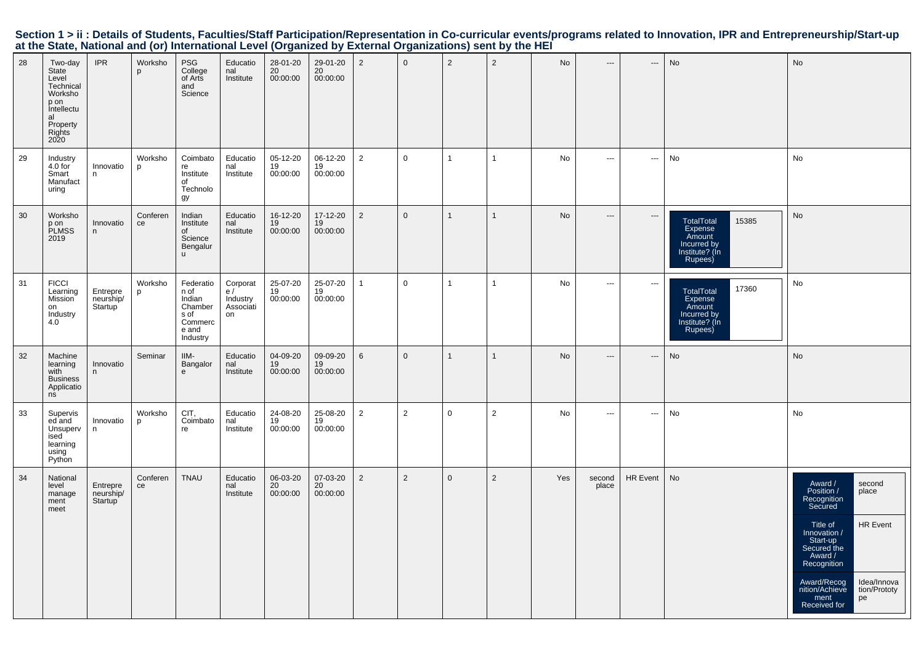| 28 | Two-day<br>State<br>Level<br>Technical<br>Worksho<br>p on<br>Intellectu<br>al<br>Property<br>Rights<br><b>2020</b> | <b>IPR</b>                       | Worksho<br>p   | <b>PSG</b><br>College<br>of Arts<br>and<br>Science                             | Educatio<br>nal<br>Institute                   | 28-01-20<br>20<br>00:00:00 | 29-01-20<br>20<br>00:00:00 | $\overline{2}$ | $\overline{0}$ | $\overline{2}$ | $\overline{2}$ | No        | $\hspace{0.05cm} \dashrightarrow$ | ---                      | No                                                                                          | No                                                                                                                                                                                                                                                                   |
|----|--------------------------------------------------------------------------------------------------------------------|----------------------------------|----------------|--------------------------------------------------------------------------------|------------------------------------------------|----------------------------|----------------------------|----------------|----------------|----------------|----------------|-----------|-----------------------------------|--------------------------|---------------------------------------------------------------------------------------------|----------------------------------------------------------------------------------------------------------------------------------------------------------------------------------------------------------------------------------------------------------------------|
| 29 | Industry<br>4.0 for<br>Smart<br>Manufact<br>uring                                                                  | Innovatio<br>n.                  | Worksho<br>p   | Coimbato<br>re<br>Institute<br>of<br>Technolo<br>gу                            | Educatio<br>nal<br>Institute                   | 05-12-20<br>19<br>00:00:00 | 06-12-20<br>19<br>00:00:00 | $\overline{2}$ | $\mathbf 0$    | $\overline{1}$ | $\mathbf{1}$   | No        | $\sim$ $\sim$                     | $\hspace{0.05cm} \ldots$ | No                                                                                          | No                                                                                                                                                                                                                                                                   |
| 30 | Worksho<br>p on<br>PLMSS<br>2019                                                                                   | Innovatio<br>n                   | Conferen<br>ce | Indian<br>Institute<br>of<br>Science<br>Bengalur<br><b>u</b>                   | Educatio<br>nal<br>Institute                   | 16-12-20<br>19<br>00:00:00 | 17-12-20<br>19<br>00:00:00 | $\overline{2}$ | $\mathbf 0$    | $\mathbf{1}$   | -1             | <b>No</b> | $\hspace{0.05cm} \cdots$          | $\hspace{0.05cm} \cdots$ | 15385<br><b>TotalTotal</b><br>Expense<br>Amount<br>Incurred by<br>Institute? (In<br>Rupees) | No                                                                                                                                                                                                                                                                   |
| 31 | <b>FICCI</b><br>Learning<br><b>Mission</b><br>on<br>Industry<br>4.0                                                | Entrepre<br>neurship/<br>Startup | Worksho<br>p   | Federatio<br>n of<br>Indian<br>Chamber<br>s of<br>Commerc<br>e and<br>Industry | Corporat<br>e /<br>Industry<br>Associati<br>on | 25-07-20<br>19<br>00:00:00 | 25-07-20<br>19<br>00:00:00 | $\mathbf{1}$   | $\mathbf 0$    | $\overline{1}$ | $\mathbf{1}$   | No        | $\sim$                            | $\hspace{0.05cm} \cdots$ | 17360<br>TotalTotal<br>Expense<br>Amount<br>Incurred by<br>Institute? (Ín<br>Rupees)        | No                                                                                                                                                                                                                                                                   |
| 32 | Machine<br>learning<br>with<br><b>Business</b><br>Applicatio<br>ns                                                 | Innovatio<br>n                   | Seminar        | IIM-<br>Bangalor<br>e                                                          | Educatio<br>nal<br>Institute                   | 04-09-20<br>19<br>00:00:00 | 09-09-20<br>19<br>00:00:00 | 6              | $\mathbf{0}$   | $\overline{1}$ | $\mathbf{1}$   | No        | $---$                             | $\overline{\phantom{a}}$ | No                                                                                          | No                                                                                                                                                                                                                                                                   |
| 33 | Supervis<br>ed and<br>Unsuperv<br>ised<br>learning<br>using<br>Python                                              | Innovatio<br>n                   | Worksho<br>D   | CIT.<br>Coimbato<br>re                                                         | Educatio<br>nal<br>Institute                   | 24-08-20<br>19<br>00:00:00 | 25-08-20<br>19<br>00:00:00 | $\overline{2}$ | 2              | $\mathbf 0$    | $\overline{2}$ | No        | $\hspace{0.05cm} \ldots$          | $\hspace{0.05cm} \ldots$ | No                                                                                          | No                                                                                                                                                                                                                                                                   |
| 34 | National<br>level<br>manage<br>ment<br>meet                                                                        | Entrepre<br>neurship/<br>Startup | Conferen<br>ce | <b>TNAU</b>                                                                    | Educatio<br>nal<br>Institute                   | 06-03-20<br>20<br>00:00:00 | 07-03-20<br>20<br>00:00:00 | $\overline{2}$ | 2              | $\mathbf 0$    | $\overline{2}$ | Yes       | second<br>place                   | <b>HR Event</b>          | No                                                                                          | Award /<br>Position /<br>second<br>place<br>Recognition<br>Secured<br>HR Event<br>Title of<br>Innovation /<br>Start-up<br>Secured the<br>Award /<br>Recognition<br>Award/Recog<br>Idea/Innova<br>nition/Achieve<br>tion/Prototy<br>ment<br>pe<br><b>Received for</b> |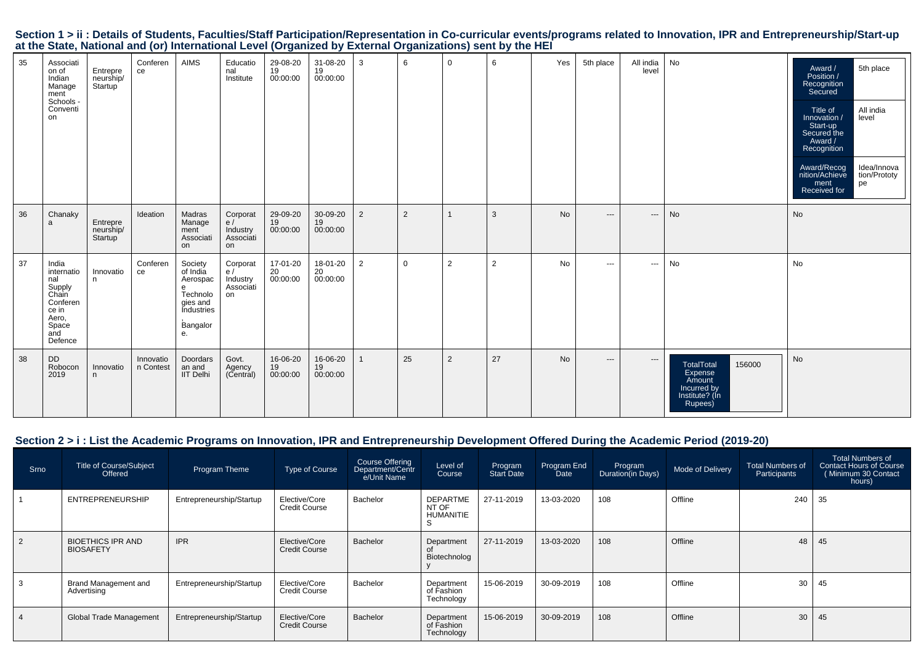|  |                                                                                                           |  |  | Section 1 > ii : Details of Students, Faculties/Staff Participation/Representation in Co-curricular events/programs related to Innovation, IPR and Entrepreneurship/Start-up |  |
|--|-----------------------------------------------------------------------------------------------------------|--|--|------------------------------------------------------------------------------------------------------------------------------------------------------------------------------|--|
|  | at the State, National and (or) International Level (Organized by External Organizations) sent by the HEI |  |  |                                                                                                                                                                              |  |

| 35 | Associati<br>on of<br>Indian<br>Manage<br>ment<br>Schools -<br>Conventi<br>on                          | Entrepre<br>neurship/<br>Startup | Conferen<br>ce         | AIMS                                                                                         | Educatio<br>nal<br>Institute                  | 29-08-20<br>$\frac{19}{19}$ 00:00:00 | 31-08-20<br>19<br>00:00:00   | 3              | 6           | $\mathbf 0$ | 6              | Yes       | 5th place     | All india<br>level            | No                                                                                           | 5th place<br>Award /<br>Position /<br>Recognition<br>Secured<br>All india<br>Title of<br>level<br>Innovation /<br>Start-up<br>Secured the<br>Award /<br>Recognition<br>Award/Recog<br>nition/Achieve<br>Idea/Innova<br>tion/Prototy<br>pe<br>ment<br>Received for |
|----|--------------------------------------------------------------------------------------------------------|----------------------------------|------------------------|----------------------------------------------------------------------------------------------|-----------------------------------------------|--------------------------------------|------------------------------|----------------|-------------|-------------|----------------|-----------|---------------|-------------------------------|----------------------------------------------------------------------------------------------|-------------------------------------------------------------------------------------------------------------------------------------------------------------------------------------------------------------------------------------------------------------------|
| 36 | Chanaky<br>a                                                                                           | Entrepre<br>neurship/<br>Startup | Ideation               | Madras<br>Manage<br>ment<br>Associati<br>on                                                  | Corporat<br>e/<br>Industry<br>Associati<br>on | 29-09-20<br>19<br>00:00:00           | 30-09-20<br>19<br>00:00:00   | 2              | 2           |             | 3              | No        | $---$         | $\hspace{1.5cm} \textbf{---}$ | No                                                                                           | No                                                                                                                                                                                                                                                                |
| 37 | India<br>internatio<br>nal<br>Supply<br>Chain<br>Conferen<br>ce in<br>Aero,<br>Space<br>and<br>Defence | Innovatio<br>n                   | Conferen<br>ce         | Society<br>of India<br>Aerospac<br>e<br>Technolo<br>gies and<br>Industries<br>Bangalor<br>е. | Corporat<br>e/<br>Industry<br>Associati<br>on | 17-01-20<br>20<br>00:00:00           | 18-01-20<br>$20$<br>00:00:00 | $\overline{2}$ | $\mathbf 0$ | 2           | $\overline{2}$ | No        | $\sim$ $\sim$ | $\hspace{0.05cm} \ldots$      | No                                                                                           | No                                                                                                                                                                                                                                                                |
| 38 | <b>DD</b><br>Robocon<br>2019                                                                           | Innovatio<br>n                   | Innovatio<br>n Contest | Doordars<br>an and<br><b>IIT Delhi</b>                                                       | Govt.<br>Agency<br>(Central)                  | 16-06-20<br>19<br>00:00:00           | 16-06-20<br>19<br>00:00:00   |                | 25          | 2           | 27             | <b>No</b> | $---$         | $\qquad \qquad - -$           | 156000<br><b>TotalTotal</b><br>Expense<br>Amount<br>Incurred by<br>Institute? (In<br>Rupees) | No                                                                                                                                                                                                                                                                |

# **Section 2 > i : List the Academic Programs on Innovation, IPR and Entrepreneurship Development Offered During the Academic Period (2019-20)**

| Srno | Title of Course/Subject<br>Offered           | Program Theme            | Type of Course                        | Course Offering<br>Department/Centr<br>e/Unit Name | Level of<br>Course                     | Program<br><b>Start Date</b> | Program End<br>Date | Program<br>Duration(in Days) | Mode of Delivery | Total Numbers of<br>Participants | Total Numbers of<br><b>Contact Hours of Course</b><br>(Minimum 30 Contact<br>hours) |
|------|----------------------------------------------|--------------------------|---------------------------------------|----------------------------------------------------|----------------------------------------|------------------------------|---------------------|------------------------------|------------------|----------------------------------|-------------------------------------------------------------------------------------|
|      | <b>ENTREPRENEURSHIP</b>                      | Entrepreneurship/Startup | Elective/Core<br><b>Credit Course</b> | Bachelor                                           | <b>DEPARTME</b><br>NT OF<br>HUMANITIE  | 27-11-2019                   | 13-03-2020          | 108                          | Offline          | 240                              | 35                                                                                  |
|      | <b>BIOETHICS IPR AND</b><br><b>BIOSAFETY</b> | <b>IPR</b>               | Elective/Core<br><b>Credit Course</b> | Bachelor                                           | Department<br>Biotechnolog             | 27-11-2019                   | 13-03-2020          | 108                          | Offline          | 48                               | 45                                                                                  |
|      | Brand Management and<br>Advertising          | Entrepreneurship/Startup | Elective/Core<br><b>Credit Course</b> | Bachelor                                           | Department<br>of Fashion<br>Technology | 15-06-2019                   | 30-09-2019          | 108                          | Offline          | 30                               | 45                                                                                  |
|      | <b>Global Trade Management</b>               | Entrepreneurship/Startup | Elective/Core<br><b>Credit Course</b> | Bachelor                                           | Department<br>of Fashion<br>Technology | 15-06-2019                   | 30-09-2019          | 108                          | Offline          | 30                               | 45                                                                                  |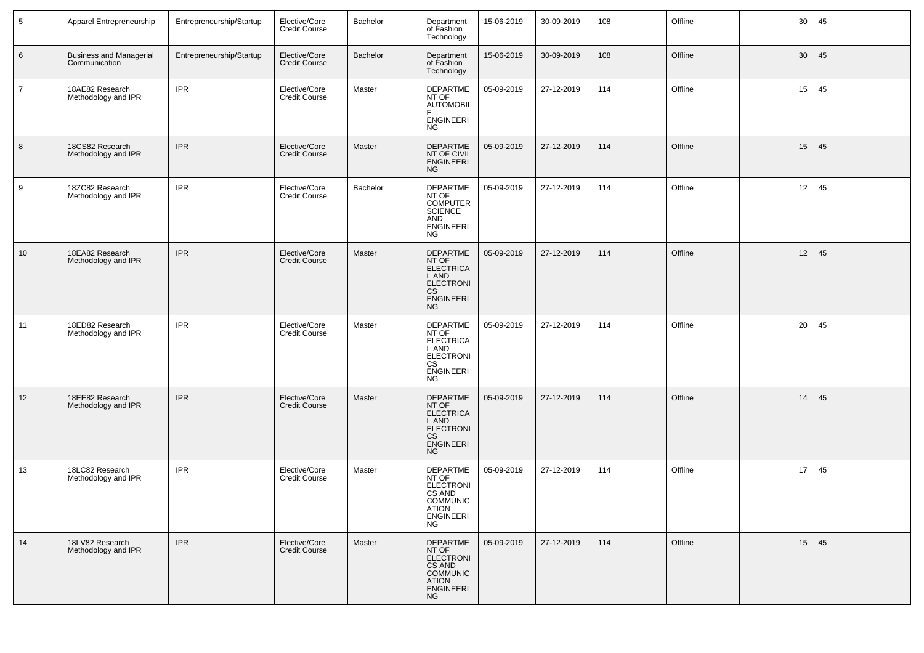| 5              | Apparel Entrepreneurship                        | Entrepreneurship/Startup | Elective/Core<br>Credit Course        | Bachelor | Department<br>of Fashion<br>Technology                                                                              | 15-06-2019 | 30-09-2019 | 108 | Offline | 30 | 45 |
|----------------|-------------------------------------------------|--------------------------|---------------------------------------|----------|---------------------------------------------------------------------------------------------------------------------|------------|------------|-----|---------|----|----|
| 6              | <b>Business and Managerial</b><br>Communication | Entrepreneurship/Startup | Elective/Core<br><b>Credit Course</b> | Bachelor | Department<br>of Fashion<br>Technology                                                                              | 15-06-2019 | 30-09-2019 | 108 | Offline | 30 | 45 |
| $\overline{7}$ | 18AE82 Research<br>Methodology and IPR          | <b>IPR</b>               | Elective/Core<br><b>Credit Course</b> | Master   | <b>DEPARTME</b><br>NT OF<br><b>AUTOMOBIL</b><br>E<br><b>ENGINEERI</b><br><b>NG</b>                                  | 05-09-2019 | 27-12-2019 | 114 | Offline | 15 | 45 |
| 8              | 18CS82 Research<br>Methodology and IPR          | <b>IPR</b>               | Elective/Core<br><b>Credit Course</b> | Master   | DEPARTME<br>NT OF CIVIL<br><b>ENGINEERI</b><br><b>NG</b>                                                            | 05-09-2019 | 27-12-2019 | 114 | Offline | 15 | 45 |
| 9              | 18ZC82 Research<br>Methodology and IPR          | <b>IPR</b>               | Elective/Core<br><b>Credit Course</b> | Bachelor | <b>DEPARTME</b><br>NT OF<br><b>COMPUTER</b><br><b>SCIENCE</b><br>AND<br><b>ENGINEERI</b><br><b>NG</b>               | 05-09-2019 | 27-12-2019 | 114 | Offline | 12 | 45 |
| 10             | 18EA82 Research<br>Methodology and IPR          | <b>IPR</b>               | Elective/Core<br><b>Credit Course</b> | Master   | <b>DEPARTME</b><br>NT OF<br>ELECTRICA<br>L AND<br><b>ELECTRONI</b><br>CS<br>ENGINEERI<br><b>NG</b>                  | 05-09-2019 | 27-12-2019 | 114 | Offline | 12 | 45 |
| 11             | 18ED82 Research<br>Methodology and IPR          | <b>IPR</b>               | Elective/Core<br><b>Credit Course</b> | Master   | DEPARTME<br>NT OF<br>ELECTRICA<br>L AND<br><b>ELECTRONI</b><br>CS<br><b>ENGINEERI</b><br><b>NG</b>                  | 05-09-2019 | 27-12-2019 | 114 | Offline | 20 | 45 |
| 12             | 18EE82 Research<br>Methodology and IPR          | <b>IPR</b>               | Elective/Core<br><b>Credit Course</b> | Master   | DEPARTME<br>NT OF<br>ELECTRICA<br>L AND<br><b>ELECTRONI</b><br><b>CS</b><br><b>ENGINEERI</b><br><b>NG</b>           | 05-09-2019 | 27-12-2019 | 114 | Offline | 14 | 45 |
| 13             | 18LC82 Research<br>Methodology and IPR          | <b>IPR</b>               | Elective/Core<br><b>Credit Course</b> | Master   | DEPARTME<br>NT OF<br>ELECTRONI<br>CS AND<br><b>COMMUNIC</b><br>ATION<br>ENGINEERI<br><b>NG</b>                      | 05-09-2019 | 27-12-2019 | 114 | Offline | 17 | 45 |
| 14             | 18LV82 Research<br>Methodology and IPR          | <b>IPR</b>               | Elective/Core<br><b>Credit Course</b> | Master   | <b>DEPARTME</b><br>NT OF<br><b>ELECTRONI</b><br>CS AND<br><b>COMMUNIC</b><br><b>ATION</b><br>ENGINEERI<br><b>NG</b> | 05-09-2019 | 27-12-2019 | 114 | Offline | 15 | 45 |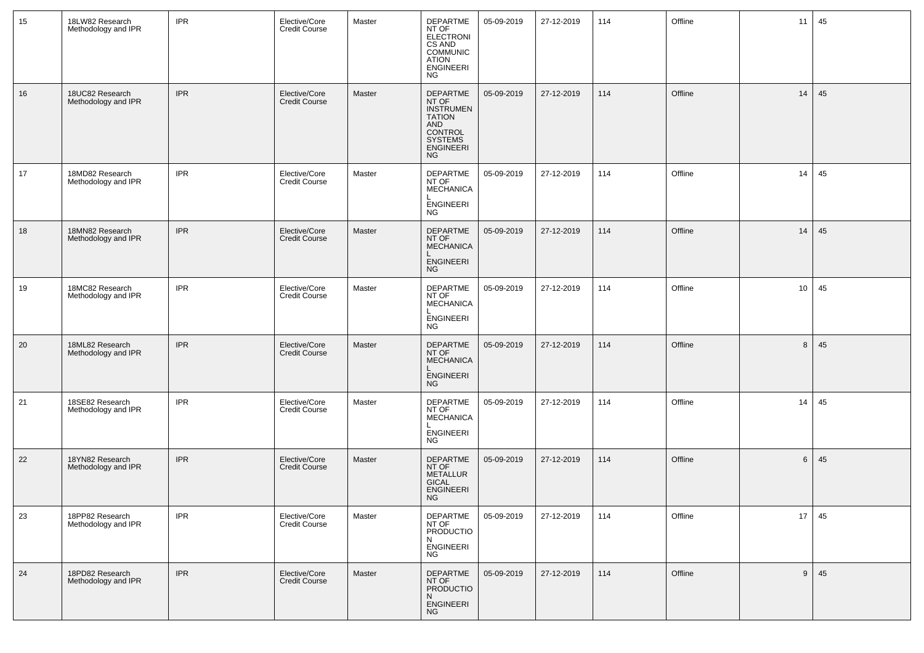| 15 | 18LW82 Research<br>Methodology and IPR | <b>IPR</b> | Elective/Core<br>Credit Course        | Master | DEPARTME<br>NT OF<br>ELECTRONI<br>CS AND<br>COMMUNIC<br><b>ATION</b><br>ENGINEERI<br>NG                       | 05-09-2019 | 27-12-2019 | 114 | Offline | 11 | 45 |
|----|----------------------------------------|------------|---------------------------------------|--------|---------------------------------------------------------------------------------------------------------------|------------|------------|-----|---------|----|----|
| 16 | 18UC82 Research<br>Methodology and IPR | <b>IPR</b> | Elective/Core<br>Credit Course        | Master | DEPARTME<br>NT OF<br><b>INSTRUMEN</b><br><b>TATION</b><br>AND<br>CONTROL<br>SYSTEMS<br>ENGINEERI<br><b>NG</b> | 05-09-2019 | 27-12-2019 | 114 | Offline | 14 | 45 |
| 17 | 18MD82 Research<br>Methodology and IPR | <b>IPR</b> | Elective/Core<br><b>Credit Course</b> | Master | DEPARTME<br>NT OF<br><b>MECHANICA</b><br><b>ENGINEERI</b><br><b>NG</b>                                        | 05-09-2019 | 27-12-2019 | 114 | Offline | 14 | 45 |
| 18 | 18MN82 Research<br>Methodology and IPR | <b>IPR</b> | Elective/Core<br><b>Credit Course</b> | Master | DEPARTME<br>NT OF<br>MECHANICA<br>ENGINEERI<br><b>NG</b>                                                      | 05-09-2019 | 27-12-2019 | 114 | Offline | 14 | 45 |
| 19 | 18MC82 Research<br>Methodology and IPR | <b>IPR</b> | Elective/Core<br><b>Credit Course</b> | Master | DEPARTME<br>NT OF<br><b>MECHANICA</b><br><b>ENGINEERI</b><br><b>NG</b>                                        | 05-09-2019 | 27-12-2019 | 114 | Offline | 10 | 45 |
| 20 | 18ML82 Research<br>Methodology and IPR | <b>IPR</b> | Elective/Core<br><b>Credit Course</b> | Master | DEPARTME<br>NT OF<br><b>MECHANICA</b><br><b>ENGINEERI</b><br><b>NG</b>                                        | 05-09-2019 | 27-12-2019 | 114 | Offline | 8  | 45 |
| 21 | 18SE82 Research<br>Methodology and IPR | <b>IPR</b> | Elective/Core<br><b>Credit Course</b> | Master | DEPARTME<br>NT OF<br><b>MECHANICA</b><br><b>ENGINEERI</b><br>NG                                               | 05-09-2019 | 27-12-2019 | 114 | Offline | 14 | 45 |
| 22 | 18YN82 Research<br>Methodology and IPR | <b>IPR</b> | Elective/Core<br><b>Credit Course</b> | Master | <b>DEPARTME</b><br>NT OF<br><b>METALLUR</b><br><b>GICAL</b><br><b>ENGINEERI</b><br><b>NG</b>                  | 05-09-2019 | 27-12-2019 | 114 | Offline | 6  | 45 |
| 23 | 18PP82 Research<br>Methodology and IPR | <b>IPR</b> | Elective/Core<br>Credit Course        | Master | DEPARTME<br>NT OF<br><b>PRODUCTIO</b><br>N<br>ENGINEERI<br><b>NG</b>                                          | 05-09-2019 | 27-12-2019 | 114 | Offline | 17 | 45 |
| 24 | 18PD82 Research<br>Methodology and IPR | <b>IPR</b> | Elective/Core<br>Credit Course        | Master | DEPARTME<br>NT OF<br>PRODUCTIO<br>N<br><b>ENGINEERI</b><br><b>NG</b>                                          | 05-09-2019 | 27-12-2019 | 114 | Offline | 9  | 45 |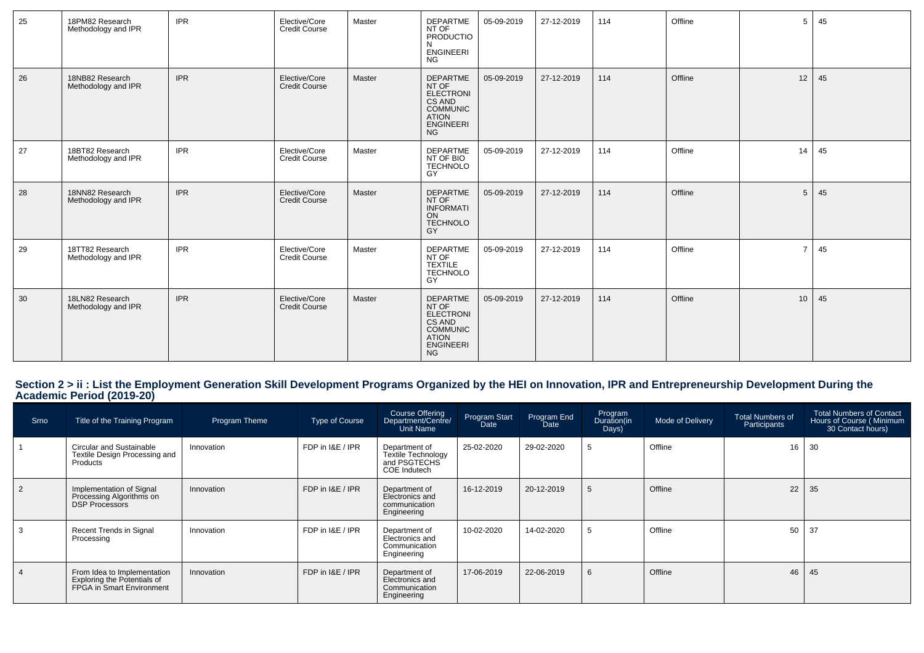| 25 | 18PM82 Research<br>Methodology and IPR | <b>IPR</b> | Elective/Core<br><b>Credit Course</b> | Master | <b>DEPARTME</b><br>NT OF<br>PRODUCTIO<br><b>ENGINEERI</b><br><b>NG</b>                                                     | 05-09-2019 | 27-12-2019 | 114 | Offline | 5               | 45 |
|----|----------------------------------------|------------|---------------------------------------|--------|----------------------------------------------------------------------------------------------------------------------------|------------|------------|-----|---------|-----------------|----|
| 26 | 18NB82 Research<br>Methodology and IPR | <b>IPR</b> | Elective/Core<br><b>Credit Course</b> | Master | <b>DEPARTME</b><br>NT OF<br><b>ELECTRONI</b><br>CS AND<br><b>COMMUNIC</b><br><b>ATION</b><br><b>ENGINEERI</b><br><b>NG</b> | 05-09-2019 | 27-12-2019 | 114 | Offline | 12              | 45 |
| 27 | 18BT82 Research<br>Methodology and IPR | <b>IPR</b> | Elective/Core<br><b>Credit Course</b> | Master | DEPARTME<br>NT OF BIO<br><b>TECHNOLO</b><br>GY                                                                             | 05-09-2019 | 27-12-2019 | 114 | Offline | 14              | 45 |
| 28 | 18NN82 Research<br>Methodology and IPR | <b>IPR</b> | Elective/Core<br><b>Credit Course</b> | Master | DEPARTME<br>NT OF<br><b>INFORMATI</b><br>ON<br><b>TECHNOLO</b><br>GY                                                       | 05-09-2019 | 27-12-2019 | 114 | Offline | 5               | 45 |
| 29 | 18TT82 Research<br>Methodology and IPR | <b>IPR</b> | Elective/Core<br><b>Credit Course</b> | Master | DEPARTME<br>NT OF<br><b>TEXTILE</b><br><b>TECHNOLO</b><br>GY                                                               | 05-09-2019 | 27-12-2019 | 114 | Offline | $\overline{7}$  | 45 |
| 30 | 18LN82 Research<br>Methodology and IPR | <b>IPR</b> | Elective/Core<br><b>Credit Course</b> | Master | <b>DEPARTME</b><br>NT OF<br>ELECTRONI<br>CS AND<br><b>COMMUNIC</b><br><b>ATION</b><br><b>ENGINEERI</b><br><b>NG</b>        | 05-09-2019 | 27-12-2019 | 114 | Offline | 10 <sup>1</sup> | 45 |

# **Section 2 > ii : List the Employment Generation Skill Development Programs Organized by the HEI on Innovation, IPR and Entrepreneurship Development During the Academic Period (2019-20)**

| Srno           | Title of the Training Program                                                           | Program Theme | <b>Type of Course</b> | <b>Course Offering</b><br>Department/Centre/<br>Unit Name           | Program Start<br>Date | Program End<br>Date | Program<br>Duration(in<br>Days) | Mode of Delivery | <b>Total Numbers of</b><br>Participants | <b>Total Numbers of Contact</b><br>Hours of Course (Minimum<br>30 Contact hours) |
|----------------|-----------------------------------------------------------------------------------------|---------------|-----------------------|---------------------------------------------------------------------|-----------------------|---------------------|---------------------------------|------------------|-----------------------------------------|----------------------------------------------------------------------------------|
|                | Circular and Sustainable<br>Textile Design Processing and<br>Products                   | Innovation    | FDP in I&E / IPR      | Department of<br>Textile Technology<br>and PSGTECHS<br>COE Indutech | 25-02-2020            | 29-02-2020          | 5                               | Offline          | 16                                      | 30                                                                               |
| $\frac{2}{2}$  | Implementation of Signal<br>Processing Algorithms on<br><b>DSP Processors</b>           | Innovation    | FDP in I&E / IPR      | Department of<br>Electronics and<br>communication<br>Engineering    | 16-12-2019            | 20-12-2019          |                                 | Offline          | 22                                      | 35                                                                               |
|                | Recent Trends in Signal<br>Processing                                                   | Innovation    | FDP in I&E / IPR      | Department of<br>Electronics and<br>Communication<br>Engineering    | 10-02-2020            | 14-02-2020          | $\mathbf b$                     | Offline          | 50                                      | 37                                                                               |
| $\overline{4}$ | From Idea to Implementation<br>Exploring the Potentials of<br>FPGA in Smart Environment | Innovation    | FDP in I&E / IPR      | Department of<br>Electronics and<br>Communication<br>Engineering    | 17-06-2019            | 22-06-2019          | 6                               | Offline          | 46                                      | 45                                                                               |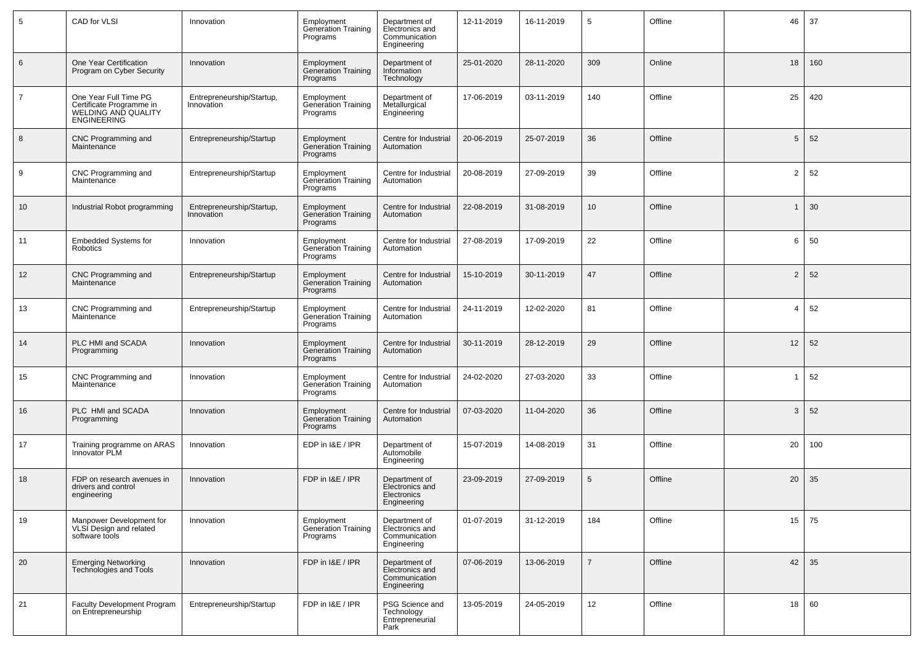| 5              | CAD for VLSI                                                                                   | Innovation                              | Employment<br>Generation Training<br>Programs        | Department of<br>Electronics and<br>Communication<br>Engineering | 12-11-2019 | 16-11-2019 | 5              | Offline | 46             | 37  |
|----------------|------------------------------------------------------------------------------------------------|-----------------------------------------|------------------------------------------------------|------------------------------------------------------------------|------------|------------|----------------|---------|----------------|-----|
| 6              | One Year Certification<br>Program on Cyber Security                                            | Innovation                              | Employment<br><b>Generation Training</b><br>Programs | Department of<br>Information<br>Technology                       | 25-01-2020 | 28-11-2020 | 309            | Online  | 18             | 160 |
| $\overline{7}$ | One Year Full Time PG<br>Certificate Programme in<br>WELDING AND QUALITY<br><b>ENGINEERING</b> | Entrepreneurship/Startup,<br>Innovation | Employment<br>Generation Training<br>Programs        | Department of<br>Metallurgical<br>Engineering                    | 17-06-2019 | 03-11-2019 | 140            | Offline | 25             | 420 |
| 8              | CNC Programming and<br>Maintenance                                                             | Entrepreneurship/Startup                | Employment<br><b>Generation Training</b><br>Programs | Centre for Industrial<br>Automation                              | 20-06-2019 | 25-07-2019 | 36             | Offline | 5              | 52  |
| 9              | CNC Programming and<br>Maintenance                                                             | Entrepreneurship/Startup                | Employment<br>Generation Training<br>Programs        | Centre for Industrial<br>Automation                              | 20-08-2019 | 27-09-2019 | 39             | Offline | $\overline{2}$ | 52  |
| 10             | Industrial Robot programming                                                                   | Entrepreneurship/Startup,<br>Innovation | Employment<br>Generation Training<br>Programs        | Centre for Industrial<br>Automation                              | 22-08-2019 | 31-08-2019 | 10             | Offline | $\mathbf{1}$   | 30  |
| 11             | <b>Embedded Systems for</b><br>Robotics                                                        | Innovation                              | Employment<br><b>Generation Training</b><br>Programs | Centre for Industrial<br>Automation                              | 27-08-2019 | 17-09-2019 | 22             | Offline | 6              | 50  |
| 12             | CNC Programming and<br>Maintenance                                                             | Entrepreneurship/Startup                | Employment<br><b>Generation Training</b><br>Programs | Centre for Industrial<br>Automation                              | 15-10-2019 | 30-11-2019 | 47             | Offline | $\overline{2}$ | 52  |
| 13             | CNC Programming and<br>Maintenance                                                             | Entrepreneurship/Startup                | Employment<br>Generation Training<br>Programs        | Centre for Industrial<br>Automation                              | 24-11-2019 | 12-02-2020 | 81             | Offline | $\overline{4}$ | 52  |
| 14             | PLC HMI and SCADA<br>Programming                                                               | Innovation                              | Employment<br><b>Generation Training</b><br>Programs | Centre for Industrial<br>Automation                              | 30-11-2019 | 28-12-2019 | 29             | Offline | 12             | 52  |
| 15             | CNC Programming and<br>Maintenance                                                             | Innovation                              | Employment<br><b>Generation Training</b><br>Programs | Centre for Industrial<br>Automation                              | 24-02-2020 | 27-03-2020 | 33             | Offline | $\mathbf 1$    | 52  |
| 16             | PLC HMI and SCADA<br>Programming                                                               | Innovation                              | Employment<br>Generation Training<br>Programs        | Centre for Industrial<br>Automation                              | 07-03-2020 | 11-04-2020 | 36             | Offline | 3              | 52  |
| 17             | Training programme on ARAS<br><b>Innovator PLM</b>                                             | Innovation                              | EDP in I&E / IPR                                     | Department of<br>Automobile<br>Engineering                       | 15-07-2019 | 14-08-2019 | 31             | Offline | 20             | 100 |
| 18             | FDP on research avenues in<br>drivers and control<br>engineering                               | Innovation                              | FDP in I&E / IPR                                     | Department of<br>Electronics and<br>Electronics<br>Engineering   | 23-09-2019 | 27-09-2019 | 5              | Offline | 20             | 35  |
| 19             | Manpower Development for<br>VLSI Design and related<br>software tools                          | Innovation                              | Employment<br>Generation Training<br>Programs        | Department of<br>Electronics and<br>Communication<br>Engineering | 01-07-2019 | 31-12-2019 | 184            | Offline | 15             | 75  |
| 20             | Emerging Networking<br>Technologies and Tools                                                  | Innovation                              | FDP in I&E / IPR                                     | Department of<br>Electronics and<br>Communication<br>Engineering | 07-06-2019 | 13-06-2019 | $\overline{7}$ | Offline | 42             | 35  |
| 21             | Faculty Development Program<br>on Entrepreneurship                                             | Entrepreneurship/Startup                | FDP in I&E / IPR                                     | PSG Science and<br>Technology<br>Entrepreneurial<br>Park         | 13-05-2019 | 24-05-2019 | 12             | Offline | 18             | 60  |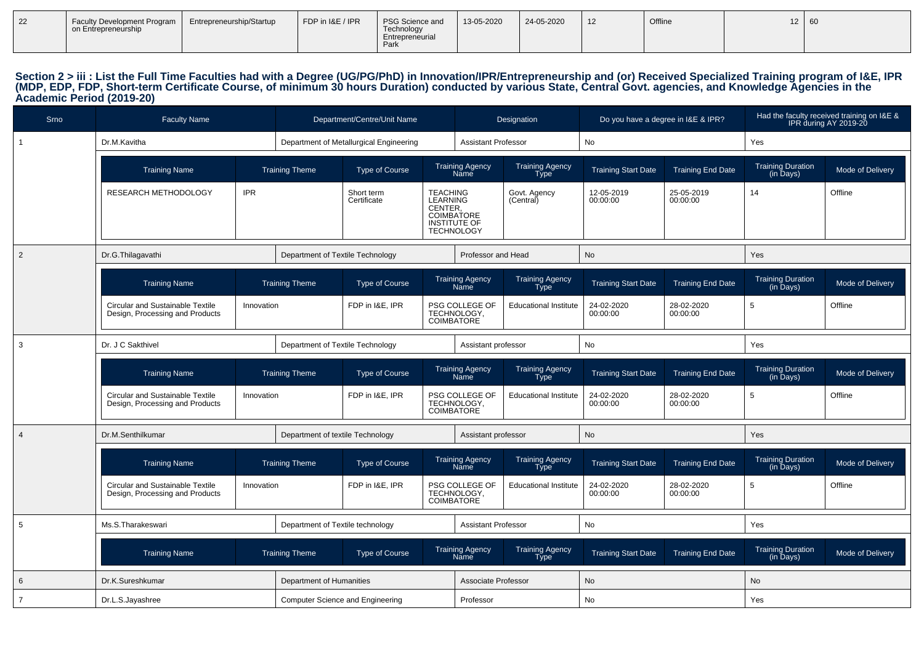| $\vert$ 22 | <b>Faculty Development Program</b><br>on Entrepreneurship | Entrepreneurship/Startup | FDP in I&E / IPR | PSG Science and<br>Technology<br>Entrepreneurial | 13-05-2020 | 24-05-2020 | 12 | Offline | $\overline{ }$ | 160 |
|------------|-----------------------------------------------------------|--------------------------|------------------|--------------------------------------------------|------------|------------|----|---------|----------------|-----|
|            |                                                           |                          |                  | Park                                             |            |            |    |         |                |     |

# Section 2 > iii : List the Full Time Faculties had with a Degree (UG/PG/PhD) in Innovation/IPR/Entrepreneurship and (or) Received Specialized Training program of I&E, IPR<br>(MDP, EDP, FDP, Short-term Certificate Course, of m

| <b>Srno</b>    | <b>Faculty Name</b>                                                                      |            | Department/Centre/Unit Name                    |                                         |                                                                                                         |                                       | Designation                           | Do you have a degree in I&E & IPR? |                          | Had the faculty received training on I&E &<br>IPR during AY 2019-20 |                  |
|----------------|------------------------------------------------------------------------------------------|------------|------------------------------------------------|-----------------------------------------|---------------------------------------------------------------------------------------------------------|---------------------------------------|---------------------------------------|------------------------------------|--------------------------|---------------------------------------------------------------------|------------------|
| $\overline{1}$ | Dr.M.Kavitha                                                                             |            |                                                | Department of Metallurgical Engineering |                                                                                                         | <b>Assistant Professor</b>            |                                       | No                                 |                          | Yes                                                                 |                  |
|                | <b>Training Name</b>                                                                     |            | <b>Training Theme</b>                          | <b>Type of Course</b>                   |                                                                                                         | Training Agency<br>Name               | Training Agency<br>Type               | <b>Training Start Date</b>         | <b>Training End Date</b> | Training Duration<br>(in Days)                                      | Mode of Delivery |
|                | RESEARCH METHODOLOGY                                                                     | <b>IPR</b> |                                                | Short term<br>Certificate               | <b>TEACHING</b><br><b>LEARNING</b><br>CENTER,<br>COIMBATORE<br><b>INSTITUTE OF</b><br><b>TECHNOLOGY</b> |                                       | Govt. Agency<br>(Central)             | 12-05-2019<br>00:00:00             | 25-05-2019<br>00:00:00   | 14                                                                  | Offline          |
| $\overline{2}$ | Dr.G.Thilagavathi                                                                        |            | Department of Textile Technology               |                                         |                                                                                                         | Professor and Head                    |                                       | No                                 |                          | Yes                                                                 |                  |
|                | <b>Training Name</b>                                                                     |            | <b>Training Theme</b>                          | <b>Type of Course</b>                   |                                                                                                         | <b>Training Agency</b><br><b>Name</b> | <b>Training Agency</b><br><b>Type</b> | <b>Training Start Date</b>         | <b>Training End Date</b> | <b>Training Duration</b><br>$(in \bar{D}$ ays $)$                   | Mode of Delivery |
|                | <b>Circular and Sustainable Textile</b><br>Innovation<br>Design, Processing and Products |            | FDP in I&E, IPR                                |                                         | <b>COIMBATORE</b>                                                                                       | PSG COLLEGE OF<br>TECHNOLOGY,         | <b>Educational Institute</b>          | 24-02-2020<br>00:00:00             | 28-02-2020<br>00:00:00   | 5                                                                   | Offline          |
| 3              | Dr. J C Sakthivel                                                                        |            | Department of Textile Technology               |                                         |                                                                                                         | Assistant professor                   |                                       | <b>No</b>                          |                          | Yes                                                                 |                  |
|                | <b>Training Name</b>                                                                     |            | <b>Training Theme</b><br><b>Type of Course</b> |                                         |                                                                                                         | <b>Training Agency</b><br>Name        | <b>Training Agency</b><br><b>Type</b> | <b>Training Start Date</b>         | <b>Training End Date</b> | <b>Training Duration</b><br>(in Days)                               | Mode of Delivery |
|                | <b>Circular and Sustainable Textile</b><br>Design, Processing and Products               | Innovation | FDP in I&E, IPR                                |                                         | COIMBATORE                                                                                              | PSG COLLEGE OF<br>TECHNOLOGY,         | <b>Educational Institute</b>          | 24-02-2020<br>00:00:00             | 28-02-2020<br>00:00:00   | 5                                                                   | Offline          |
| $\overline{4}$ | Dr.M.Senthilkumar                                                                        |            | Department of textile Technology               |                                         |                                                                                                         | Assistant professor                   |                                       | <b>No</b>                          |                          | Yes                                                                 |                  |
|                | <b>Training Name</b>                                                                     |            | <b>Training Theme</b>                          | <b>Type of Course</b>                   |                                                                                                         | <b>Training Agency</b><br>Name        | <b>Training Agency</b><br><b>Type</b> | <b>Training Start Date</b>         | <b>Training End Date</b> | <b>Training Duration</b><br>(in Days)                               | Mode of Delivery |
|                | <b>Circular and Sustainable Textile</b><br>Design, Processing and Products               | Innovation |                                                | FDP in I&E, IPR                         | <b>COIMBATORE</b>                                                                                       | PSG COLLEGE OF<br>TECHNOLOGY,         | <b>Educational Institute</b>          | 24-02-2020<br>00:00:00             | 28-02-2020<br>00:00:00   | 5                                                                   | Offline          |
| 5              | Ms.S.Tharakeswari                                                                        |            | Department of Textile technology               |                                         |                                                                                                         | <b>Assistant Professor</b>            |                                       | No                                 |                          | Yes                                                                 |                  |
|                | <b>Training Name</b>                                                                     |            | <b>Training Theme</b>                          | <b>Type of Course</b>                   |                                                                                                         | <b>Training Agency</b><br>Name        | <b>Training Agency</b><br><b>Type</b> | <b>Training Start Date</b>         | <b>Training End Date</b> | Training Duration<br>(in Days)                                      | Mode of Delivery |
| 6              | Dr.K.Sureshkumar<br>Department of Humanities                                             |            |                                                |                                         |                                                                                                         | Associate Professor                   |                                       | No                                 |                          | <b>No</b>                                                           |                  |
| $\overline{7}$ | Dr.L.S.Jayashree                                                                         |            | <b>Computer Science and Engineering</b>        |                                         |                                                                                                         | Professor                             |                                       | No                                 |                          | Yes                                                                 |                  |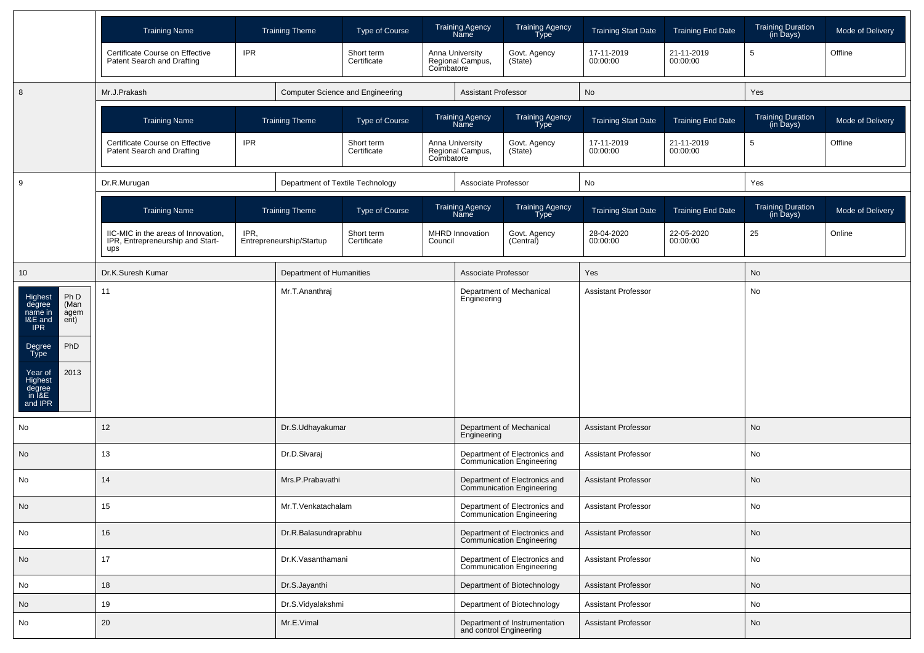|                                                                                                                                                                      | <b>Training Name</b>                                                                                        |                          | <b>Training Theme</b>            | <b>Type of Course</b>            |                     | <b>Training Agency</b><br>Name                           | <b>Training Agency</b><br>Type                             | <b>Training Start Date</b> | <b>Training End Date</b> | <b>Training Duration</b><br>(in Days) | Mode of Delivery |  |
|----------------------------------------------------------------------------------------------------------------------------------------------------------------------|-------------------------------------------------------------------------------------------------------------|--------------------------|----------------------------------|----------------------------------|---------------------|----------------------------------------------------------|------------------------------------------------------------|----------------------------|--------------------------|---------------------------------------|------------------|--|
|                                                                                                                                                                      | Certificate Course on Effective<br>Patent Search and Drafting                                               | <b>IPR</b>               |                                  | Short term<br>Certificate        | Coimbatore          | Anna University<br>Regional Campus,                      | Govt. Agency<br>(State)                                    | 17-11-2019<br>00:00:00     | 21-11-2019<br>00:00:00   | $\sqrt{5}$                            | Offline          |  |
| 8                                                                                                                                                                    | Mr.J.Prakash                                                                                                |                          |                                  | Computer Science and Engineering |                     | <b>Assistant Professor</b>                               |                                                            | No                         |                          | Yes                                   |                  |  |
|                                                                                                                                                                      | <b>Training Name</b>                                                                                        |                          | <b>Training Theme</b>            | Type of Course                   |                     | Training Agency<br>Name                                  | Training Agency<br>Type                                    | <b>Training Start Date</b> | <b>Training End Date</b> | Training Duration<br>(in Days)        | Mode of Delivery |  |
|                                                                                                                                                                      | Certificate Course on Effective<br>Patent Search and Drafting                                               | <b>IPR</b>               |                                  | Short term<br>Certificate        | Coimbatore          | Anna University<br>Regional Campus,                      | Govt. Agency<br>(State)                                    | 17-11-2019<br>00:00:00     | 21-11-2019<br>00:00:00   | 5                                     | Offline          |  |
| 9                                                                                                                                                                    | Dr.R.Murugan                                                                                                |                          | Department of Textile Technology |                                  |                     | Associate Professor                                      |                                                            | No                         |                          | Yes                                   |                  |  |
|                                                                                                                                                                      | <b>Training Name</b>                                                                                        |                          | <b>Training Theme</b>            | <b>Type of Course</b>            |                     | <b>Training Agency</b><br>Name                           | Training Agency<br>Type                                    | <b>Training Start Date</b> | <b>Training End Date</b> | Training Duration<br>(in Days)        | Mode of Delivery |  |
|                                                                                                                                                                      | IIC-MIC in the areas of Innovation,<br>IPR,<br>IPR, Entrepreneurship and Start-<br>ups<br>Dr.K.Suresh Kumar |                          | Entrepreneurship/Startup         | Short term<br>Certificate        | Council             | <b>MHRD Innovation</b>                                   | Govt. Agency<br>(Central)                                  | 28-04-2020<br>00:00:00     | 22-05-2020<br>00:00:00   | 25                                    | Online           |  |
| 10                                                                                                                                                                   |                                                                                                             | Department of Humanities |                                  |                                  | Associate Professor |                                                          | Yes                                                        |                            | No                       |                                       |                  |  |
| Ph D<br>Highest<br>(Man<br>degree<br>name in<br>agem<br>I&E and<br>ent)<br>IPR<br>PhD<br>Degree<br>Type<br>2013<br>Year of<br>Highest<br>degree<br>in I&E<br>and IPR | 11                                                                                                          |                          | Mr.T.Ananthraj                   |                                  |                     | Engineering                                              | Department of Mechanical                                   | <b>Assistant Professor</b> |                          | No                                    |                  |  |
| No                                                                                                                                                                   | 12                                                                                                          |                          | Dr.S.Udhayakumar                 |                                  |                     |                                                          | Department of Mechanical<br>Engineering                    | <b>Assistant Professor</b> |                          | No                                    |                  |  |
| No                                                                                                                                                                   | 13                                                                                                          |                          | Dr.D.Sivaraj                     |                                  |                     |                                                          | Department of Electronics and<br>Communication Engineering | <b>Assistant Professor</b> |                          | No                                    |                  |  |
| No                                                                                                                                                                   | 14                                                                                                          |                          | Mrs.P.Prabavathi                 |                                  |                     |                                                          | Department of Electronics and<br>Communication Engineering | <b>Assistant Professor</b> |                          | No                                    |                  |  |
| No                                                                                                                                                                   | 15                                                                                                          |                          | Mr.T.Venkatachalam               |                                  |                     |                                                          | Department of Electronics and<br>Communication Engineering | <b>Assistant Professor</b> |                          | No                                    |                  |  |
| No                                                                                                                                                                   | 16                                                                                                          | Dr.R.Balasundraprabhu    |                                  |                                  |                     |                                                          | Department of Electronics and<br>Communication Engineering | <b>Assistant Professor</b> |                          | No                                    |                  |  |
| No                                                                                                                                                                   | 17                                                                                                          | Dr.K.Vasanthamani        |                                  |                                  |                     |                                                          | Department of Electronics and<br>Communication Engineering | <b>Assistant Professor</b> |                          | No                                    |                  |  |
| No                                                                                                                                                                   | 18                                                                                                          | Dr.S.Jayanthi            |                                  |                                  |                     | Department of Biotechnology                              |                                                            | <b>Assistant Professor</b> |                          | No                                    |                  |  |
| No                                                                                                                                                                   | 19                                                                                                          | Dr.S.Vidyalakshmi        |                                  |                                  |                     |                                                          | Department of Biotechnology                                | Assistant Professor        |                          | No                                    |                  |  |
| No                                                                                                                                                                   | Mr.E.Vimal<br>20                                                                                            |                          |                                  |                                  |                     | Department of Instrumentation<br>and control Engineering |                                                            | <b>Assistant Professor</b> |                          | No                                    |                  |  |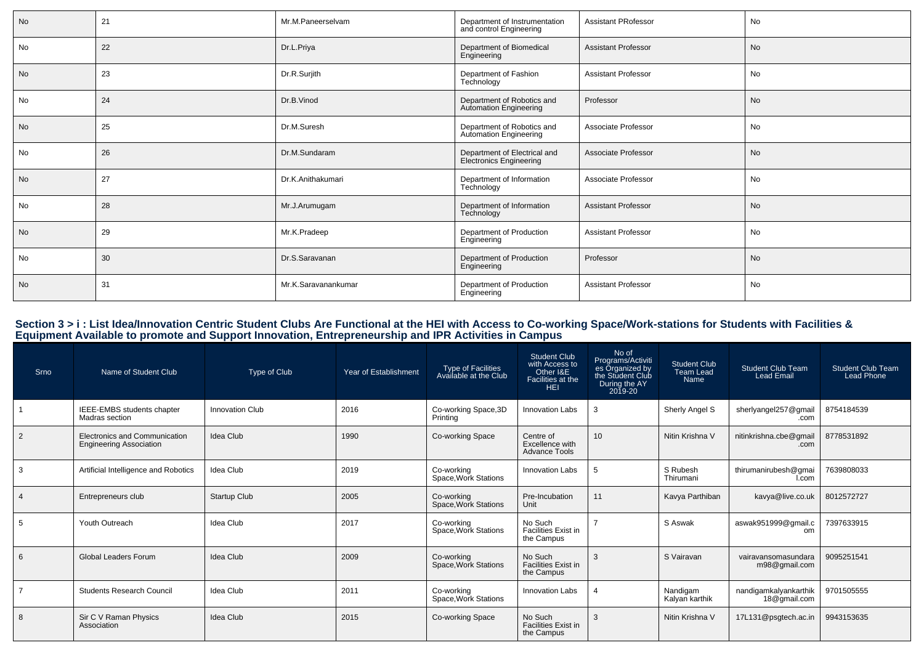| <b>No</b> | 21 | Mr.M.Paneerselvam   | Department of Instrumentation<br>and control Engineering | <b>Assistant PRofessor</b> | No        |
|-----------|----|---------------------|----------------------------------------------------------|----------------------------|-----------|
| No        | 22 | Dr.L.Priya          | Department of Biomedical<br>Engineering                  | <b>Assistant Professor</b> | <b>No</b> |
| No        | 23 | Dr.R.Surjith        | Department of Fashion<br>Technology                      | <b>Assistant Professor</b> | No        |
| No        | 24 | Dr.B.Vinod          | Department of Robotics and<br>Automation Engineering     | Professor                  | <b>No</b> |
| No        | 25 | Dr.M.Suresh         | Department of Robotics and<br>Automation Engineering     | Associate Professor        | No        |
| No        | 26 | Dr.M.Sundaram       | Department of Electrical and<br>Electronics Engineering  | Associate Professor        | <b>No</b> |
| <b>No</b> | 27 | Dr.K.Anithakumari   | Department of Information<br>Technology                  | Associate Professor        | No        |
| No        | 28 | Mr.J.Arumugam       | Department of Information<br>Technology                  | <b>Assistant Professor</b> | <b>No</b> |
| No        | 29 | Mr.K.Pradeep        | Department of Production<br>Engineering                  | <b>Assistant Professor</b> | No        |
| No        | 30 | Dr.S.Saravanan      | Department of Production<br>Engineering                  | Professor                  | <b>No</b> |
| No        | 31 | Mr.K.Saravanankumar | Department of Production<br>Engineering                  | <b>Assistant Professor</b> | No        |

# Section 3 > i : List Idea/Innovation Centric Student Clubs Are Functional at the HEI with Access to Co-working Space/Work-stations for Students with Facilities &<br>Equipment Available to promote and Support Innovation, Entre

| Srno           | Name of Student Club                                            | Type of Club           | Year of Establishment | Type of Facilities<br>Available at the Club | <b>Student Club</b><br>with Access to<br>Other I&E<br>Facilities at the<br><b>HEI</b> | No of<br>Programs/Activiti<br>es Organized by<br>the Student Club<br>During the AY<br>2019-20 | <b>Student Club</b><br><b>Team Lead</b><br>Name | <b>Student Club Team</b><br>Lead Email | <b>Student Club Team</b><br><b>Lead Phone</b> |
|----------------|-----------------------------------------------------------------|------------------------|-----------------------|---------------------------------------------|---------------------------------------------------------------------------------------|-----------------------------------------------------------------------------------------------|-------------------------------------------------|----------------------------------------|-----------------------------------------------|
|                | IEEE-EMBS students chapter<br>Madras section                    | <b>Innovation Club</b> | 2016                  | Co-working Space, 3D<br>Printing            | <b>Innovation Labs</b>                                                                |                                                                                               | Sherly Angel S                                  | sherlyangel257@gmail<br>.com           | 8754184539                                    |
| 2              | Electronics and Communication<br><b>Engineering Association</b> | Idea Club              | 1990                  | Co-working Space                            | Centre of<br>Excellence with<br>Advance Tools                                         | 10 <sup>1</sup>                                                                               | Nitin Krishna V                                 | nitinkrishna.cbe@gmail<br>.com         | 8778531892                                    |
| 3              | Artificial Intelligence and Robotics                            | <b>Idea Club</b>       | 2019                  | Co-working<br>Space, Work Stations          | <b>Innovation Labs</b>                                                                | -5                                                                                            | S Rubesh<br>Thirumani                           | thirumanirubesh@gmai<br>I.com          | 7639808033                                    |
| $\overline{4}$ | Entrepreneurs club                                              | <b>Startup Club</b>    | 2005                  | Co-working<br>Space, Work Stations          | Pre-Incubation<br>Unit                                                                | 11                                                                                            | Kavya Parthiban                                 | kavya@live.co.uk                       | 8012572727                                    |
| 5              | Youth Outreach                                                  | <b>Idea Club</b>       | 2017                  | Co-working<br>Space, Work Stations          | No Such<br><b>Facilities Exist in</b><br>the Campus                                   |                                                                                               | S Aswak                                         | aswak951999@gmail.c<br>om              | 7397633915                                    |
| 6              | <b>Global Leaders Forum</b>                                     | Idea Club              | 2009                  | Co-working<br>Space, Work Stations          | No Such<br><b>Facilities Exist in</b><br>the Campus                                   | 3                                                                                             | S Vairavan                                      | vairavansomasundara<br>m98@gmail.com   | 9095251541                                    |
|                | <b>Students Research Council</b>                                | Idea Club              | 2011                  | Co-working<br>Space, Work Stations          | <b>Innovation Labs</b>                                                                |                                                                                               | Nandigam<br>Kalyan karthik                      | nandigamkalyankarthik<br>18@gmail.com  | 9701505555                                    |
| 8              | Sir C V Raman Physics<br>Association                            | <b>Idea Club</b>       | 2015                  | Co-working Space                            | No Such<br><b>Facilities Exist in</b><br>the Campus                                   | 3                                                                                             | Nitin Krishna V                                 | 17L131@psgtech.ac.in                   | 9943153635                                    |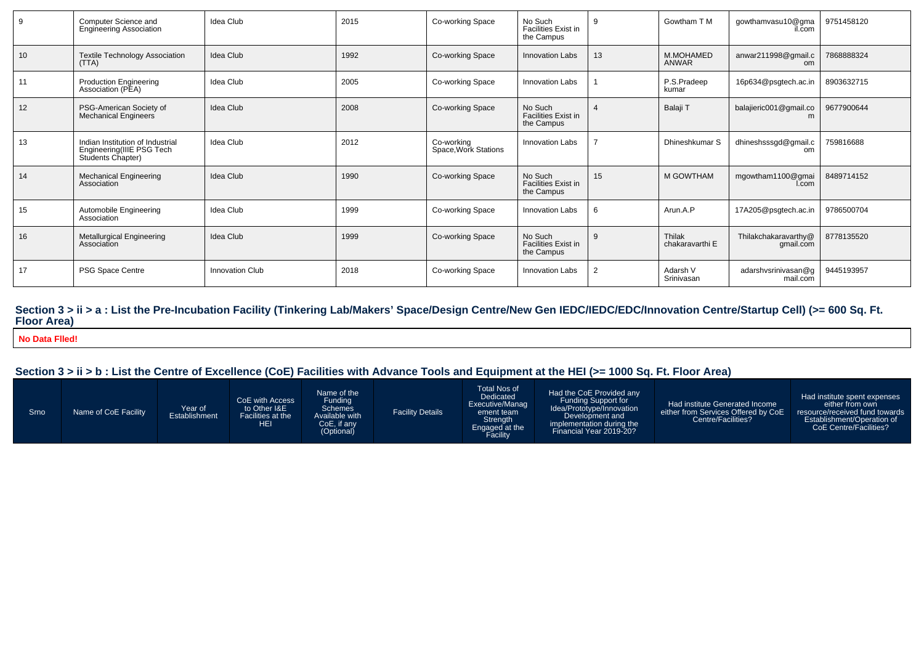| 9  | Computer Science and<br><b>Engineering Association</b>                             | Idea Club       | 2015 | Co-working Space                   | No Such<br><b>Facilities Exist in</b><br>the Campus | 9              | Gowtham T M               | gowthamvasu10@gma<br>il.com       | 9751458120 |
|----|------------------------------------------------------------------------------------|-----------------|------|------------------------------------|-----------------------------------------------------|----------------|---------------------------|-----------------------------------|------------|
| 10 | <b>Textile Technology Association</b><br>(TTA)                                     | Idea Club       | 1992 | Co-working Space                   | <b>Innovation Labs</b>                              | 13             | M.MOHAMED<br><b>ANWAR</b> | anwar211998@gmail.c<br>om         | 7868888324 |
| 11 | <b>Production Engineering</b><br>Association (PEA)                                 | Idea Club       | 2005 | Co-working Space                   | Innovation Labs                                     |                | P.S.Pradeep<br>kumar      | 16p634@psgtech.ac.in              | 8903632715 |
| 12 | PSG-American Society of<br>Mechanical Engineers                                    | Idea Club       | 2008 | Co-working Space                   | No Such<br><b>Facilities Exist in</b><br>the Campus |                | Balaji T                  | balajieric001@gmail.co<br>m       | 9677900644 |
| 13 | Indian Institution of Industrial<br>Engineering(IIIE PSG Tech<br>Students Chapter) | Idea Club       | 2012 | Co-working<br>Space, Work Stations | <b>Innovation Labs</b>                              |                | Dhineshkumar S            | dhineshsssgd@gmail.c<br>om        | 759816688  |
| 14 | <b>Mechanical Engineering</b><br>Association                                       | Idea Club       | 1990 | Co-working Space                   | No Such<br><b>Facilities Exist in</b><br>the Campus | 15             | M GOWTHAM                 | mgowtham1100@gmai<br>I.com        | 8489714152 |
| 15 | Automobile Engineering<br>Association                                              | Idea Club       | 1999 | Co-working Space                   | <b>Innovation Labs</b>                              | 6              | Arun.A.P                  | 17A205@psgtech.ac.in              | 9786500704 |
| 16 | Metallurgical Engineering<br>Association                                           | Idea Club       | 1999 | Co-working Space                   | No Such<br><b>Facilities Exist in</b><br>the Campus | 9              | Thilak<br>chakaravarthi E | Thilakchakaravarthy@<br>gmail.com | 8778135520 |
| 17 | PSG Space Centre                                                                   | Innovation Club | 2018 | Co-working Space                   | <b>Innovation Labs</b>                              | $\overline{2}$ | Adarsh V<br>Srinivasan    | adarshvsrinivasan@q<br>mail.com   | 9445193957 |

# **Section 3 > ii > a : List the Pre-Incubation Facility (Tinkering Lab/Makers' Space/Design Centre/New Gen IEDC/IEDC/EDC/Innovation Centre/Startup Cell) (>= 600 Sq. Ft. Floor Area)**

**No Data Flled!**

| . Srno | Name of CoE Facility | Year of<br>Establishment | CoE with Access<br>to Other I&E<br>Facilities at the<br>HEI | Name of the<br>Fundina<br><b>Schemes</b><br>Available with<br>CoE, if any<br>(Optional) | <b>Facility Details</b> | Total Nos of<br><b>Dedicated</b><br>Executive/Manag<br>ement team<br>Strength<br>Engaged at the<br>Facility | Had the CoE Provided any<br><b>Funding Support for</b><br>Idea/Prototype/Innovation<br>Development and 1<br>implementation during the<br>Financial Year 2019-20? | Had institute Generated Income<br>either from Services Offered by CoE<br>Centre/Facilities? | Had institute spent expenses<br>either from own<br>resource/received fund towards<br>Establishment/Operation of<br>CoE Centre/Facilities? |
|--------|----------------------|--------------------------|-------------------------------------------------------------|-----------------------------------------------------------------------------------------|-------------------------|-------------------------------------------------------------------------------------------------------------|------------------------------------------------------------------------------------------------------------------------------------------------------------------|---------------------------------------------------------------------------------------------|-------------------------------------------------------------------------------------------------------------------------------------------|
|--------|----------------------|--------------------------|-------------------------------------------------------------|-----------------------------------------------------------------------------------------|-------------------------|-------------------------------------------------------------------------------------------------------------|------------------------------------------------------------------------------------------------------------------------------------------------------------------|---------------------------------------------------------------------------------------------|-------------------------------------------------------------------------------------------------------------------------------------------|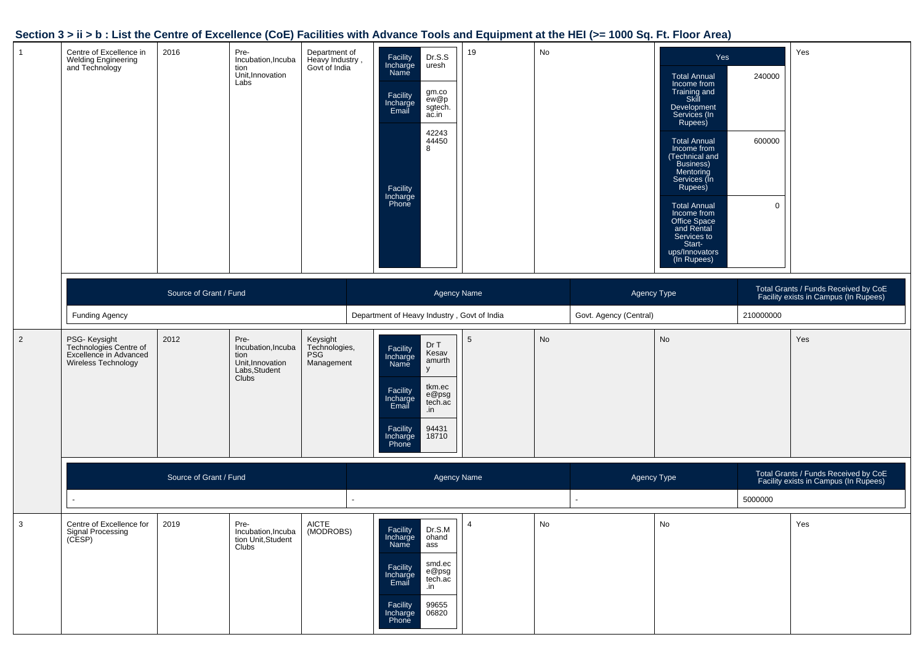| $\mathbf{1}$   | Centre of Excellence in<br>Welding Engineering<br>and Technology                         | 2016                   | Pre-<br>Incubation, Incuba<br>tion<br>Unit, Innovation<br>Labs                   | Department of<br>Heavy Industry,<br>Govt of India     | Dr.S.S<br>Facility<br>Incharge<br>Name<br>uresh<br>gm.co<br>Facility<br>Incharge<br>Email<br>ew@p<br>sgtech.<br>ac.in<br>42243<br>44450<br>8<br>Facility<br>Incharge<br>Phone         | 19                 | No |                        | Yes<br><b>Total Annual</b><br>Income from<br>Training and<br>Skill<br>Development<br>Services (In<br>Rupees)<br><b>Total Annual</b><br>Income from<br>(Technical and<br>Business)<br>Mentoring<br>Services (In<br>Rupees)<br><b>Total Annual</b><br>Income from<br>Office Space<br>and Rental<br>Services to<br>Start-<br>ups/Innovators<br>(In Rupees) | 240000<br>600000<br>$\mathbf 0$ | Yes                                                                           |
|----------------|------------------------------------------------------------------------------------------|------------------------|----------------------------------------------------------------------------------|-------------------------------------------------------|---------------------------------------------------------------------------------------------------------------------------------------------------------------------------------------|--------------------|----|------------------------|---------------------------------------------------------------------------------------------------------------------------------------------------------------------------------------------------------------------------------------------------------------------------------------------------------------------------------------------------------|---------------------------------|-------------------------------------------------------------------------------|
|                |                                                                                          | Source of Grant / Fund |                                                                                  |                                                       |                                                                                                                                                                                       | <b>Agency Name</b> |    | Agency Type            |                                                                                                                                                                                                                                                                                                                                                         |                                 | Total Grants / Funds Received by CoE<br>Facility exists in Campus (In Rupees) |
|                | <b>Funding Agency</b>                                                                    |                        |                                                                                  |                                                       | Department of Heavy Industry, Govt of India                                                                                                                                           |                    |    | Govt. Agency (Central) |                                                                                                                                                                                                                                                                                                                                                         | 210000000                       |                                                                               |
| $\overline{2}$ | PSG- Keysight<br>Technologies Centre of<br>Excellence in Advanced<br>Wireless Technology | 2012                   | Pre-<br>Incubation, Incuba<br>tion<br>Unit, Innovation<br>Labs, Student<br>Clubs | Keysight<br>Technologies,<br><b>PSG</b><br>Management | Dr T<br>Facility<br>Kesav<br>Incharge<br>amurth<br>Name<br>y<br>tkm.ec<br>Facility<br>Incharge<br>Email<br>e@psg<br>tech.ac<br>.in<br>94431<br>Facility<br>Incharge<br>18710<br>Phone | 5                  | No |                        | No                                                                                                                                                                                                                                                                                                                                                      |                                 | Yes                                                                           |
|                |                                                                                          | Source of Grant / Fund |                                                                                  |                                                       |                                                                                                                                                                                       | <b>Agency Name</b> |    | Agency Type            |                                                                                                                                                                                                                                                                                                                                                         |                                 | Total Grants / Funds Received by CoE<br>Facility exists in Campus (In Rupees) |
|                |                                                                                          |                        |                                                                                  |                                                       |                                                                                                                                                                                       |                    |    |                        |                                                                                                                                                                                                                                                                                                                                                         | 5000000                         |                                                                               |
| 3              | Centre of Excellence for<br>Signal Processing<br>(CESP)                                  | 2019                   | Pre-<br>Incubation, Incuba<br>tion Unit, Student<br>Clubs                        | <b>AICTE</b><br>(MODROBS)                             | Dr.S.M<br>Facility<br>Incharge ohand<br>Name<br>ass<br>smd.ec<br>Facility<br>e@psg<br>Incharge<br>Email<br>tech.ac<br>.in<br>99655<br>Facility<br>Incharge<br>Phone<br>06820          | 4                  | No |                        | No                                                                                                                                                                                                                                                                                                                                                      |                                 | Yes                                                                           |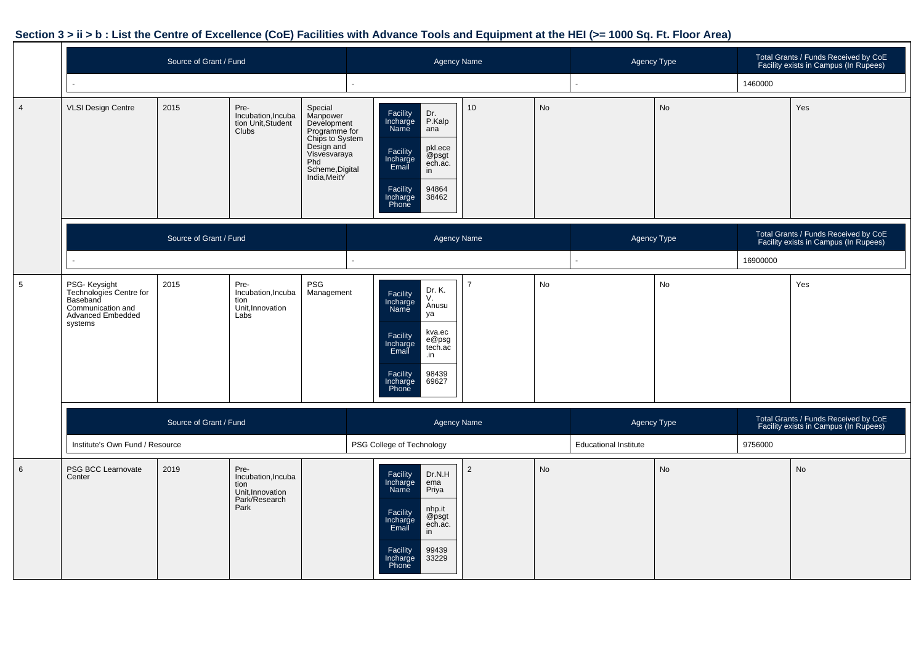|                |                                                                                                           |                        | <b>Agency Name</b>                                                              |                                                                                                                                                |  |                                                                                                                                                                                       | Agency Type    |           | Total Grants / Funds Received by CoE<br>Facility exists in Campus (In Rupees) |           |          |                                                                               |
|----------------|-----------------------------------------------------------------------------------------------------------|------------------------|---------------------------------------------------------------------------------|------------------------------------------------------------------------------------------------------------------------------------------------|--|---------------------------------------------------------------------------------------------------------------------------------------------------------------------------------------|----------------|-----------|-------------------------------------------------------------------------------|-----------|----------|-------------------------------------------------------------------------------|
|                |                                                                                                           |                        |                                                                                 |                                                                                                                                                |  |                                                                                                                                                                                       |                |           |                                                                               |           | 1460000  |                                                                               |
| $\overline{4}$ | <b>VLSI Design Centre</b>                                                                                 | 2015                   | Pre-<br>Incubation, Incuba<br>tion Unit, Student<br><b>Clubs</b>                | Special<br>Manpower<br>Development<br>Programme for<br>Chips to System<br>Design and<br>Visvesvaraya<br>Phd<br>Scheme, Digital<br>India, MeitY |  | Dr.<br>P.Kalp<br>Facility<br>Incharge<br>Name<br>ana<br>pkl.ece<br>Facility<br>Incharge<br>Email<br>@psgt<br>ech.ac.<br>in<br>Facility<br>94864<br>38462<br>Incharge<br>Phone         | 10             | <b>No</b> |                                                                               | <b>No</b> |          | Yes                                                                           |
|                |                                                                                                           | Source of Grant / Fund |                                                                                 |                                                                                                                                                |  | <b>Agency Name</b>                                                                                                                                                                    |                |           | Agency Type                                                                   |           |          | Total Grants / Funds Received by CoE<br>Facility exists in Campus (In Rupees) |
|                |                                                                                                           |                        |                                                                                 |                                                                                                                                                |  |                                                                                                                                                                                       |                |           |                                                                               |           | 16900000 |                                                                               |
| 5              | PSG- Keysight<br>Technologies Centre for<br>Baseband<br>Communication and<br>Advanced Embedded<br>systems | 2015                   | Pre-<br>Incubation, Incuba<br>tion<br>Unit, Innovation<br>Labs                  | PSG<br>Management                                                                                                                              |  | Dr. K.<br>Facility<br>V.<br>Incharge<br>Name<br>Anusu<br>ya<br>kva.ec<br>Facility<br>e@psg<br>Incharge<br>Email<br>tech.ac<br>.in<br>98439<br>Facility<br>69627<br>Incharge<br>Phone  | $\overline{7}$ | No        |                                                                               | No        |          | Yes                                                                           |
|                |                                                                                                           | Source of Grant / Fund |                                                                                 |                                                                                                                                                |  | <b>Agency Name</b>                                                                                                                                                                    |                |           | Agency Type                                                                   |           |          | Total Grants / Funds Received by CoE<br>Facility exists in Campus (In Rupees) |
|                | Institute's Own Fund / Resource                                                                           |                        |                                                                                 |                                                                                                                                                |  | PSG College of Technology                                                                                                                                                             |                |           | <b>Educational Institute</b>                                                  |           | 9756000  |                                                                               |
| 6              | PSG BCC Learnovate<br>Center                                                                              | 2019                   | Pre-<br>Incubation, Incuba<br>tion<br>Unit, Innovation<br>Park/Research<br>Park |                                                                                                                                                |  | Facility<br>Dr.N.H<br>Incharge<br>ema<br>Priya<br><b>Name</b><br>nhp.it<br>Facility<br>Incharge<br>Email<br>@psgt<br>ech.ac.<br>in<br>Facility<br>99439<br>33229<br>Incharge<br>Phone | $\overline{2}$ | <b>No</b> |                                                                               | No        |          | No                                                                            |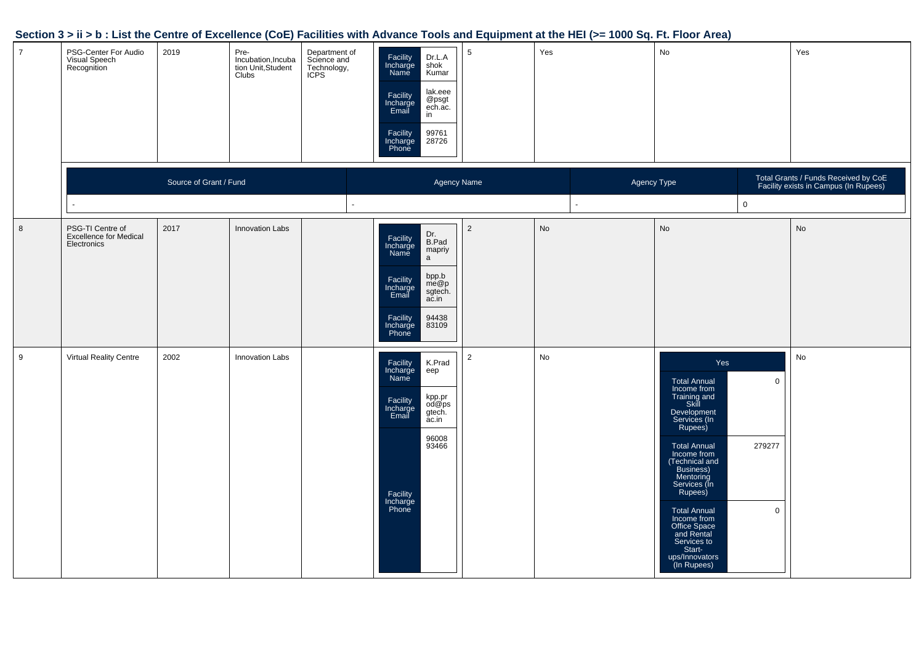| $\overline{7}$ | PSG-Center For Audio<br>Visual Speech<br>Recognition             | 2019                   | Pre-<br>Incubation, Incuba<br>tion Unit, Student<br>Clubs | Department of<br>Science and<br>Technology,<br>ICPS | Dr.L.A<br>Facility<br>Incharge<br>Name<br>shok<br>Kumar<br>lak.eee<br>Facility<br>Incharge<br>Email<br>@psgt<br>ech.ac.<br>in<br>99761<br>Facility<br>Incharge<br>Phone<br>28726                | 5              | Yes         | $\mathsf{No}$                                                                                                                                                                                                                                                                                                                                                                               | Yes                                                                           |
|----------------|------------------------------------------------------------------|------------------------|-----------------------------------------------------------|-----------------------------------------------------|-------------------------------------------------------------------------------------------------------------------------------------------------------------------------------------------------|----------------|-------------|---------------------------------------------------------------------------------------------------------------------------------------------------------------------------------------------------------------------------------------------------------------------------------------------------------------------------------------------------------------------------------------------|-------------------------------------------------------------------------------|
|                |                                                                  | Source of Grant / Fund |                                                           |                                                     | Agency Name                                                                                                                                                                                     |                | Agency Type |                                                                                                                                                                                                                                                                                                                                                                                             | Total Grants / Funds Received by CoE<br>Facility exists in Campus (In Rupees) |
|                |                                                                  |                        |                                                           |                                                     |                                                                                                                                                                                                 |                |             | $\mathsf 0$                                                                                                                                                                                                                                                                                                                                                                                 |                                                                               |
| 8              | PSG-TI Centre of<br><b>Excellence for Medical</b><br>Electronics | 2017                   | <b>Innovation Labs</b>                                    |                                                     | Dr.<br>B.Pad<br>Facility<br>Incharge<br>Name<br>mapriy<br>$\mathsf{a}$<br>bpp.b<br>me@p<br>Facility<br>Incharge<br>Email<br>sgtech.<br>ac.in<br>Facility<br>Incharge<br>Phone<br>94438<br>83109 | $\overline{2}$ | No          | No                                                                                                                                                                                                                                                                                                                                                                                          | No                                                                            |
| 9              | Virtual Reality Centre                                           | 2002                   | <b>Innovation Labs</b>                                    |                                                     | Facility<br>Incharge<br>Name<br>K.Prad<br>eep<br>kpp.pr<br>od@ps<br>gtech.<br>Facility<br>Incharge<br>Email<br>ac.in<br>96008<br>93466<br>Facility<br>Incharge<br>Phone                         | $\overline{2}$ | No          | Yes<br>$\mathsf 0$<br>Total Annual<br>Income from<br>Training and<br>Skill<br>Development<br>Services (In<br>Rupees)<br>279277<br><b>Total Annual</b><br>Income from<br>(Technical and<br>Business)<br>Mentoring<br>Services (In<br>Rupees)<br>$\mathsf 0$<br>Total Annual<br>Income from<br>Office Space<br>and Rental<br>Services to<br>Start-<br>Start-<br>ups/Innovators<br>(In Rupees) | $\operatorname{\mathsf{No}}$                                                  |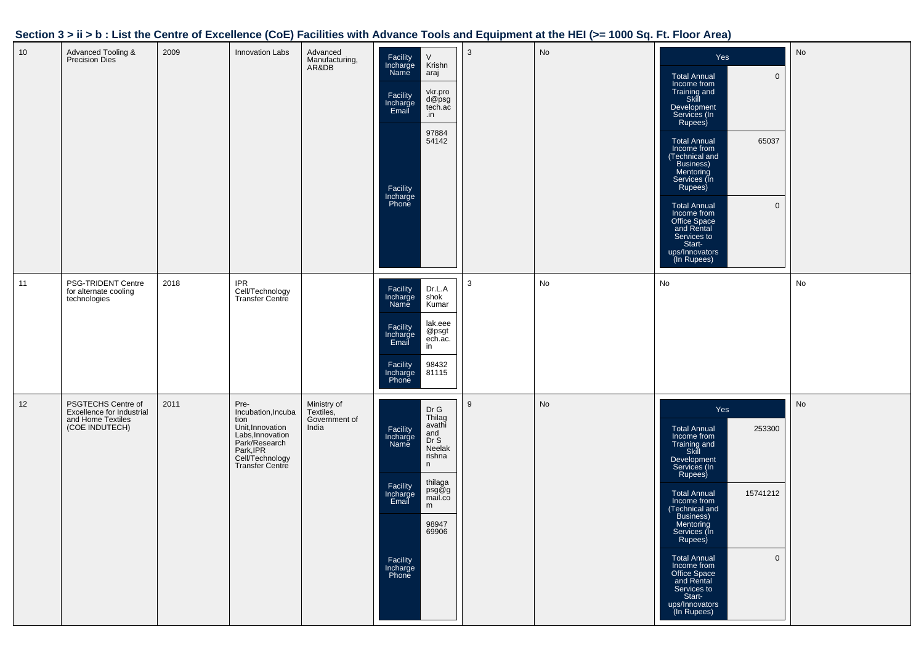| 10 | Advanced Tooling &<br><b>Precision Dies</b>                                            | 2009 | <b>Innovation Labs</b>                                                                                                                         | Advanced<br>Manufacturing,<br>AR&DB                | $\vee$<br>Facility<br>Krishn<br>Incharge<br>Name<br>araj<br>vkr.pro<br>Facility<br>Incharge<br>Email<br>d@psg<br>tech.ac<br>.in<br>97884<br>54142<br>Facility<br>Incharge<br>Phone                                       | 3 | No | Yes<br><b>Total Annual</b><br>$\mathbf 0$<br>Income from<br>Training and<br>Skill<br>Development<br>Services (In<br>Rupees)<br><b>Total Annual</b><br>65037<br>Income from<br>(Technical and<br>Business)<br>Mentoring<br>Services (In<br>Rupees)<br>$\mathbf 0$<br><b>Total Annual</b><br>Income from<br>Office Space<br>and Rental<br>Services to<br>Start-<br>ups/Innovators<br>(In Rupees) | $\mathsf{No}$ |
|----|----------------------------------------------------------------------------------------|------|------------------------------------------------------------------------------------------------------------------------------------------------|----------------------------------------------------|--------------------------------------------------------------------------------------------------------------------------------------------------------------------------------------------------------------------------|---|----|------------------------------------------------------------------------------------------------------------------------------------------------------------------------------------------------------------------------------------------------------------------------------------------------------------------------------------------------------------------------------------------------|---------------|
| 11 | PSG-TRIDENT Centre<br>for alternate cooling<br>technologies                            | 2018 | <b>IPR</b><br>Cell/Technology<br>Transfer Centre                                                                                               |                                                    | Facility<br>Dr.L.A<br>Incharge<br>shok<br>Kumar<br>Name<br>lak.eee<br>Facility<br>Incharge<br>@psgt<br>ech.ac.<br>Email<br>in<br>Facility<br>Incharge<br>Phone<br>98432<br>81115                                         | 3 | No | No                                                                                                                                                                                                                                                                                                                                                                                             | No            |
| 12 | PSGTECHS Centre of<br>Excellence for Industrial<br>and Home Textiles<br>(COE INDUTECH) | 2011 | Pre-<br>Incubation, Incuba<br>tion<br>Unit, Innovation<br>Labs, Innovation<br>Park/Research<br>Park, IPR<br>Cell/Technology<br>Transfer Centre | Ministry of<br>Textiles,<br>Government of<br>India | Dr G<br>Thilag<br>avathi<br>Facility<br>Incharge<br>and<br>Dr S<br>Name<br>Neelak<br>rishna<br>n<br>thilaga<br>Facility<br>psg@g<br>mail.co<br>Incharge<br>Email<br>m<br>98947<br>69906<br>Facility<br>Incharge<br>Phone | 9 | No | Yes<br>253300<br><b>Total Annual</b><br>Income from<br>Training and<br>Skill<br>Development<br>Services (In<br>Rupees)<br><b>Total Annual</b><br>15741212<br>Income from<br>(Technical and<br>Business)<br>Mentoring<br>Services (In<br>Rupees)<br>Total Annual<br>$\mathbf 0$<br>Income from<br>Office Space<br>and Rental<br>Services to<br>Start-<br>ups/Innovators<br>(In Rupees)          | No            |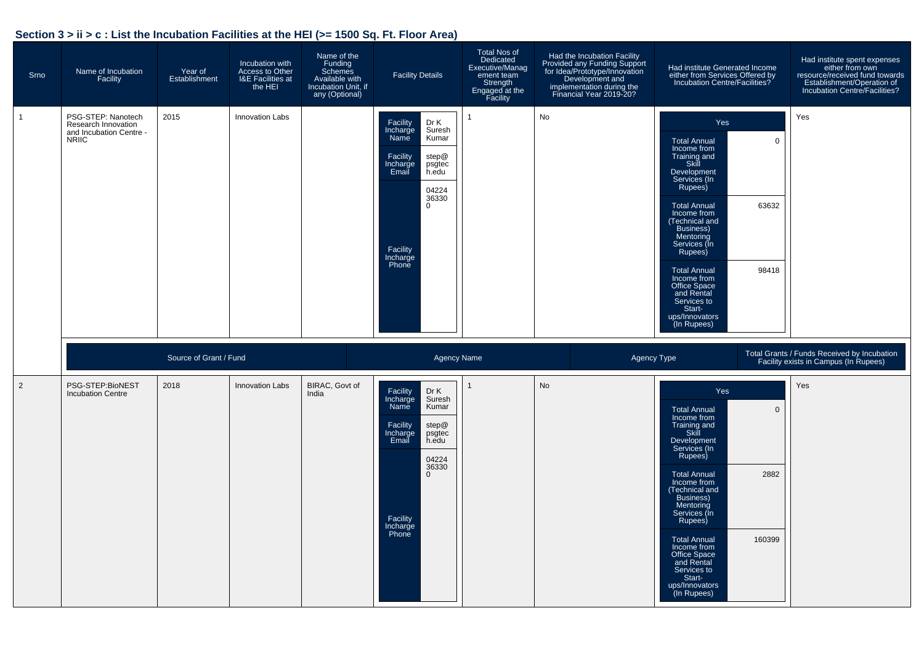# **Section 3 > ii > c : List the Incubation Facilities at the HEI (>= 1500 Sq. Ft. Floor Area)**

| Srno         | Name of Incubation<br>Facility                                                       | Year of<br>Establishment | Incubation with<br>Access to Other<br>I&E Facilities at<br>the HEI | Name of the<br>Funding<br><b>Schemes</b><br>Available with<br>Incubation Unit, if<br>any (Optional) | <b>Facility Details</b>                                                                                                                                                                | Total Nos of<br>Dedicated<br>Executive/Manag<br>ement team<br>Strength<br>Engaged at the<br>Facility | Had the Incubation Facility<br>Provided any Funding Support<br>for Idea/Prototype/Innovation<br>Development and<br>implementation during the<br>Financial Year 2019-20? | Had institute Generated Income<br>either from Services Offered by<br>Incubation Centre/Facilities?                                                                                                                                                                                                                                                                                          | Had institute spent expenses<br>either from own<br>resource/received fund towards<br>Establishment/Operation of<br>Incubation Centre/Facilities? |
|--------------|--------------------------------------------------------------------------------------|--------------------------|--------------------------------------------------------------------|-----------------------------------------------------------------------------------------------------|----------------------------------------------------------------------------------------------------------------------------------------------------------------------------------------|------------------------------------------------------------------------------------------------------|-------------------------------------------------------------------------------------------------------------------------------------------------------------------------|---------------------------------------------------------------------------------------------------------------------------------------------------------------------------------------------------------------------------------------------------------------------------------------------------------------------------------------------------------------------------------------------|--------------------------------------------------------------------------------------------------------------------------------------------------|
| $\mathbf{1}$ | PSG-STEP: Nanotech<br>Research Innovation<br>and Incubation Centre -<br><b>NRIIC</b> | 2015                     | <b>Innovation Labs</b>                                             |                                                                                                     | Dr K<br>Facility<br>Incharge<br>Name<br>Suresh<br>Kumar<br>Facility<br>step@<br>psgtec<br>Incharge<br>Email<br>h.edu<br>04224<br>36330<br>$\mathbf 0$<br>Facility<br>Incharge<br>Phone |                                                                                                      | No                                                                                                                                                                      | Yes<br>$\overline{0}$<br><b>Total Annual</b><br>Income from<br>Training and<br>Skill<br>Development<br>Services (In<br>Rupees)<br>63632<br><b>Total Annual</b><br>Income from<br>(Technical and<br>Business)<br>Mentoring<br>Services (In<br>Rupees)<br>98418<br><b>Total Annual</b><br>Income from<br>Office Space<br>and Rental<br>Services to<br>Start-<br>ups/Innovators<br>(In Rupees) | Yes                                                                                                                                              |
|              |                                                                                      | Source of Grant / Fund   |                                                                    |                                                                                                     | Agency Name                                                                                                                                                                            |                                                                                                      | Agency Type                                                                                                                                                             |                                                                                                                                                                                                                                                                                                                                                                                             | Total Grants / Funds Received by Incubation<br>Facility exists in Campus (In Rupees)                                                             |
| 2            | PSG-STEP:BioNEST<br><b>Incubation Centre</b>                                         | 2018                     | <b>Innovation Labs</b>                                             | BIRAC, Govt of<br>India                                                                             | Dr K<br>Facility<br>Suresh<br>Incharge<br>Kumar<br>Name<br>Facility<br>step@<br>Incharge<br>Email<br>psgtec<br>h.edu<br>04224<br>36330<br>0<br>Facility<br>Incharge<br>Phone           |                                                                                                      | <b>No</b>                                                                                                                                                               | Yes<br><b>Total Annual</b><br>$\overline{0}$<br>Income from<br>Training and<br>Skill<br>Development<br>Services (In<br>Rupees)<br>2882<br><b>Total Annual</b><br>Income from<br>(Technical and<br>Business)<br>Mentoring<br>Services (In<br>Rupees)<br><b>Total Annual</b><br>160399<br>Income from<br>Office Space<br>and Rental<br>Services to<br>Start-<br>ups/Innovators<br>(In Rupees) | Yes                                                                                                                                              |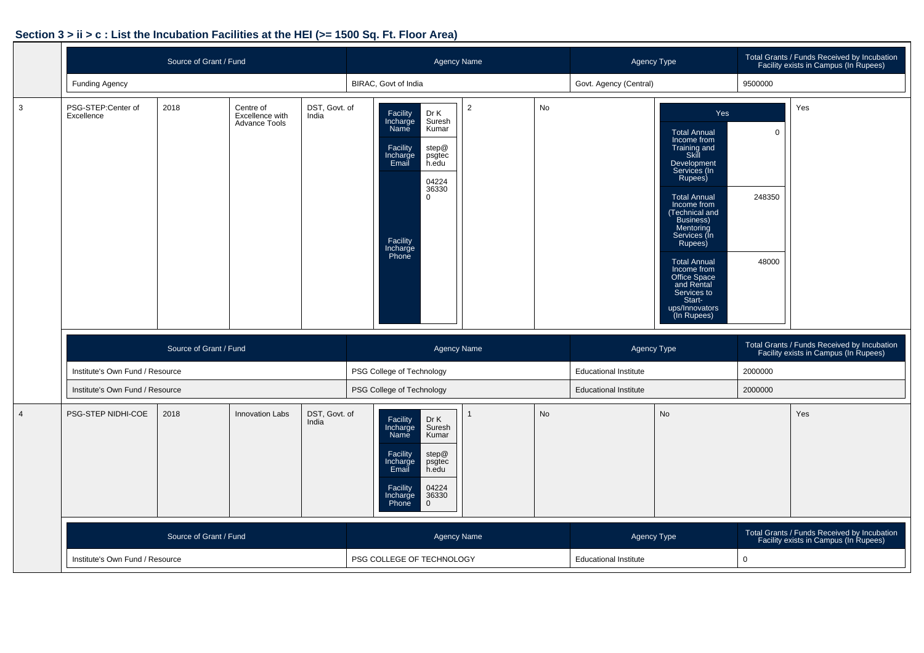# **Section 3 > ii > c : List the Incubation Facilities at the HEI (>= 1500 Sq. Ft. Floor Area)**

|                |                                  | Source of Grant / Fund |                                                      |                        | <b>Agency Name</b>                                                                                                                                                                        |  |    | Agency Type                  |                                                                                                                                                                                                                                                                                                                                                         |                                                                                      | Total Grants / Funds Received by Incubation<br>Facility exists in Campus (In Rupees) |
|----------------|----------------------------------|------------------------|------------------------------------------------------|------------------------|-------------------------------------------------------------------------------------------------------------------------------------------------------------------------------------------|--|----|------------------------------|---------------------------------------------------------------------------------------------------------------------------------------------------------------------------------------------------------------------------------------------------------------------------------------------------------------------------------------------------------|--------------------------------------------------------------------------------------|--------------------------------------------------------------------------------------|
|                | <b>Funding Agency</b>            |                        |                                                      |                        | BIRAC, Govt of India                                                                                                                                                                      |  |    | Govt. Agency (Central)       |                                                                                                                                                                                                                                                                                                                                                         | 9500000                                                                              |                                                                                      |
| 3              | PSG-STEP:Center of<br>Excellence | 2018                   | Centre of<br>Excellence with<br><b>Advance Tools</b> | DST, Govt. of<br>India | Dr K<br>Facility<br>Suresh<br>Incharge<br>Kumar<br>Name<br>Facility<br>step@<br>Incharge<br>Email<br>psgtec<br>h.edu<br>04224<br>36330<br>$\mathbf 0$<br>Facility<br>Incharge<br>Phone    |  |    |                              | Yes<br><b>Total Annual</b><br>Income from<br>Training and<br>Skill<br>Development<br>Services (In<br>Rupees)<br><b>Total Annual</b><br>Income from<br>(Technical and<br>Business)<br>Mentoring<br>Services (In<br>Rupees)<br><b>Total Annual</b><br>Income from<br>Office Space<br>and Rental<br>Services to<br>Start-<br>ups/Innovators<br>(In Rupees) | $\overline{0}$<br>248350<br>48000                                                    | Yes                                                                                  |
|                |                                  | Source of Grant / Fund |                                                      |                        | <b>Agency Name</b>                                                                                                                                                                        |  |    | Agency Type                  |                                                                                                                                                                                                                                                                                                                                                         |                                                                                      | Total Grants / Funds Received by Incubation<br>Facility exists in Campus (In Rupees) |
|                | Institute's Own Fund / Resource  |                        |                                                      |                        | PSG College of Technology                                                                                                                                                                 |  |    | <b>Educational Institute</b> |                                                                                                                                                                                                                                                                                                                                                         | 2000000                                                                              |                                                                                      |
|                | Institute's Own Fund / Resource  |                        |                                                      |                        | PSG College of Technology                                                                                                                                                                 |  |    | <b>Educational Institute</b> |                                                                                                                                                                                                                                                                                                                                                         | 2000000                                                                              |                                                                                      |
| $\overline{4}$ | PSG-STEP NIDHI-COE               | 2018                   | <b>Innovation Labs</b>                               | DST, Govt. of<br>India | Dr K<br>Facility<br>Incharge<br>Name<br>Suresh<br>Kumar<br>step@<br>Facility<br>Incharge<br>psgtec<br>Email<br>h.edu<br>Facility<br>04224<br>36330<br>Incharge<br>Phone<br>$\overline{0}$ |  | No |                              | No                                                                                                                                                                                                                                                                                                                                                      |                                                                                      | Yes                                                                                  |
|                |                                  | Source of Grant / Fund |                                                      |                        | <b>Agency Name</b>                                                                                                                                                                        |  |    | Agency Type                  |                                                                                                                                                                                                                                                                                                                                                         | Total Grants / Funds Received by Incubation<br>Facility exists in Campus (In Rupees) |                                                                                      |
|                | Institute's Own Fund / Resource  |                        |                                                      |                        | PSG COLLEGE OF TECHNOLOGY                                                                                                                                                                 |  |    | <b>Educational Institute</b> |                                                                                                                                                                                                                                                                                                                                                         | $\mathbf 0$                                                                          |                                                                                      |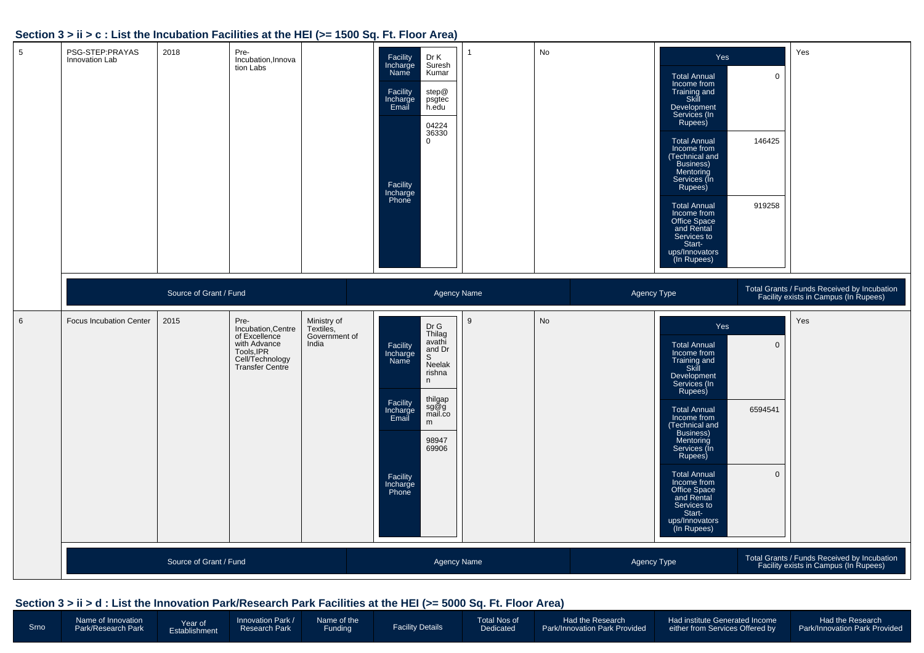#### **Section 3 > ii > c : List the Incubation Facilities at the HEI (>= 1500 Sq. Ft. Floor Area)**

| $5\phantom{.0}$ | PSG-STEP:PRAYAS<br>Innovation Lab | 2018                   | Pre-<br>Incubation, Innova<br>tion Labs                                                                                |                                                    | Facility<br>Incharge<br>Dr K<br>Suresh<br>Name<br>Kumar<br>step@<br>Facility<br>Incharge<br>Email<br>psgtec<br>h.edu<br>04224<br>36330<br>$\mathbf 0$<br>Facility<br>Incharge<br>Phone                                  |   | No | Yes<br><b>Total Annual</b><br>Income from<br>Training and<br>Skill<br>Development<br>Services (In<br>Rupees)<br><b>Total Annual</b><br>Income from<br>(Technical and<br>Business)<br>Mentoring<br>Services (In<br>Rupees)<br><b>Total Annual</b><br>Income from<br>Office Space<br>and Rental<br>Services to<br>Start-<br>ups/Innovators<br>(In Rupees) | $\mathsf 0$<br>146425<br>919258       | Yes                                                                                  |
|-----------------|-----------------------------------|------------------------|------------------------------------------------------------------------------------------------------------------------|----------------------------------------------------|-------------------------------------------------------------------------------------------------------------------------------------------------------------------------------------------------------------------------|---|----|---------------------------------------------------------------------------------------------------------------------------------------------------------------------------------------------------------------------------------------------------------------------------------------------------------------------------------------------------------|---------------------------------------|--------------------------------------------------------------------------------------|
|                 |                                   | Source of Grant / Fund |                                                                                                                        |                                                    | Agency Name                                                                                                                                                                                                             |   |    | Agency Type                                                                                                                                                                                                                                                                                                                                             |                                       | Total Grants / Funds Received by Incubation<br>Facility exists in Campus (In Rupees) |
| 6               | <b>Focus Incubation Center</b>    | 2015                   | Pre-<br>Incubation, Centre<br>of Excellence<br>with Advance<br>Tools, IPR<br>Cell/Technology<br><b>Transfer Centre</b> | Ministry of<br>Textiles.<br>Government of<br>India | Dr G<br>Thilag<br>avathi<br>Facility<br>and Dr<br>Incharge<br>Name<br>S<br>Neelak<br>rishna<br>n<br>thilgap<br>sg@g<br>Facility<br>Incharge<br>Email<br>mail.co<br>m<br>98947<br>69906<br>Facility<br>Incharge<br>Phone | 9 | No | Yes<br><b>Total Annual</b><br>Income from<br>Training and<br>Skill<br>Development<br>Services (In<br>Rupees)<br><b>Total Annual</b><br>Income from<br>Technical and<br>Business)<br>Mentoring<br>Services (In<br>Rupees)<br><b>Total Annual</b><br>Income from<br>Office Space<br>and Rental<br>Services to<br>Start-<br>ups/Innovators<br>(In Rupees)  | $\mathbf 0$<br>6594541<br>$\mathbf 0$ | Yes                                                                                  |
|                 |                                   | Source of Grant / Fund |                                                                                                                        |                                                    | <b>Agency Name</b>                                                                                                                                                                                                      |   |    | Agency Type                                                                                                                                                                                                                                                                                                                                             |                                       | Total Grants / Funds Received by Incubation<br>Facility exists in Campus (In Rupees) |

#### **Section 3 > ii > d : List the Innovation Park/Research Park Facilities at the HEI (>= 5000 Sq. Ft. Floor Area)**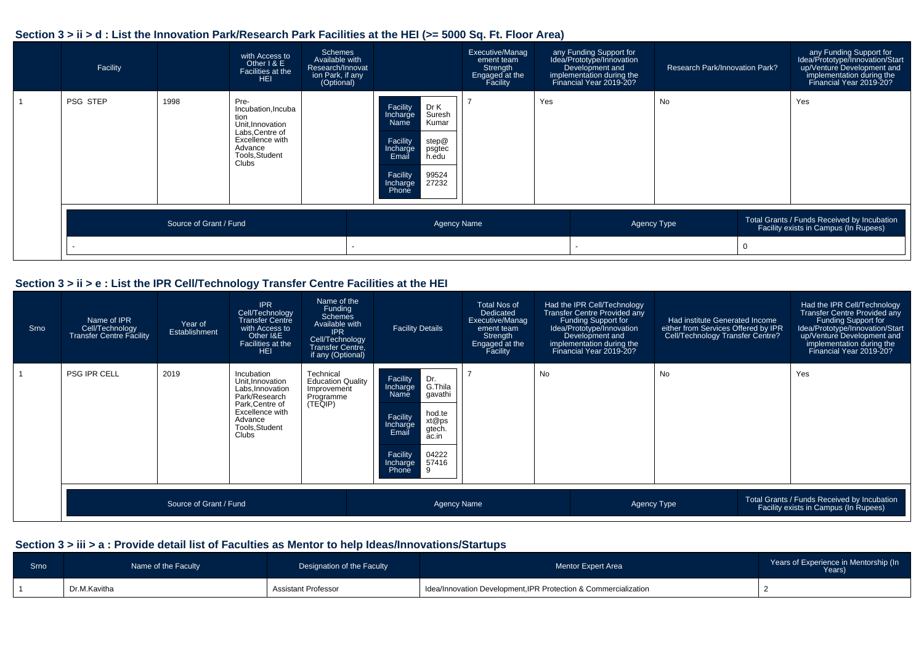#### **Section 3 > ii > d : List the Innovation Park/Research Park Facilities at the HEI (>= 5000 Sq. Ft. Floor Area)**



#### **Section 3 > ii > e : List the IPR Cell/Technology Transfer Centre Facilities at the HEI**

| Srno | Name of IPR<br>Cell/Technology<br><b>Transfer Centre Facility</b> | Year of<br>Establishment | <b>IPR</b><br>Cell/Technology<br><b>Transfer Centre</b><br>with Access to<br>Other I&E<br>Facilities at the<br><b>HEI</b>                              | Name of the<br>Funding<br><b>Schemes</b><br>Available with<br><b>IPR</b><br>Cell/Technology<br><b>Transfer Centre,</b><br>if any (Optional) | <b>Facility Details</b>                                                                                                                                                               | Total Nos of<br>Dedicated<br>Executive/Manag<br>ement team<br>Strength<br>Engaged at the<br>Facility |    | Had the IPR Cell/Technology<br>Transfer Centre Provided any<br>Funding Support for<br>Idea/Prototype/Innovation<br>Development and<br>implementation during the<br>Financial Year 2019-20? | <b>Had institute Generated Income</b><br>either from Services Offered by IPR<br>Cell/Technology Transfer Centre? | Had the IPR Cell/Technology<br><b>Transfer Centre Provided any</b><br>Funding Support for<br>Idea/Prototype/Innovation/Start<br>up/Venture Development and<br>implementation during the<br>Financial Year 2019-20? |
|------|-------------------------------------------------------------------|--------------------------|--------------------------------------------------------------------------------------------------------------------------------------------------------|---------------------------------------------------------------------------------------------------------------------------------------------|---------------------------------------------------------------------------------------------------------------------------------------------------------------------------------------|------------------------------------------------------------------------------------------------------|----|--------------------------------------------------------------------------------------------------------------------------------------------------------------------------------------------|------------------------------------------------------------------------------------------------------------------|--------------------------------------------------------------------------------------------------------------------------------------------------------------------------------------------------------------------|
|      | <b>PSG IPR CELL</b>                                               | 2019                     | Incubation<br>Unit, Innovation<br>Labs, Innovation<br>Park/Research<br>Park, Centre of<br>Excellence with<br>Advance<br>Tools, Student<br><b>Clubs</b> | Technical<br><b>Education Quality</b><br>Improvement<br>Programme<br>(TEQIP)                                                                | Facility<br>Dr.<br>G.Thila<br>Incharge<br>' gavathi<br>Name<br>hod.te<br>Facility<br>xt@ps<br>Incharge<br>gtech.<br>Email<br>ac.in<br>Facility<br>04222<br>57416<br>Incharge<br>Phone |                                                                                                      | No |                                                                                                                                                                                            | No                                                                                                               | Yes                                                                                                                                                                                                                |
|      |                                                                   | Source of Grant / Fund   |                                                                                                                                                        |                                                                                                                                             | Agency Name                                                                                                                                                                           |                                                                                                      |    |                                                                                                                                                                                            | Agency Type                                                                                                      | Total Grants / Funds Received by Incubation<br>Facility exists in Campus (In Rupees)                                                                                                                               |

| Srno | Name of the Faculty | Designation of the Faculty | <b>Mentor Expert Area</b>                                       | Years of Experience in Mentorship (In<br>Years) |
|------|---------------------|----------------------------|-----------------------------------------------------------------|-------------------------------------------------|
|      | Dr.M.Kavitha        | Assistant Professor        | Idea/Innovation Development, IPR Protection & Commercialization |                                                 |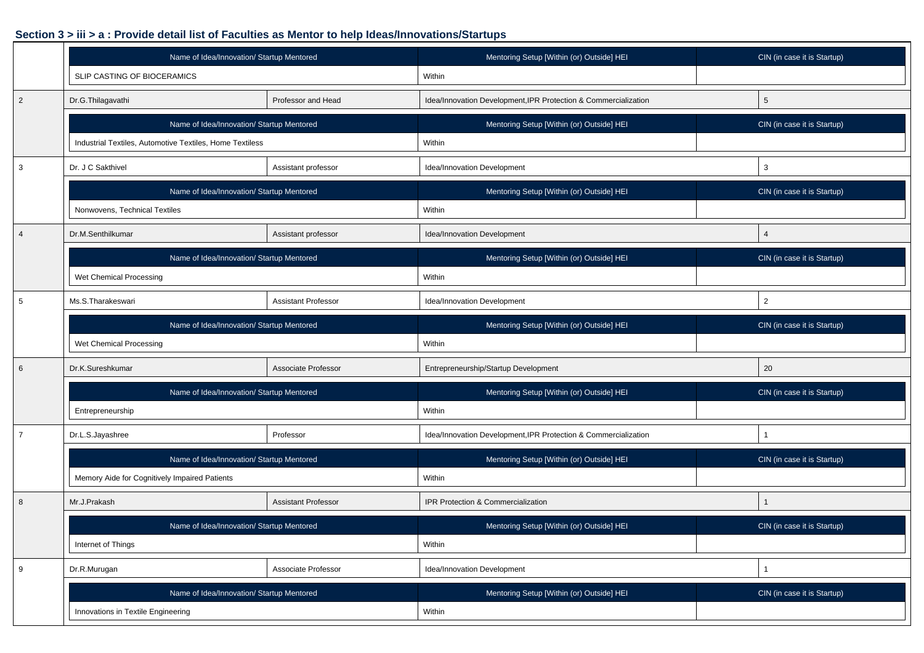|                 | Name of Idea/Innovation/ Startup Mentored                                                                              |                            | Mentoring Setup [Within (or) Outside] HEI                       | CIN (in case it is Startup) |
|-----------------|------------------------------------------------------------------------------------------------------------------------|----------------------------|-----------------------------------------------------------------|-----------------------------|
|                 | SLIP CASTING OF BIOCERAMICS                                                                                            |                            | Within                                                          |                             |
| $\overline{2}$  | Dr.G.Thilagavathi                                                                                                      | Professor and Head         | Idea/Innovation Development, IPR Protection & Commercialization | 5                           |
|                 | Name of Idea/Innovation/ Startup Mentored                                                                              |                            | Mentoring Setup [Within (or) Outside] HEI                       | CIN (in case it is Startup) |
|                 | Industrial Textiles, Automotive Textiles, Home Textiless                                                               |                            | Within                                                          |                             |
| $\mathbf{3}$    | Dr. J C Sakthivel<br>Assistant professor<br>Name of Idea/Innovation/ Startup Mentored<br>Nonwovens, Technical Textiles |                            | Idea/Innovation Development                                     | 3                           |
|                 |                                                                                                                        |                            | Mentoring Setup [Within (or) Outside] HEI                       | CIN (in case it is Startup) |
|                 |                                                                                                                        |                            | Within                                                          |                             |
| $\overline{4}$  | Dr.M.Senthilkumar                                                                                                      | Assistant professor        | Idea/Innovation Development                                     | $\overline{4}$              |
|                 | Name of Idea/Innovation/ Startup Mentored                                                                              |                            | Mentoring Setup [Within (or) Outside] HEI                       | CIN (in case it is Startup) |
|                 | Wet Chemical Processing                                                                                                |                            | Within                                                          |                             |
| $5\phantom{.0}$ | Ms.S.Tharakeswari                                                                                                      | <b>Assistant Professor</b> | Idea/Innovation Development                                     | $\overline{2}$              |
|                 | Name of Idea/Innovation/ Startup Mentored                                                                              |                            | Mentoring Setup [Within (or) Outside] HEI                       | CIN (in case it is Startup) |
|                 | Wet Chemical Processing                                                                                                |                            | Within                                                          |                             |
| 6               | Dr.K.Sureshkumar                                                                                                       | Associate Professor        | Entrepreneurship/Startup Development                            | 20                          |
|                 | Name of Idea/Innovation/ Startup Mentored                                                                              |                            | Mentoring Setup [Within (or) Outside] HEI                       | CIN (in case it is Startup) |
|                 | Entrepreneurship                                                                                                       |                            | Within                                                          |                             |
| $\overline{7}$  | Dr.L.S.Jayashree                                                                                                       | Professor                  | Idea/Innovation Development, IPR Protection & Commercialization | $\mathbf{1}$                |
|                 | Name of Idea/Innovation/ Startup Mentored                                                                              |                            | Mentoring Setup [Within (or) Outside] HEI                       | CIN (in case it is Startup) |
|                 | Memory Aide for Cognitively Impaired Patients                                                                          |                            | Within                                                          |                             |
| 8               | Mr.J.Prakash                                                                                                           | <b>Assistant Professor</b> | IPR Protection & Commercialization                              | 1                           |
|                 | Name of Idea/Innovation/ Startup Mentored                                                                              |                            | Mentoring Setup [Within (or) Outside] HEI                       | CIN (in case it is Startup) |
|                 | Internet of Things                                                                                                     |                            | Within                                                          |                             |
| 9               | Dr.R.Murugan<br>Associate Professor                                                                                    |                            | Idea/Innovation Development                                     | $\mathbf{1}$                |
|                 | Name of Idea/Innovation/ Startup Mentored                                                                              |                            | Mentoring Setup [Within (or) Outside] HEI                       | CIN (in case it is Startup) |
|                 | Innovations in Textile Engineering                                                                                     |                            | Within                                                          |                             |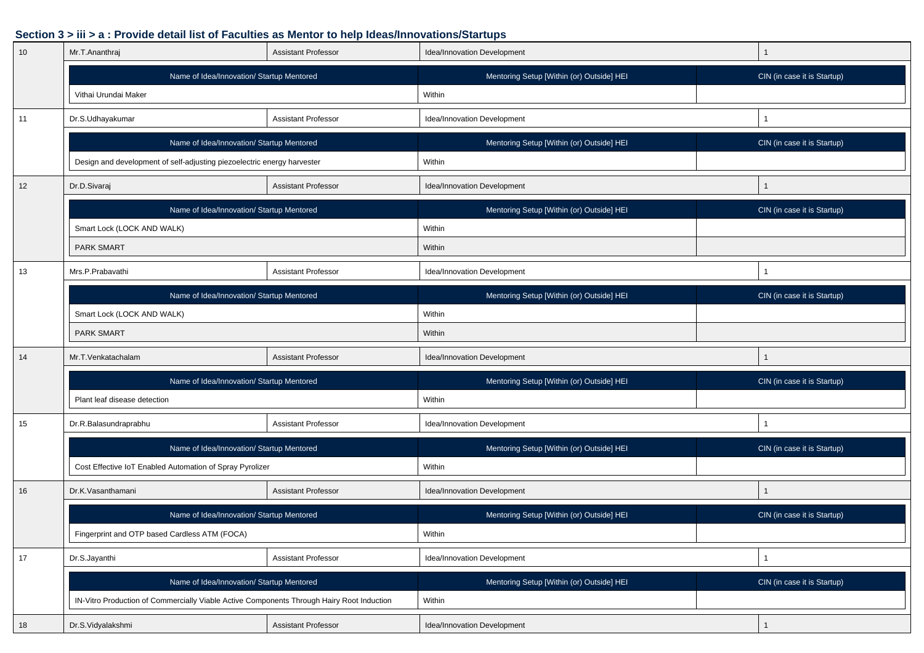| 10 | Mr.T.Ananthraj                                                                            | <b>Assistant Professor</b> | Idea/Innovation Development               |                             |
|----|-------------------------------------------------------------------------------------------|----------------------------|-------------------------------------------|-----------------------------|
|    | Name of Idea/Innovation/ Startup Mentored                                                 |                            | Mentoring Setup [Within (or) Outside] HEI | CIN (in case it is Startup) |
|    | Vithai Urundai Maker                                                                      |                            | Within                                    |                             |
| 11 | Dr.S.Udhayakumar                                                                          | <b>Assistant Professor</b> | Idea/Innovation Development               |                             |
|    | Name of Idea/Innovation/ Startup Mentored                                                 |                            | Mentoring Setup [Within (or) Outside] HEI | CIN (in case it is Startup) |
|    | Design and development of self-adjusting piezoelectric energy harvester                   |                            | Within                                    |                             |
| 12 | Dr.D.Sivaraj                                                                              | <b>Assistant Professor</b> | Idea/Innovation Development               |                             |
|    | Name of Idea/Innovation/ Startup Mentored                                                 |                            | Mentoring Setup [Within (or) Outside] HEI | CIN (in case it is Startup) |
|    | Smart Lock (LOCK AND WALK)                                                                |                            | Within                                    |                             |
|    | <b>PARK SMART</b>                                                                         |                            | Within                                    |                             |
| 13 | Mrs.P.Prabavathi                                                                          | <b>Assistant Professor</b> | Idea/Innovation Development               |                             |
|    | Name of Idea/Innovation/ Startup Mentored                                                 |                            | Mentoring Setup [Within (or) Outside] HEI | CIN (in case it is Startup) |
|    | Smart Lock (LOCK AND WALK)                                                                |                            | Within                                    |                             |
|    | <b>PARK SMART</b>                                                                         |                            | Within                                    |                             |
| 14 | Mr.T.Venkatachalam                                                                        | <b>Assistant Professor</b> | Idea/Innovation Development               |                             |
|    | Name of Idea/Innovation/ Startup Mentored                                                 |                            | Mentoring Setup [Within (or) Outside] HEI | CIN (in case it is Startup) |
|    | Plant leaf disease detection                                                              |                            | Within                                    |                             |
| 15 | Dr.R.Balasundraprabhu                                                                     | <b>Assistant Professor</b> | Idea/Innovation Development               |                             |
|    | Name of Idea/Innovation/ Startup Mentored                                                 |                            | Mentoring Setup [Within (or) Outside] HEI | CIN (in case it is Startup) |
|    | Cost Effective IoT Enabled Automation of Spray Pyrolizer                                  |                            | Within                                    |                             |
| 16 | Dr.K.Vasanthamani                                                                         | <b>Assistant Professor</b> | Idea/Innovation Development               |                             |
|    | Name of Idea/Innovation/ Startup Mentored                                                 |                            | Mentoring Setup [Within (or) Outside] HEI | CIN (in case it is Startup) |
|    | Fingerprint and OTP based Cardless ATM (FOCA)                                             |                            | Within                                    |                             |
| 17 | Dr.S.Jayanthi<br><b>Assistant Professor</b>                                               |                            | Idea/Innovation Development               |                             |
|    | Name of Idea/Innovation/ Startup Mentored                                                 |                            | Mentoring Setup [Within (or) Outside] HEI | CIN (in case it is Startup) |
|    | IN-Vitro Production of Commercially Viable Active Components Through Hairy Root Induction |                            | Within                                    |                             |
| 18 | Dr.S.Vidyalakshmi                                                                         | <b>Assistant Professor</b> | Idea/Innovation Development               | $\mathbf{1}$                |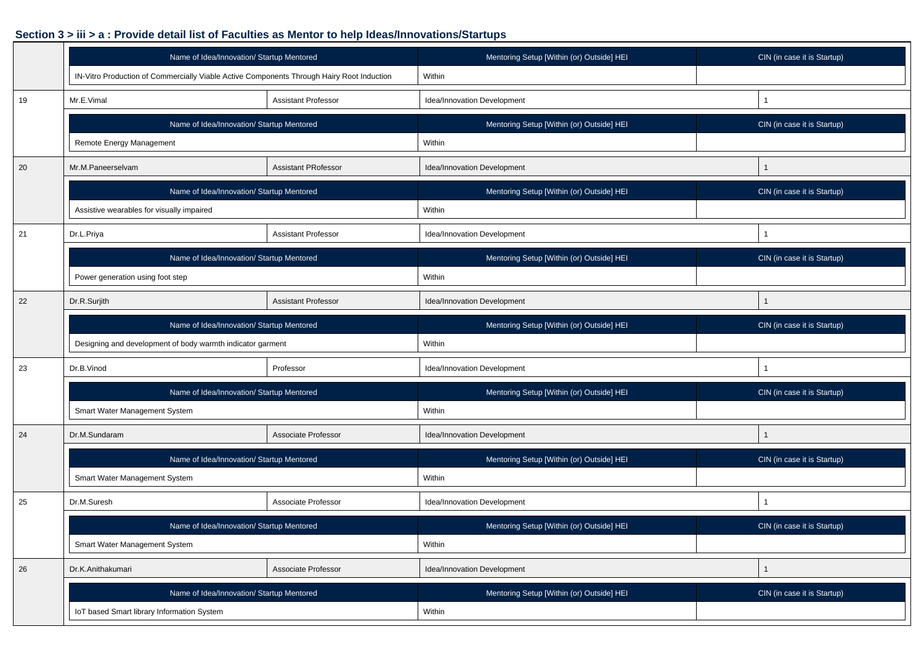|    | Name of Idea/Innovation/ Startup Mentored                                                 |                            | Mentoring Setup [Within (or) Outside] HEI | CIN (in case it is Startup) |
|----|-------------------------------------------------------------------------------------------|----------------------------|-------------------------------------------|-----------------------------|
|    | IN-Vitro Production of Commercially Viable Active Components Through Hairy Root Induction |                            | Within                                    |                             |
| 19 | Mr.E.Vimal                                                                                | <b>Assistant Professor</b> | Idea/Innovation Development               | $\overline{1}$              |
|    | Name of Idea/Innovation/ Startup Mentored                                                 |                            | Mentoring Setup [Within (or) Outside] HEI | CIN (in case it is Startup) |
|    | Remote Energy Management                                                                  |                            | Within                                    |                             |
| 20 | <b>Assistant PRofessor</b><br>Mr.M.Paneerselvam                                           |                            | Idea/Innovation Development               |                             |
|    | Name of Idea/Innovation/ Startup Mentored                                                 |                            | Mentoring Setup [Within (or) Outside] HEI | CIN (in case it is Startup) |
|    | Assistive wearables for visually impaired                                                 |                            | Within                                    |                             |
| 21 | Dr.L.Priya                                                                                | Assistant Professor        | Idea/Innovation Development               | $\mathbf{1}$                |
|    | Name of Idea/Innovation/ Startup Mentored                                                 |                            | Mentoring Setup [Within (or) Outside] HEI | CIN (in case it is Startup) |
|    | Power generation using foot step                                                          |                            | Within                                    |                             |
| 22 | Dr.R.Surjith<br><b>Assistant Professor</b>                                                |                            | Idea/Innovation Development               | 1                           |
|    | Name of Idea/Innovation/ Startup Mentored                                                 |                            | Mentoring Setup [Within (or) Outside] HEI | CIN (in case it is Startup) |
|    | Designing and development of body warmth indicator garment                                |                            | Within                                    |                             |
| 23 | Dr.B.Vinod                                                                                | Professor                  | Idea/Innovation Development               | 1                           |
|    | Name of Idea/Innovation/ Startup Mentored                                                 |                            | Mentoring Setup [Within (or) Outside] HEI | CIN (in case it is Startup) |
|    | Smart Water Management System                                                             |                            | Within                                    |                             |
| 24 | Dr.M.Sundaram                                                                             | Associate Professor        | Idea/Innovation Development               | $\mathbf{1}$                |
|    | Name of Idea/Innovation/ Startup Mentored                                                 |                            | Mentoring Setup [Within (or) Outside] HEI | CIN (in case it is Startup) |
|    | Smart Water Management System                                                             |                            | Within                                    |                             |
| 25 | Dr.M.Suresh                                                                               | Associate Professor        | Idea/Innovation Development               | 1                           |
|    | Name of Idea/Innovation/ Startup Mentored                                                 |                            | Mentoring Setup [Within (or) Outside] HEI | CIN (in case it is Startup) |
|    | Smart Water Management System                                                             |                            | Within                                    |                             |
| 26 | Dr.K.Anithakumari                                                                         | Associate Professor        | Idea/Innovation Development               | $\mathbf{1}$                |
|    | Name of Idea/Innovation/ Startup Mentored                                                 |                            | Mentoring Setup [Within (or) Outside] HEI | CIN (in case it is Startup) |
|    | IoT based Smart library Information System                                                |                            | Within                                    |                             |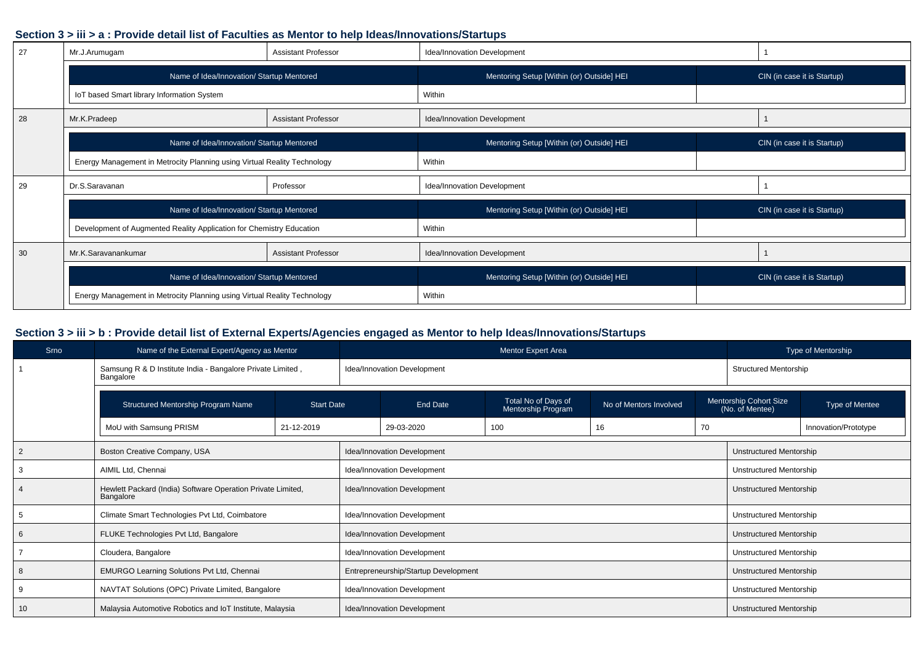| 27 | Mr.J.Arumugam                                                            | <b>Assistant Professor</b> | Idea/Innovation Development               |                             |  |
|----|--------------------------------------------------------------------------|----------------------------|-------------------------------------------|-----------------------------|--|
|    | Name of Idea/Innovation/ Startup Mentored                                |                            | Mentoring Setup [Within (or) Outside] HEI | CIN (in case it is Startup) |  |
|    | IoT based Smart library Information System                               |                            | Within                                    |                             |  |
| 28 | Mr.K.Pradeep                                                             | <b>Assistant Professor</b> | Idea/Innovation Development               |                             |  |
|    | Name of Idea/Innovation/ Startup Mentored                                |                            | Mentoring Setup [Within (or) Outside] HEI | CIN (in case it is Startup) |  |
|    | Energy Management in Metrocity Planning using Virtual Reality Technology |                            | Within                                    |                             |  |
| 29 | Dr.S.Saravanan                                                           | Professor                  | Idea/Innovation Development               |                             |  |
|    | Name of Idea/Innovation/ Startup Mentored                                |                            | Mentoring Setup [Within (or) Outside] HEI | CIN (in case it is Startup) |  |
|    | Development of Augmented Reality Application for Chemistry Education     |                            | Within                                    |                             |  |
| 30 | Mr.K.Saravanankumar<br><b>Assistant Professor</b>                        |                            | Idea/Innovation Development               |                             |  |
|    | Name of Idea/Innovation/ Startup Mentored                                |                            | Mentoring Setup [Within (or) Outside] HEI | CIN (in case it is Startup) |  |
|    | Energy Management in Metrocity Planning using Virtual Reality Technology |                            | Within                                    |                             |  |

# **Section 3 > iii > b : Provide detail list of External Experts/Agencies engaged as Mentor to help Ideas/Innovations/Startups**

| Srno | Name of the External Expert/Agency as Mentor                             |                   |                             |                                      | Mentor Expert Area                        |                        |    | Type of Mentorship                               |                                |  |
|------|--------------------------------------------------------------------------|-------------------|-----------------------------|--------------------------------------|-------------------------------------------|------------------------|----|--------------------------------------------------|--------------------------------|--|
|      | Samsung R & D Institute India - Bangalore Private Limited,<br>Bangalore  |                   |                             | Idea/Innovation Development          |                                           |                        |    |                                                  | <b>Structured Mentorship</b>   |  |
|      | Structured Mentorship Program Name                                       | <b>Start Date</b> |                             | End Date                             | Total No of Days of<br>Mentorship Program | No of Mentors Involved |    | <b>Mentorship Cohort Size</b><br>(No. of Mentee) | Type of Mentee                 |  |
|      | MoU with Samsung PRISM<br>21-12-2019                                     |                   |                             | 29-03-2020                           | 100                                       | 16                     | 70 |                                                  | Innovation/Prototype           |  |
|      | Boston Creative Company, USA                                             |                   |                             | Idea/Innovation Development          |                                           |                        |    |                                                  | <b>Unstructured Mentorship</b> |  |
|      | AIMIL Ltd, Chennai                                                       |                   |                             | Idea/Innovation Development          |                                           |                        |    |                                                  | <b>Unstructured Mentorship</b> |  |
|      | Hewlett Packard (India) Software Operation Private Limited,<br>Bangalore |                   | Idea/Innovation Development |                                      |                                           |                        |    | <b>Unstructured Mentorship</b>                   |                                |  |
|      | Climate Smart Technologies Pvt Ltd, Coimbatore                           |                   | Idea/Innovation Development |                                      |                                           |                        |    | Unstructured Mentorship                          |                                |  |
| -6   | FLUKE Technologies Pvt Ltd, Bangalore                                    |                   | Idea/Innovation Development |                                      |                                           |                        |    | <b>Unstructured Mentorship</b>                   |                                |  |
|      | Cloudera, Bangalore                                                      |                   | Idea/Innovation Development |                                      |                                           |                        |    | <b>Unstructured Mentorship</b>                   |                                |  |
|      | EMURGO Learning Solutions Pvt Ltd, Chennai                               |                   |                             | Entrepreneurship/Startup Development |                                           |                        |    |                                                  | <b>Unstructured Mentorship</b> |  |
| 9    | NAVTAT Solutions (OPC) Private Limited, Bangalore                        |                   | Idea/Innovation Development |                                      |                                           |                        |    | Unstructured Mentorship                          |                                |  |
| 10   | Malaysia Automotive Robotics and IoT Institute, Malaysia                 |                   |                             | Idea/Innovation Development          |                                           |                        |    | <b>Unstructured Mentorship</b>                   |                                |  |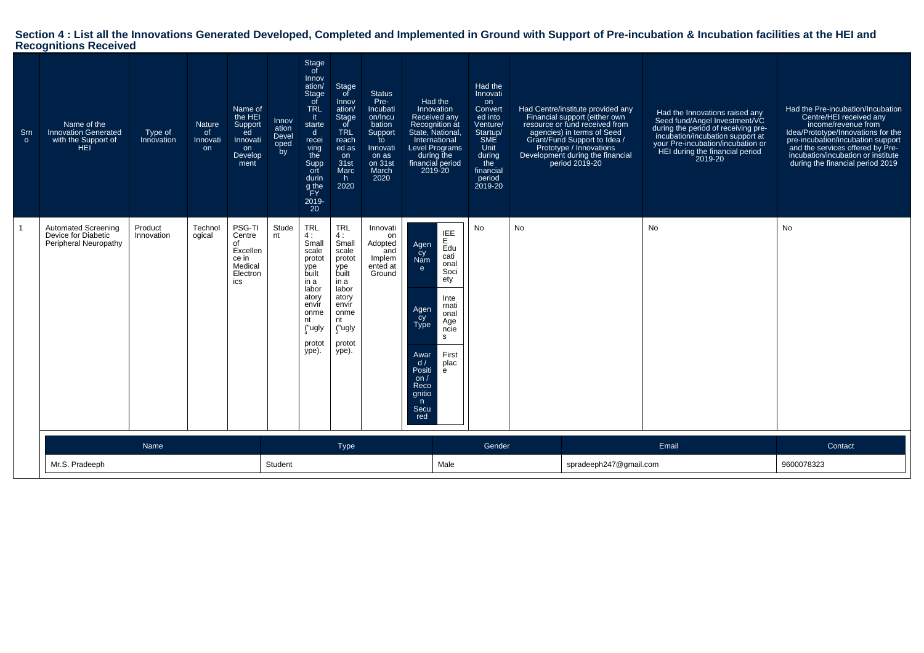# **Section 4 : List all the Innovations Generated Developed, Completed and Implemented in Ground with Support of Pre-incubation & Incubation facilities at the HEI and Recognitions Received**

| Srn<br>$\circ$ | Name of the<br><b>Innovation Generated</b><br>with the Support of<br>HEI. | Type of<br>Innovation | Nature<br>of<br>Innovati<br><b>on</b> | Name of<br>the HEI<br>Support<br>ed<br>Innovati<br>on<br>Develop<br>ment  | Innov<br>ation<br>Devel<br>oped<br>by | Stage<br>of<br>Innov<br>ation/<br><b>Stage</b><br>of<br><b>TRL</b><br>it.<br>starte<br>$\mathsf{d}$<br>recei<br>ving<br>the<br>Supp<br>ort<br>durin<br>g the<br>PFY.<br>2019-<br>20 | Stage<br>of<br>Innov<br>ation/<br>Stage<br>of<br><b>TRL</b><br>reach<br>ed as<br>on<br>31st<br>Marc<br>h.<br>2020                          | <b>Status</b><br>Pre-<br>Incubati<br>on/Incu<br>bation<br>Support<br>to<br>Innovati<br>on as<br>on 31st<br>March<br>2020 | Had the<br>Innovation<br>Received any<br>Recognition at<br>State, National,<br>International<br><b>Level Programs</b><br>during the<br>financial period<br>2019-20 |                                                                                                                          | Had the<br>Innovati<br>on<br><b>Convert</b><br>ed into<br>Venture/<br>Startup/<br><b>SME</b><br>Unit<br>during<br>the<br>financial<br>period<br>2019-20 |           | Had Centre/institute provided any<br>Financial support (either own<br>resource or fund received from<br>agencies) in terms of Seed<br>Grant/Fund Support to Idea /<br>Prototype / Innovations<br>Development during the financial<br>period 2019-20 | Had the Innovations raised any<br>Seed fund/Angel Investment/VC<br>during the period of receiving pre-<br>incubation/incubation support at<br>your Pre-incubation/incubation or<br>HEI during the financial period<br>2019-20 | Had the Pre-incubation/Incubation<br>Centre/HEI received any<br>income/revenue from<br>Idea/Prototype/Innovations for the<br>pre-incubation/incubation support<br>and the services offered by Pre-<br>incubation/incubation or institute<br>during the financial period 2019 |
|----------------|---------------------------------------------------------------------------|-----------------------|---------------------------------------|---------------------------------------------------------------------------|---------------------------------------|-------------------------------------------------------------------------------------------------------------------------------------------------------------------------------------|--------------------------------------------------------------------------------------------------------------------------------------------|--------------------------------------------------------------------------------------------------------------------------|--------------------------------------------------------------------------------------------------------------------------------------------------------------------|--------------------------------------------------------------------------------------------------------------------------|---------------------------------------------------------------------------------------------------------------------------------------------------------|-----------|-----------------------------------------------------------------------------------------------------------------------------------------------------------------------------------------------------------------------------------------------------|-------------------------------------------------------------------------------------------------------------------------------------------------------------------------------------------------------------------------------|------------------------------------------------------------------------------------------------------------------------------------------------------------------------------------------------------------------------------------------------------------------------------|
|                | Automated Screening<br>Device for Diabetic<br>Peripheral Neuropathy       | Product<br>Innovation | Technol<br>ogical                     | PSG-TI<br>Centre<br>of<br>Excellen<br>ce in<br>Medical<br>Electron<br>ics | Stude<br>nt                           | <b>TRL</b><br>4 :<br>Small<br>scale<br>protot<br>ype<br>built<br>in a<br>labor<br>atory<br>envir<br>onme<br>nt<br>("ugly<br>protot<br>ype).                                         | <b>TRL</b><br>4:<br>Small<br>scale<br>protot<br>ype<br>built<br>in a<br>labor<br>atory<br>envir<br>onme<br>nt<br>("ugly<br>protot<br>ype). | Innovati<br>on<br>Adopted<br>and<br>Implem<br>ented at<br>Ground                                                         | Agen<br>cy<br>Nam<br>$\mathbf{e}$<br>Agen<br>čy<br>Type<br>Awar<br>d/<br>Positi<br>on $/$<br>Reco<br>qnitio<br>n<br>Secu<br>red                                    | IEE<br>$E_{\text{d}u}$<br>cati<br>onal<br>Soci<br>ety<br>Inte<br>rnati<br>onal<br>Age<br>ncie<br>s<br>First<br>plac<br>e | <b>No</b>                                                                                                                                               | <b>No</b> |                                                                                                                                                                                                                                                     | <b>No</b>                                                                                                                                                                                                                     | <b>No</b>                                                                                                                                                                                                                                                                    |
|                |                                                                           | Name                  |                                       |                                                                           |                                       |                                                                                                                                                                                     | <b>Type</b>                                                                                                                                |                                                                                                                          |                                                                                                                                                                    |                                                                                                                          | Gender                                                                                                                                                  |           |                                                                                                                                                                                                                                                     | Email                                                                                                                                                                                                                         | Contact                                                                                                                                                                                                                                                                      |
|                | Mr.S. Pradeeph                                                            |                       |                                       |                                                                           |                                       |                                                                                                                                                                                     |                                                                                                                                            |                                                                                                                          |                                                                                                                                                                    | Male                                                                                                                     |                                                                                                                                                         |           | spradeeph247@gmail.com                                                                                                                                                                                                                              |                                                                                                                                                                                                                               | 9600078323                                                                                                                                                                                                                                                                   |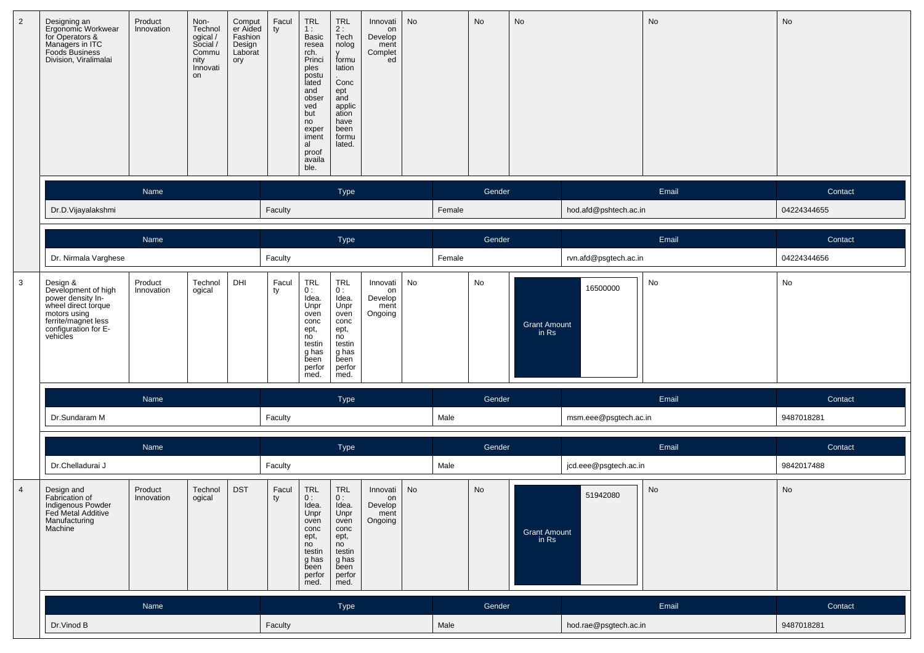| $\overline{2}$ | Designing an<br>Ergonomic Workwear<br>for Operators &<br>Managers in ITC<br>Foods Business<br>Division, Viralimalai                                    | Product<br>Innovation | Non-<br>Technol<br>ogical/<br>Social /<br>Commu<br>nity<br>Innovati<br>on | Comput<br>er Aided<br>Fashion<br>Design<br>Laborat<br>ory | Facul<br>ty | <b>TRL</b><br>1:<br>Basic<br>resea<br>rch.<br>Princi<br>ples<br>postu<br>lated<br>and<br>obser<br>ved<br>but<br>no<br>exper<br>iment<br>al<br>proof<br>availa<br>ble. | <b>TRL</b><br>$2:$ Tech<br>nolog<br>$\mathbf{V}$<br>formu<br>lation<br>Conc<br>ept<br>and<br>applic<br>ation<br>have<br>been<br>formu<br>lated. | Innovati<br>on<br>Develop<br>ment<br>Complet<br>ed | No |        | No     | No                           |                       | No    | No          |
|----------------|--------------------------------------------------------------------------------------------------------------------------------------------------------|-----------------------|---------------------------------------------------------------------------|-----------------------------------------------------------|-------------|-----------------------------------------------------------------------------------------------------------------------------------------------------------------------|-------------------------------------------------------------------------------------------------------------------------------------------------|----------------------------------------------------|----|--------|--------|------------------------------|-----------------------|-------|-------------|
|                |                                                                                                                                                        | Name                  |                                                                           |                                                           |             |                                                                                                                                                                       | Type                                                                                                                                            |                                                    |    |        | Gender |                              |                       | Email | Contact     |
|                | Dr.D.Vijayalakshmi                                                                                                                                     |                       |                                                                           |                                                           | Faculty     |                                                                                                                                                                       |                                                                                                                                                 |                                                    |    | Female |        |                              | hod.afd@pshtech.ac.in |       | 04224344655 |
|                |                                                                                                                                                        | Name                  |                                                                           |                                                           |             |                                                                                                                                                                       | Type                                                                                                                                            |                                                    |    |        | Gender |                              |                       | Email | Contact     |
|                | Dr. Nirmala Varghese                                                                                                                                   |                       |                                                                           |                                                           | Faculty     |                                                                                                                                                                       |                                                                                                                                                 |                                                    |    | Female |        |                              | rvn.afd@psgtech.ac.in |       | 04224344656 |
| $\mathbf{3}$   | Design &<br>Development of high<br>power density In-<br>wheel direct forque<br>motors using<br>ferrite/magnet less<br>configuration for E-<br>vehicles | Product<br>Innovation | Technol<br>ogical                                                         | DHI                                                       | Facul<br>ty | TRL<br>0:<br>Idea.<br>Unpr<br>oven<br>conc<br>ept,<br>no<br>testin<br>g has<br>been<br>perfor<br>med.                                                                 | <b>TRL</b><br>0:<br>Idea.<br>Unpr<br>oven<br>conc<br>ept,<br>no<br>testin<br>g has<br>been<br>perfor<br>med.                                    | Innovati<br>on<br>Develop<br>ment<br>Ongoing       | No |        | No     | <b>Grant Amount</b><br>in Rs | 16500000              | No    | No          |
|                |                                                                                                                                                        | Name                  |                                                                           |                                                           |             |                                                                                                                                                                       | Type                                                                                                                                            |                                                    |    |        | Gender |                              |                       | Email | Contact     |
|                | Dr.Sundaram M                                                                                                                                          |                       |                                                                           |                                                           | Faculty     |                                                                                                                                                                       |                                                                                                                                                 |                                                    |    | Male   |        |                              | msm.eee@psgtech.ac.in |       | 9487018281  |
|                |                                                                                                                                                        | Name                  |                                                                           |                                                           |             |                                                                                                                                                                       | Type                                                                                                                                            |                                                    |    |        | Gender |                              |                       | Email | Contact     |
|                | Dr.Chelladurai J                                                                                                                                       |                       |                                                                           |                                                           | Faculty     |                                                                                                                                                                       |                                                                                                                                                 |                                                    |    | Male   |        |                              | jcd.eee@psgtech.ac.in |       | 9842017488  |
| $\overline{4}$ | Design and<br>Fabrication of<br>Indigenous Powder<br>Fed Metal Additive<br>Manufacturing<br>Machine                                                    | Product<br>Innovation | Technol<br>ogical                                                         | <b>DST</b>                                                | Facul<br>ty | TRL<br>0:<br>Idea.<br>Unpr<br>oven<br>conc<br>ept,<br>no<br>testin<br>g has<br>been<br>perfor<br>med.                                                                 | TRL<br>0:<br>Idea.<br>Unpr<br>oven<br>conc<br>ept,<br>no<br>testin<br>g has<br>been<br>perfor<br>med.                                           | Innovati<br>on<br>Develop<br>ment<br>Ongoing       | No |        | No     | <b>Grant Amount</b><br>in Rs | 51942080              | No    | No          |
|                |                                                                                                                                                        | Name                  |                                                                           |                                                           |             |                                                                                                                                                                       | Type                                                                                                                                            |                                                    |    |        | Gender |                              |                       | Email | Contact     |
|                | Dr.Vinod B                                                                                                                                             |                       |                                                                           |                                                           | Faculty     |                                                                                                                                                                       |                                                                                                                                                 |                                                    |    | Male   |        |                              | hod.rae@psgtech.ac.in |       | 9487018281  |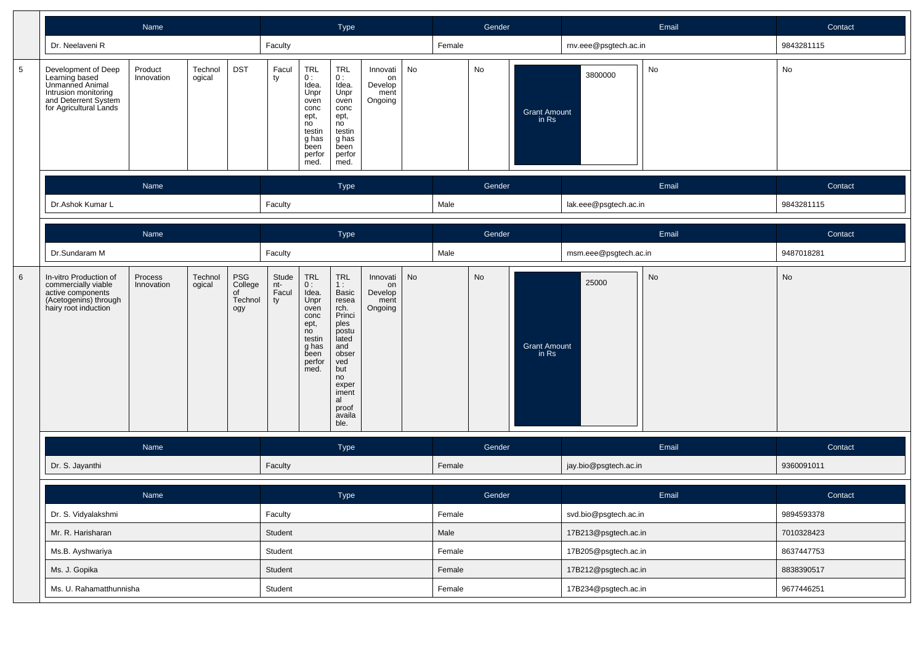|                 |                                                                                                                                    | Name                  |                   |                                        |                             |                                                                                                        | Type                                                                                                                                                           |                                              |    |        | Gender |                                |                       | Email | Contact    |
|-----------------|------------------------------------------------------------------------------------------------------------------------------------|-----------------------|-------------------|----------------------------------------|-----------------------------|--------------------------------------------------------------------------------------------------------|----------------------------------------------------------------------------------------------------------------------------------------------------------------|----------------------------------------------|----|--------|--------|--------------------------------|-----------------------|-------|------------|
|                 | Dr. Neelaveni R                                                                                                                    |                       |                   |                                        | Faculty                     |                                                                                                        |                                                                                                                                                                |                                              |    | Female |        |                                | rnv.eee@psgtech.ac.in |       | 9843281115 |
| $5\phantom{.0}$ | Development of Deep<br>Learning based<br>Unmanned Animal<br>Intrusion monitoring<br>and Deterrent System<br>for Agricultural Lands | Product<br>Innovation | Technol<br>ogical | <b>DST</b>                             | Facul<br>ty                 | TRL<br>0:<br>Idea.<br>Unpr<br>oven<br>conc<br>ept,<br>no<br>testin<br>g has<br>been<br>perfor<br>med.  | <b>TRL</b><br>0:<br>Idea.<br>Unpr<br>oven<br>conc<br>ept,<br>no<br>testin<br>g has<br>been<br>perfor<br>med.                                                   | Innovati<br>on<br>Develop<br>ment<br>Ongoing | No |        | No     | <b>Grant Amount</b><br>in $Rs$ | 3800000               | No    | No         |
|                 |                                                                                                                                    | Name                  |                   |                                        |                             |                                                                                                        | Type                                                                                                                                                           |                                              |    |        | Gender |                                |                       | Email | Contact    |
|                 | Dr.Ashok Kumar L                                                                                                                   | Name                  |                   |                                        |                             |                                                                                                        |                                                                                                                                                                |                                              |    | Male   |        |                                | lak.eee@psgtech.ac.in |       | 9843281115 |
|                 |                                                                                                                                    |                       |                   |                                        |                             |                                                                                                        | Type                                                                                                                                                           |                                              |    |        | Gender |                                |                       | Email | Contact    |
|                 | Dr.Sundaram M                                                                                                                      | Technol<br>Process    |                   |                                        |                             |                                                                                                        |                                                                                                                                                                |                                              |    | Male   |        |                                | msm.eee@psgtech.ac.in |       | 9487018281 |
| $6\phantom{1}6$ | In-vitro Production of<br>commercially viable<br>active components<br>(Acetogenins) through<br>hairy root induction                | Innovation            | ogical            | PSG<br>College<br>of<br>Technol<br>ogy | Stude<br>nt-<br>Facul<br>ty | TRL<br>0 :<br>Idea.<br>Unpr<br>oven<br>conc<br>ept,<br>no<br>testin<br>g has<br>been<br>perfor<br>med. | TRL<br>1:<br>Basic<br>resea<br>rch.<br>Princi<br>ples<br>postu<br>lated<br>and<br>obser<br>ved<br>but<br>no<br>exper<br>iment<br>al<br>proof<br>availa<br>ble. | Innovati<br>on<br>Develop<br>ment<br>Ongoing | No |        | No     | <b>Grant Amount</b><br>in Rs   | 25000                 | No    | No         |
|                 |                                                                                                                                    | Name                  |                   |                                        |                             |                                                                                                        | Type                                                                                                                                                           |                                              |    |        | Gender |                                |                       | Email | Contact    |
|                 | Dr. S. Jayanthi                                                                                                                    |                       |                   |                                        | Faculty                     |                                                                                                        |                                                                                                                                                                |                                              |    | Female |        |                                | jay.bio@psgtech.ac.in |       | 9360091011 |
|                 |                                                                                                                                    | Name                  |                   |                                        |                             |                                                                                                        | Type                                                                                                                                                           |                                              |    |        | Gender |                                |                       | Email | Contact    |
|                 | Dr. S. Vidyalakshmi                                                                                                                |                       |                   |                                        | Faculty                     |                                                                                                        |                                                                                                                                                                |                                              |    | Female |        |                                | svd.bio@psgtech.ac.in |       | 9894593378 |
|                 | Mr. R. Harisharan                                                                                                                  |                       |                   |                                        | Student                     |                                                                                                        |                                                                                                                                                                |                                              |    | Male   |        |                                | 17B213@psgtech.ac.in  |       | 7010328423 |
|                 | Ms.B. Ayshwariya                                                                                                                   |                       |                   |                                        | Student                     |                                                                                                        |                                                                                                                                                                |                                              |    | Female |        |                                | 17B205@psgtech.ac.in  |       | 8637447753 |
|                 | Ms. J. Gopika                                                                                                                      |                       |                   |                                        | Student                     |                                                                                                        |                                                                                                                                                                |                                              |    | Female |        |                                | 17B212@psgtech.ac.in  |       | 8838390517 |
|                 | Ms. U. Rahamatthunnisha                                                                                                            |                       |                   |                                        | Student                     |                                                                                                        |                                                                                                                                                                |                                              |    | Female |        |                                | 17B234@psgtech.ac.in  |       | 9677446251 |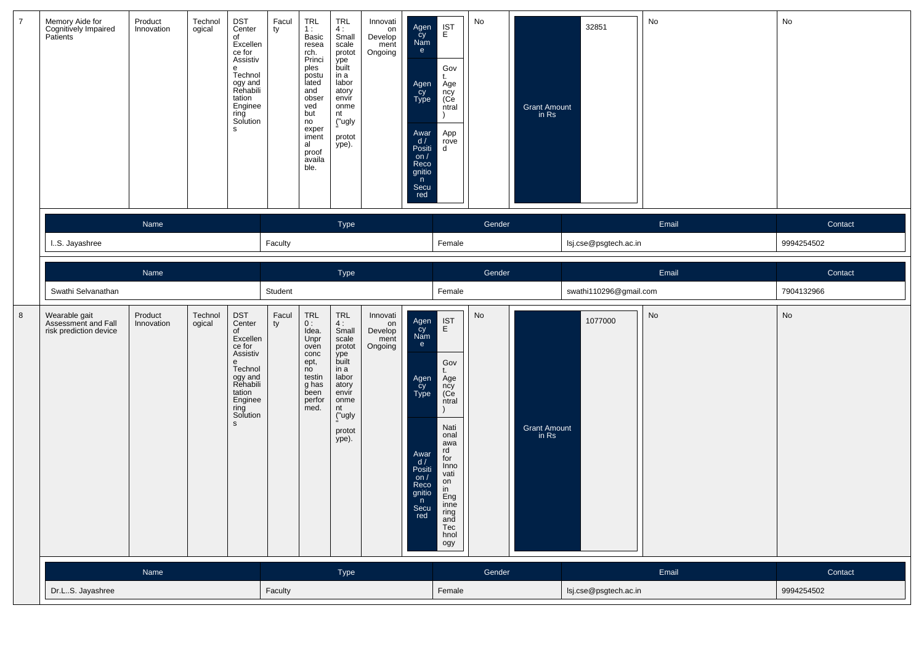| $\overline{7}$ | Memory Aide for<br>Cognitively Impaired<br>Patients            | Product<br>Innovation | Technol<br>ogical | DST<br>Center<br>of<br>Excellen<br>ce for<br>Assistiv<br>e<br>Technol<br>ogy and<br>Rehabili<br>tation<br>Enginee<br>ring<br>Solution<br>s            | Facul<br>ty | <b>TRL</b><br>1:<br>Basic<br>resea<br>rch.<br>Princi<br>ples<br>postu<br>lated<br>and<br>obser<br>ved<br>but<br>no<br>exper<br>iment<br>al<br>proof<br>availa<br>ble. | TRL<br>4:<br>Small<br>scale<br>protot<br>ype<br>built<br>in a<br>labor<br>atory<br>envír<br>onme<br>nt<br>("ugly<br>protot<br>ype).        | Innovati<br>on<br>Develop<br>ment<br>Ongoing | Agen<br>čy<br>Nam<br>e<br>Agen<br>Cy<br>Type<br>Awar<br>d/<br>Positi<br>on $/$<br>Reco<br>gnitio<br>n<br>Secu<br>red         | $\mathop{\mathsf{IST}}\limits_{\mathsf{E}}$<br>Gov<br>t.<br>Age<br>ncy<br>(Ce<br>ntral<br>App<br>rove<br>d                                                                                                 | No     | <b>Grant Amount</b><br>in Rs | 32851                  | No    | No         |
|----------------|----------------------------------------------------------------|-----------------------|-------------------|-------------------------------------------------------------------------------------------------------------------------------------------------------|-------------|-----------------------------------------------------------------------------------------------------------------------------------------------------------------------|--------------------------------------------------------------------------------------------------------------------------------------------|----------------------------------------------|------------------------------------------------------------------------------------------------------------------------------|------------------------------------------------------------------------------------------------------------------------------------------------------------------------------------------------------------|--------|------------------------------|------------------------|-------|------------|
|                |                                                                | Name                  |                   |                                                                                                                                                       |             |                                                                                                                                                                       | Type                                                                                                                                       |                                              |                                                                                                                              |                                                                                                                                                                                                            | Gender |                              |                        | Email | Contact    |
|                | I.S. Jayashree                                                 |                       |                   |                                                                                                                                                       | Faculty     |                                                                                                                                                                       |                                                                                                                                            |                                              |                                                                                                                              | Female                                                                                                                                                                                                     |        |                              | lsj.cse@psgtech.ac.in  |       | 9994254502 |
|                |                                                                | Name                  |                   |                                                                                                                                                       |             |                                                                                                                                                                       | Type                                                                                                                                       |                                              |                                                                                                                              |                                                                                                                                                                                                            | Gender |                              |                        | Email | Contact    |
|                | Swathi Selvanathan                                             |                       |                   |                                                                                                                                                       | Student     |                                                                                                                                                                       |                                                                                                                                            |                                              |                                                                                                                              | Female                                                                                                                                                                                                     |        |                              | swathi110296@gmail.com |       | 7904132966 |
| 8              | Wearable gait<br>Assessment and Fall<br>risk prediction device | Product<br>Innovation | Technol<br>ogical | DST<br>Center<br>of<br>Excellen<br>ce for<br>Assistiv<br>e<br>Technol<br>ogy and<br>Rehabili<br>tation<br>Enginee<br>ring<br>Solution<br>$\mathsf{s}$ | Facul<br>ty | TRL<br>0:<br>Idea.<br>Unpr<br>oven<br>conc<br>ept,<br>no<br>testin<br>g has<br>been<br>perfor<br>med.                                                                 | <b>TRL</b><br>4:<br>Small<br>scale<br>protot<br>ype<br>built<br>in a<br>labor<br>atory<br>envir<br>onme<br>nt<br>("ugly<br>protot<br>ype). | Innovati<br>on<br>Develop<br>ment<br>Ongoing | Agen<br>cy<br>Nam<br>e<br>Agen<br>_cy<br><b>Type</b><br>Awar<br>d/<br>Positi<br>on $/$<br>Reco<br>gnitio<br>n<br>Secu<br>red | $\mathop{\mathsf{IST}}\limits_{\mathsf{E}}$<br>Gov<br>t.<br>Age<br>ncy<br>(Ce<br>ntral<br>Nati<br>onal<br>awa<br>rd<br>for<br>Inno<br>vati<br>on<br>in<br>Eng<br>inne<br>ring<br>and<br>Tec<br>hnol<br>ogy | No     | <b>Grant Amount</b><br>in Rs | 1077000                | No    | No         |
|                |                                                                | Name                  |                   |                                                                                                                                                       |             |                                                                                                                                                                       | Type                                                                                                                                       |                                              |                                                                                                                              |                                                                                                                                                                                                            | Gender |                              |                        | Email | Contact    |
|                | Dr.LS. Jayashree                                               |                       |                   |                                                                                                                                                       | Faculty     |                                                                                                                                                                       |                                                                                                                                            |                                              |                                                                                                                              | Female                                                                                                                                                                                                     |        |                              | lsj.cse@psgtech.ac.in  |       | 9994254502 |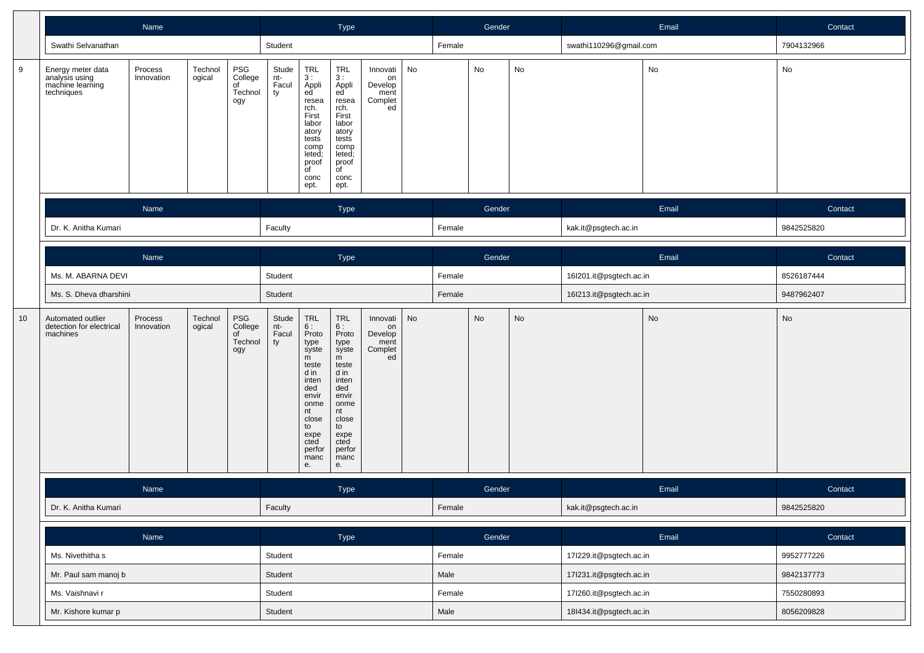|    |                                                                       | Name                  |                   |                                        |                             | <b>Type</b>                                                                                                                                                    |                                                                                                                                                         |                                                    |        | Gender |                         |       | Email                   | Contact |            |
|----|-----------------------------------------------------------------------|-----------------------|-------------------|----------------------------------------|-----------------------------|----------------------------------------------------------------------------------------------------------------------------------------------------------------|---------------------------------------------------------------------------------------------------------------------------------------------------------|----------------------------------------------------|--------|--------|-------------------------|-------|-------------------------|---------|------------|
|    | Swathi Selvanathan                                                    |                       |                   |                                        | Student                     |                                                                                                                                                                |                                                                                                                                                         |                                                    |        | Female |                         |       | swathi110296@gmail.com  |         | 7904132966 |
| 9  | Energy meter data<br>analysis using<br>machine learning<br>techniques | Process<br>Innovation | Technol<br>ogical | PSG<br>College<br>of<br>Technol<br>ogy | Stude<br>nt-<br>Facul<br>ty | <b>TRL</b><br>3 :<br>Appli<br>ed<br>resea<br>rch.<br>First<br>labor<br>atory<br>tests<br>comp<br>leted;<br>proof<br>of<br>conc<br>ept.                         | TRL<br>3 :<br>Appli<br>ed<br>resea<br>rch.<br>First<br>labor<br>atory<br>tests<br>comp<br>leted;<br>proof<br>of<br>conc<br>ept.                         | Innovati<br>on<br>Develop<br>ment<br>Complet<br>ed | No     |        | No                      | No    |                         | No      | No         |
|    |                                                                       | Name                  |                   |                                        |                             |                                                                                                                                                                | Type                                                                                                                                                    |                                                    |        |        | Gender                  |       |                         | Email   | Contact    |
|    | Dr. K. Anitha Kumari                                                  |                       | Faculty           |                                        |                             |                                                                                                                                                                |                                                                                                                                                         | Female                                             |        |        | kak.it@psgtech.ac.in    |       | 9842525820              |         |            |
|    |                                                                       |                       |                   |                                        | Type                        |                                                                                                                                                                |                                                                                                                                                         |                                                    | Gender |        |                         | Email | Contact                 |         |            |
|    | Ms. M. ABARNA DEVI                                                    |                       | Student           |                                        |                             |                                                                                                                                                                |                                                                                                                                                         | Female                                             |        |        | 16l201.it@psgtech.ac.in |       | 8526187444              |         |            |
|    | Ms. S. Dheva dharshini                                                |                       | Student           |                                        |                             |                                                                                                                                                                |                                                                                                                                                         | Female                                             |        |        | 16l213.it@psgtech.ac.in |       | 9487962407              |         |            |
| 10 | Automated outlier<br>detection for electrical<br>machines             | Process<br>Innovation | Technol<br>ogical | PSG<br>College<br>of<br>Technol<br>ogy | Stude<br>nt-<br>Facul<br>ty | <b>TRL</b><br>6:<br>Proto<br>type<br>syste<br>m<br>teste<br>d in<br>inten<br>ded<br>envir<br>onme<br>nt<br>close<br>to<br>expe<br>cted<br>perfor<br>manc<br>е. | TRL<br>6:<br>Proto<br>type<br>syste<br>m<br>teste<br>d in<br>inten<br>ded<br>envir<br>onme<br>nt<br>close<br>to<br>expe<br>cted<br>perfor<br>manc<br>е. | Innovati<br>on<br>Develop<br>ment<br>Complet<br>ed | No     |        | <b>No</b>               | No    |                         | No      | No         |
|    |                                                                       |                       |                   |                                        | Type                        |                                                                                                                                                                |                                                                                                                                                         |                                                    | Gender |        |                         | Email | Contact                 |         |            |
|    | Dr. K. Anitha Kumari                                                  |                       | Faculty           |                                        |                             |                                                                                                                                                                |                                                                                                                                                         | Female                                             |        |        | kak.it@psgtech.ac.in    |       | 9842525820              |         |            |
|    |                                                                       | Name                  |                   |                                        |                             |                                                                                                                                                                | Type                                                                                                                                                    |                                                    |        |        | Gender                  |       |                         | Email   | Contact    |
|    | Ms. Nivethitha s                                                      |                       |                   |                                        | Student                     |                                                                                                                                                                |                                                                                                                                                         |                                                    |        | Female |                         |       | 17l229.it@psgtech.ac.in |         | 9952777226 |
|    | Mr. Paul sam manoj b                                                  |                       |                   |                                        | Student                     |                                                                                                                                                                |                                                                                                                                                         |                                                    |        | Male   |                         |       | 17l231.it@psgtech.ac.in |         | 9842137773 |
|    | Ms. Vaishnavi r                                                       |                       |                   |                                        | Student                     |                                                                                                                                                                |                                                                                                                                                         |                                                    |        | Female |                         |       | 17l260.it@psgtech.ac.in |         | 7550280893 |
|    | Mr. Kishore kumar p                                                   |                       |                   |                                        | Student                     |                                                                                                                                                                |                                                                                                                                                         |                                                    |        | Male   |                         |       | 18l434.it@psgtech.ac.in |         | 8056209828 |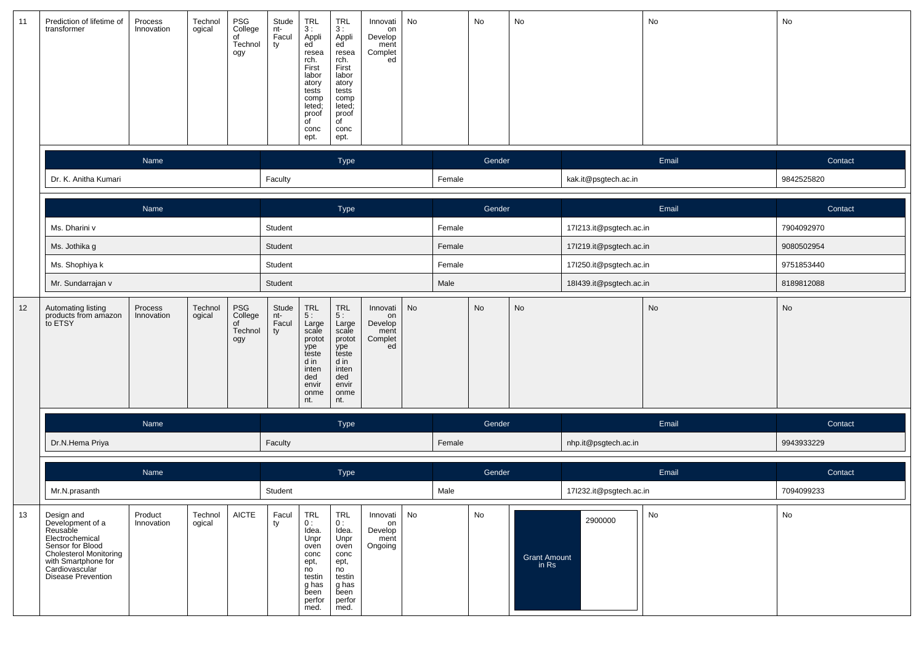| 11 | Prediction of lifetime of<br>transformer                                                                                                                                          | Process<br>Innovation | Technol<br>ogical | PSG<br>College<br>of<br>Technol<br>ogy | Stude<br>nt-<br>Facul<br>ty | TRL<br>3 :<br>Appli<br>ed<br>resea<br>rch.<br>First<br>labor<br>atory<br>tests<br>comp<br>leted;<br>proof<br>$\overline{f}$<br>conc<br>ept.   | TRL<br>3:<br>Appli<br>ed<br>resea<br>rch.<br>First<br>labor<br>atory<br>tests<br>comp<br>leted;<br>proof<br>$\overline{C}$<br>conc<br>ept. | Innovati<br>on<br>Develop<br>ment<br>Complet<br>ed | No |        | No                      | No                           |                         | No    | No         |
|----|-----------------------------------------------------------------------------------------------------------------------------------------------------------------------------------|-----------------------|-------------------|----------------------------------------|-----------------------------|-----------------------------------------------------------------------------------------------------------------------------------------------|--------------------------------------------------------------------------------------------------------------------------------------------|----------------------------------------------------|----|--------|-------------------------|------------------------------|-------------------------|-------|------------|
|    |                                                                                                                                                                                   | Name                  |                   |                                        |                             |                                                                                                                                               | Type                                                                                                                                       |                                                    |    |        | Gender                  |                              |                         | Email | Contact    |
|    | Dr. K. Anitha Kumari                                                                                                                                                              |                       |                   |                                        | Faculty                     |                                                                                                                                               |                                                                                                                                            |                                                    |    | Female |                         |                              | kak.it@psgtech.ac.in    |       | 9842525820 |
|    |                                                                                                                                                                                   | Name                  |                   |                                        |                             |                                                                                                                                               | Type                                                                                                                                       |                                                    |    |        | Gender                  |                              |                         | Email | Contact    |
|    | Ms. Dharini v                                                                                                                                                                     |                       | Student           |                                        |                             |                                                                                                                                               |                                                                                                                                            | Female                                             |    |        | 17l213.it@psgtech.ac.in |                              | 7904092970              |       |            |
|    | Ms. Jothika g                                                                                                                                                                     |                       | Student           |                                        |                             |                                                                                                                                               |                                                                                                                                            | Female                                             |    |        | 17l219.it@psgtech.ac.in |                              | 9080502954              |       |            |
|    | Ms. Shophiya k                                                                                                                                                                    |                       | Student           |                                        |                             |                                                                                                                                               |                                                                                                                                            | Female                                             |    |        | 17l250.it@psgtech.ac.in |                              | 9751853440              |       |            |
|    | Mr. Sundarrajan v                                                                                                                                                                 |                       |                   |                                        | Student                     |                                                                                                                                               |                                                                                                                                            |                                                    |    | Male   |                         |                              | 18l439.it@psgtech.ac.in |       | 8189812088 |
| 12 | Automating listing<br>products from amazon<br>to ETSY                                                                                                                             | Process<br>Innovation | Technol<br>ogical | PSG<br>College<br>of<br>Technol<br>ogy | Stude<br>nt-<br>Facul<br>ty | $\begin{array}{c} \mathsf{TRL} \\ 5: \end{array}$<br>Large<br>scale<br>protot<br>ype<br>teste<br>d in<br>inten<br>ded<br>envir<br>onme<br>nt. | TRL<br>5 :<br>Large<br>scale<br>protot<br>ype<br>teste<br>d in<br>inten<br>ded<br>envir<br>onme<br>nt.                                     | Innovati<br>on<br>Develop<br>ment<br>Complet<br>ed | No |        | No                      | No                           |                         | No    | No         |
|    |                                                                                                                                                                                   | Name                  |                   |                                        |                             |                                                                                                                                               | Type                                                                                                                                       |                                                    |    |        | Gender                  |                              |                         | Email | Contact    |
|    | Dr.N.Hema Priya                                                                                                                                                                   |                       |                   |                                        | Faculty                     |                                                                                                                                               |                                                                                                                                            |                                                    |    | Female |                         |                              | nhp.it@psgtech.ac.in    |       | 9943933229 |
|    |                                                                                                                                                                                   | Name                  |                   |                                        |                             |                                                                                                                                               | Type                                                                                                                                       |                                                    |    |        | Gender                  |                              |                         | Email | Contact    |
|    | Mr.N.prasanth                                                                                                                                                                     |                       |                   |                                        | Student                     |                                                                                                                                               |                                                                                                                                            |                                                    |    | Male   |                         |                              | 17l232.it@psgtech.ac.in |       | 7094099233 |
| 13 | Design and<br>Development of a<br>Reusable<br>Electrochemical<br>Sensor for Blood<br><b>Cholesterol Monitoring</b><br>with Smartphone for<br>Cardiovascular<br>Disease Prevention | Product<br>Innovation | Technol<br>ogical | <b>AICTE</b>                           | Facul<br>ty                 | <b>TRL</b><br>0:<br>Idea.<br>Unpr<br>oven<br>conc<br>ept,<br>no<br>testin<br>g has<br>been<br>perfor<br>med.                                  | <b>TRL</b><br>0:<br>Idea.<br>Unpr<br>oven<br>conc<br>ept,<br>no<br>testin<br>g has<br>been<br>perfor<br>med.                               | Innovati<br>on<br>Develop<br>ment<br>Ongoing       | No |        | No                      | <b>Grant Amount</b><br>in Rs | 2900000                 | No    | No         |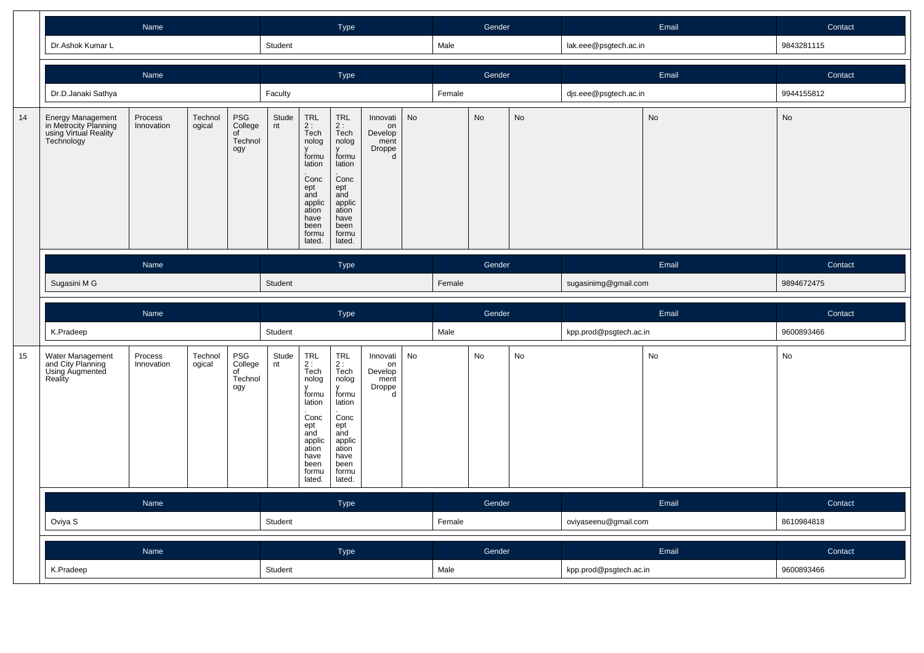|    |                                                                                   | Name                                                                                         |                   |                                        |             |                                                                                                                            | Type                                                                                                                             |                                                  |               |        | Gender |    |                        | Email         | Contact    |
|----|-----------------------------------------------------------------------------------|----------------------------------------------------------------------------------------------|-------------------|----------------------------------------|-------------|----------------------------------------------------------------------------------------------------------------------------|----------------------------------------------------------------------------------------------------------------------------------|--------------------------------------------------|---------------|--------|--------|----|------------------------|---------------|------------|
|    | Dr.Ashok Kumar L                                                                  |                                                                                              |                   |                                        | Student     |                                                                                                                            |                                                                                                                                  |                                                  |               | Male   |        |    | lak.eee@psgtech.ac.in  |               | 9843281115 |
|    |                                                                                   | Name                                                                                         |                   |                                        |             |                                                                                                                            | Type                                                                                                                             |                                                  |               |        | Gender |    |                        | Email         | Contact    |
|    | Dr.D.Janaki Sathya                                                                |                                                                                              |                   |                                        | Faculty     |                                                                                                                            |                                                                                                                                  |                                                  |               | Female |        |    | djs.eee@psgtech.ac.in  |               | 9944155812 |
| 14 | Energy Management<br>in Metrocity Planning<br>using Virtual Reality<br>Technology | PSG<br>Process<br>Technol<br>ogical<br>College<br>Innovation<br>of<br>Technol<br>ogy<br>Name |                   |                                        |             | TRL<br>2:<br>Tech<br>nolog<br>formu<br>lation<br>Conc<br>ept<br>and<br>applic<br>ation<br>have<br>been<br>formu<br>lated.  | <b>TRL</b><br>2:<br>Tech<br>nolog<br>formu<br>lation<br>Conc<br>ept<br>and<br>applic<br>ation<br>have<br>been<br>formu<br>lated. | Innovati<br>on<br>Develop<br>ment<br>Droppe<br>d | $\mathsf{No}$ |        | No     | No |                        | $\mathsf{No}$ | No         |
|    |                                                                                   |                                                                                              |                   |                                        |             |                                                                                                                            | <b>Type</b>                                                                                                                      |                                                  |               |        | Gender |    |                        | Email         | Contact    |
|    | Sugasini M G                                                                      |                                                                                              |                   |                                        |             |                                                                                                                            |                                                                                                                                  |                                                  |               | Female |        |    | sugasinimg@gmail.com   |               | 9894672475 |
|    |                                                                                   |                                                                                              |                   |                                        |             |                                                                                                                            |                                                                                                                                  |                                                  |               |        |        |    |                        |               |            |
|    |                                                                                   | Name                                                                                         |                   |                                        |             |                                                                                                                            | Type                                                                                                                             |                                                  |               |        | Gender |    |                        | Email         | Contact    |
|    | K.Pradeep                                                                         |                                                                                              |                   |                                        | Student     |                                                                                                                            |                                                                                                                                  |                                                  |               | Male   |        |    | kpp.prod@psgtech.ac.in |               | 9600893466 |
| 15 | Water Management<br>and City Planning<br>Using Augmented<br>Reality               | Process<br>Innovation                                                                        | Technol<br>ogical | PSG<br>College<br>of<br>Technol<br>ogy | Stude<br>nt | TRL<br>2 :<br>Tech<br>nolog<br>formu<br>lation<br>Conc<br>ept<br>and<br>applic<br>ation<br>have<br>been<br>formu<br>lated. | <b>TRL</b><br>$2:$ Tech<br>nolog<br>formu<br>lation<br>Conc<br>ept<br>and<br>applic<br>ation<br>have<br>been<br>formu<br>lated.  | Innovati<br>on<br>Develop<br>ment<br>Droppe<br>d | No            |        | No     | No |                        | No            | No         |
|    |                                                                                   | Name                                                                                         |                   |                                        |             |                                                                                                                            | Type                                                                                                                             |                                                  |               |        | Gender |    |                        | Email         | Contact    |
|    | Oviya S                                                                           |                                                                                              |                   |                                        | Student     |                                                                                                                            |                                                                                                                                  |                                                  |               | Female |        |    | oviyaseenu@gmail.com   |               | 8610984818 |
|    |                                                                                   | Name                                                                                         |                   |                                        |             |                                                                                                                            | Type                                                                                                                             |                                                  |               |        | Gender |    |                        | Email         | Contact    |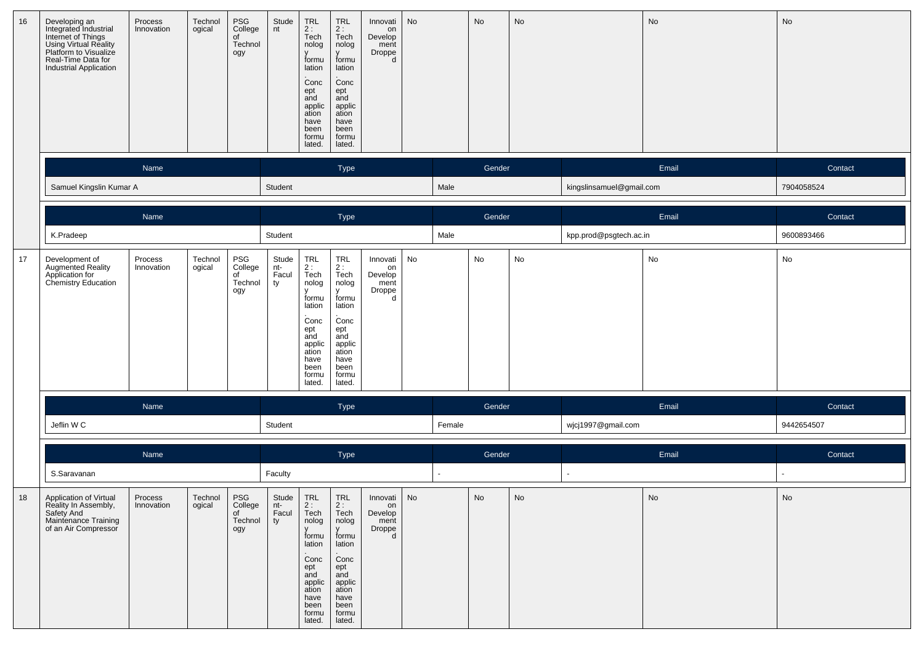| 16 | Developing an<br>Integrated Industrial<br>Internet of Things<br>Using Virtual Reality<br>Platform to Visualize<br>Real-Time Data for<br><b>Industrial Application</b> | Process<br>Innovation | Technol<br>ogical | PSG<br>College<br>of<br>Technol<br>ogy | Stude<br>nt                 | TRL<br>2 :<br>Tech<br>nolog<br>formu<br>lation<br>Conc<br>ept<br>and<br>applic<br>ation<br>have<br>been<br>formu<br>lated.       | <b>TRL</b><br>$2:$ Tech<br>nolog<br>formu<br>lation<br>Conc<br>ept<br>and<br>applic<br>ation<br>have<br>been<br>formu<br>lated. | Innovati<br>on<br>Develop<br>ment<br>Droppe<br>d      | No |        | No     | No |                          | No    | No         |
|----|-----------------------------------------------------------------------------------------------------------------------------------------------------------------------|-----------------------|-------------------|----------------------------------------|-----------------------------|----------------------------------------------------------------------------------------------------------------------------------|---------------------------------------------------------------------------------------------------------------------------------|-------------------------------------------------------|----|--------|--------|----|--------------------------|-------|------------|
|    |                                                                                                                                                                       | Name                  |                   |                                        |                             |                                                                                                                                  | Type                                                                                                                            |                                                       |    |        | Gender |    |                          | Email | Contact    |
|    | Samuel Kingslin Kumar A                                                                                                                                               |                       |                   |                                        | Student                     |                                                                                                                                  |                                                                                                                                 |                                                       |    | Male   |        |    | kingslinsamuel@gmail.com |       | 7904058524 |
|    |                                                                                                                                                                       | Name                  |                   |                                        |                             |                                                                                                                                  | Type                                                                                                                            |                                                       |    |        | Gender |    |                          | Email | Contact    |
|    | K.Pradeep                                                                                                                                                             |                       |                   |                                        | Student                     |                                                                                                                                  |                                                                                                                                 |                                                       |    | Male   |        |    | kpp.prod@psgtech.ac.in   |       | 9600893466 |
| 17 | Development of<br>Augmented Reality<br>Application for<br>Chemistry Education                                                                                         | Process<br>Innovation | Technol<br>ogical | PSG<br>College<br>of<br>Technol<br>ogy | Stude<br>nt-<br>Facul<br>ty | TRL<br>2 :<br>Tech<br>nolog<br>formu<br>lation<br>Conc<br>ept<br>and<br>applic<br>ation<br>have<br>been<br>formu<br>lated.       | TRL<br>2:<br>Tech<br>nolog<br>formu<br>lation<br>Conc<br>ept<br>and<br>applic<br>ation<br>have<br>been<br>formu<br>lated.       | Innovati<br>on<br>Develop<br>ment<br>Droppe<br>d      | No |        | No     | No |                          | No    | No         |
|    |                                                                                                                                                                       | Name                  |                   |                                        |                             |                                                                                                                                  | <b>Type</b>                                                                                                                     |                                                       |    |        | Gender |    |                          | Email | Contact    |
|    | Jeflin WC                                                                                                                                                             |                       |                   |                                        | Student                     |                                                                                                                                  |                                                                                                                                 |                                                       |    | Female |        |    | wjcj1997@gmail.com       |       | 9442654507 |
|    |                                                                                                                                                                       | Name                  |                   |                                        |                             |                                                                                                                                  | Type                                                                                                                            |                                                       |    |        | Gender |    |                          | Email | Contact    |
|    | S.Saravanan                                                                                                                                                           |                       |                   |                                        | Faculty                     |                                                                                                                                  |                                                                                                                                 |                                                       |    | $\sim$ |        |    |                          |       | $\sim$     |
| 18 | Application of Virtual<br>Reality In Assembly,<br>Safety And<br>Maintenance Training<br>of an Air Compressor                                                          | Process<br>Innovation | Technol<br>ogical | PSG<br>College<br>of<br>Technol<br>ogy | Stude<br>nt-<br>Facul<br>ty | <b>TRL</b><br>2:<br>Tech<br>nolog<br>formu<br>lation<br>Conc<br>ept<br>and<br>applic<br>ation<br>have<br>been<br>formu<br>lated. | TRL<br>2:<br>Tech<br>nolog<br>formu<br>lation<br>Conc<br>ept<br>and<br>applic<br>ation<br>have<br>been<br>formu<br>lated.       | Innovati   No<br>on<br>Develop<br>ment<br>Droppe<br>d |    |        | No     | No |                          | No    | No         |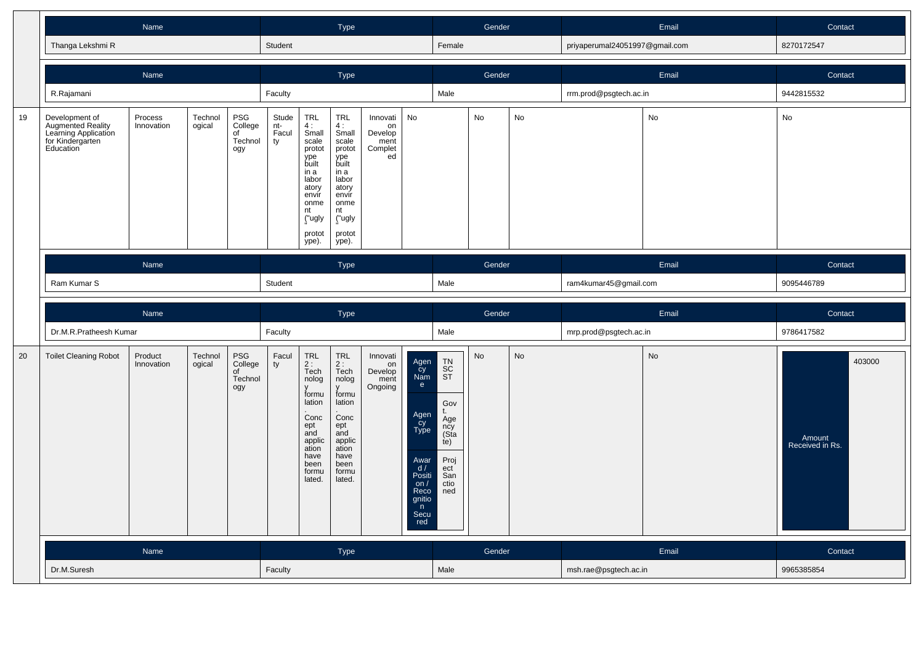|    |                                                                                                     | Name                                                                                         |                   |                                        |             |                                                                                                                                        | Type                                                                                                                                |                                                    |                                                                                                                       |                                                                                               | Gender    |               |                                | Email | Contact                             |
|----|-----------------------------------------------------------------------------------------------------|----------------------------------------------------------------------------------------------|-------------------|----------------------------------------|-------------|----------------------------------------------------------------------------------------------------------------------------------------|-------------------------------------------------------------------------------------------------------------------------------------|----------------------------------------------------|-----------------------------------------------------------------------------------------------------------------------|-----------------------------------------------------------------------------------------------|-----------|---------------|--------------------------------|-------|-------------------------------------|
|    | Thanga Lekshmi R                                                                                    |                                                                                              |                   |                                        | Student     |                                                                                                                                        |                                                                                                                                     |                                                    |                                                                                                                       | Female                                                                                        |           |               | priyaperumal24051997@gmail.com |       | 8270172547                          |
|    |                                                                                                     | Name                                                                                         |                   |                                        |             |                                                                                                                                        | Type                                                                                                                                |                                                    |                                                                                                                       |                                                                                               | Gender    |               |                                | Email | Contact                             |
|    | R.Rajamani                                                                                          |                                                                                              |                   |                                        | Faculty     |                                                                                                                                        |                                                                                                                                     |                                                    |                                                                                                                       | Male                                                                                          |           |               | rrm.prod@psgtech.ac.in         |       | 9442815532                          |
| 19 | Development of<br><b>Augmented Reality</b><br>Learning Application<br>for Kindergarten<br>Education | PSG<br>Process<br>Technol<br>College<br>Innovation<br>ogical<br>of<br>Technol<br>ogy<br>Name |                   |                                        |             | TRL<br>4:<br>$S$ mall<br>scale<br>protot<br>ype<br>built<br>in a<br>labor<br>atory<br>envir<br>onme<br>nt<br>("ugly<br>protot<br>ype). | TRL<br>4:<br>Small<br>scale<br>protot<br>ype<br>built<br>in a<br>labor<br>atory<br>envir<br>onme<br>nt<br>("ugly<br>protot<br>ype). | Innovati<br>on<br>Develop<br>ment<br>Complet<br>ed | No                                                                                                                    |                                                                                               | No        | No            |                                | No    | No                                  |
|    |                                                                                                     |                                                                                              |                   |                                        |             |                                                                                                                                        | <b>Type</b>                                                                                                                         |                                                    |                                                                                                                       |                                                                                               | Gender    |               |                                | Email | Contact                             |
|    |                                                                                                     | Ram Kumar S                                                                                  |                   |                                        |             |                                                                                                                                        |                                                                                                                                     |                                                    |                                                                                                                       | Male                                                                                          |           |               | ram4kumar45@gmail.com          |       | 9095446789                          |
|    |                                                                                                     |                                                                                              |                   |                                        |             |                                                                                                                                        |                                                                                                                                     |                                                    |                                                                                                                       |                                                                                               |           |               |                                |       |                                     |
|    |                                                                                                     | Name                                                                                         |                   |                                        | Student     |                                                                                                                                        | Type                                                                                                                                |                                                    |                                                                                                                       |                                                                                               | Gender    |               |                                | Email | Contact                             |
|    | Dr.M.R.Pratheesh Kumar                                                                              |                                                                                              |                   |                                        | Faculty     |                                                                                                                                        |                                                                                                                                     |                                                    |                                                                                                                       | Male                                                                                          |           |               | mrp.prod@psgtech.ac.in         |       | 9786417582                          |
| 20 | <b>Toilet Cleaning Robot</b>                                                                        | Product<br>Innovation                                                                        | Technol<br>ogical | PSG<br>College<br>of<br>Technol<br>ogy | Facul<br>ty | TRL<br>2 :<br>Tech<br>nolog<br>formu<br>lation<br>Conc<br>ept<br>and<br>applic<br>ation<br>have<br>been<br>formu<br>lated.             | TRL<br>2:<br>Tech<br>nolog<br>formu<br>lation<br>Conc<br>ept<br>and<br>applic<br>ation<br>have<br>been<br>formu<br>lated.           | Innovati<br>on<br>Develop<br>ment<br>Ongoing       | Agen<br>Cy<br>Nam<br>e<br>Agen<br>Cy<br>Type<br>Awar<br>d /<br>Positi<br>on $/$<br>Reco<br>gnitio<br>n<br>Secu<br>red | TN<br>SC<br>ST<br>Gov<br>t.<br>Äge<br>ncy<br>(Sta<br>(e)<br>Proj<br>ect<br>San<br>ctio<br>ned | <b>No</b> | $\mathsf{No}$ |                                | No    | 403000<br>Amount<br>Received in Rs. |
|    |                                                                                                     | Name                                                                                         |                   |                                        |             |                                                                                                                                        | <b>Type</b>                                                                                                                         |                                                    |                                                                                                                       |                                                                                               | Gender    |               |                                | Email | Contact                             |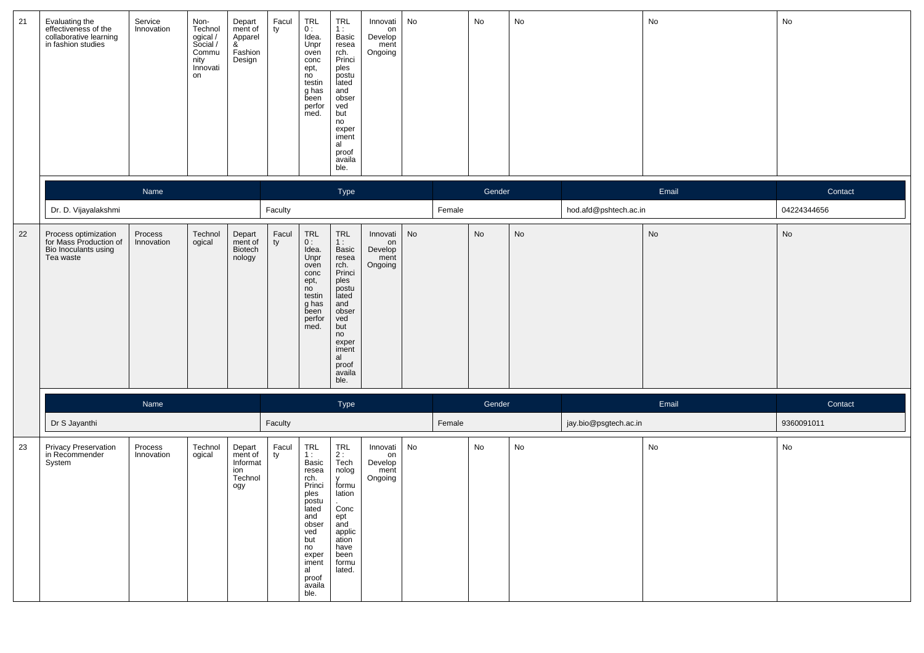| 21 | Evaluating the<br>effectiveness of the<br>collaborative learning<br>in fashion studies | Service<br>Innovation | Non-<br>Technol<br>ogical /<br>Social /<br>Commu<br>nity<br>Innovati<br>on | Depart<br>ment of<br>Apparel<br>&<br>Fashion<br>Design | Facul<br>ty | <b>TRL</b><br>0:<br>Idea.<br>Unpr<br>oven<br>conc<br>ept,<br>no<br>testin<br>g has<br>been<br>perfor<br>med.                                                   | <b>TRL</b><br>1:<br>Basic<br>resea<br>rch.<br>Princi<br>ples<br>postu<br>lated<br>and<br>obser<br>ved<br>but<br>no<br>exper<br>iment<br>al<br>proof<br>availa<br>ble. | Innovati<br>on<br>Develop<br>ment<br>Ongoing | No |        | No     | No            |                       | No                           | No          |
|----|----------------------------------------------------------------------------------------|-----------------------|----------------------------------------------------------------------------|--------------------------------------------------------|-------------|----------------------------------------------------------------------------------------------------------------------------------------------------------------|-----------------------------------------------------------------------------------------------------------------------------------------------------------------------|----------------------------------------------|----|--------|--------|---------------|-----------------------|------------------------------|-------------|
|    |                                                                                        | Name                  |                                                                            |                                                        |             |                                                                                                                                                                | Type                                                                                                                                                                  |                                              |    |        | Gender |               |                       | Email                        | Contact     |
|    | Dr. D. Vijayalakshmi                                                                   |                       |                                                                            |                                                        | Faculty     |                                                                                                                                                                |                                                                                                                                                                       |                                              |    | Female |        |               | hod.afd@pshtech.ac.in |                              | 04224344656 |
| 22 | Process optimization<br>for Mass Production of<br>Bio Inoculants using<br>Tea waste    | Process<br>Innovation | Technol<br>ogical                                                          | Depart<br>ment of<br>Biotech<br>nology                 | Facul<br>ty | TRL<br>0:<br>Idea.<br>Unpr<br>oven<br>conc<br>ept,<br>no<br>testin<br>g has<br>been<br>perfor<br>med.                                                          | TRL<br>1:<br>Basic<br>resea<br>rch.<br>Princi<br>ples<br>postu<br>lated<br>and<br>obser<br>ved<br>but<br>no<br>exper<br>iment<br>al<br>proof<br>availa<br>ble.        | Innovati<br>on<br>Develop<br>ment<br>Ongoing | No |        | No     | $\mathsf{No}$ |                       | $\operatorname{\mathsf{No}}$ | No          |
|    |                                                                                        | Name                  |                                                                            |                                                        |             |                                                                                                                                                                | Type                                                                                                                                                                  |                                              |    |        | Gender |               |                       | Email                        | Contact     |
|    | Dr S Jayanthi                                                                          |                       |                                                                            |                                                        | Faculty     |                                                                                                                                                                |                                                                                                                                                                       |                                              |    | Female |        |               | jay.bio@psgtech.ac.in |                              | 9360091011  |
| 23 | Privacy Preservation<br>in Recommender<br>System                                       | Process<br>Innovation | Technol<br>ogical                                                          | Depart<br>ment of<br>Informat<br>ion<br>Technol<br>ogy | Facul<br>ty | TRL<br>1:<br>Basic<br>resea<br>rch.<br>Princi<br>ples<br>postu<br>lated<br>and<br>obser<br>ved<br>but<br>no<br>exper<br>iment<br>al<br>proof<br>availa<br>ble. | TRL<br>2 :<br>Tech<br>nolog<br>V<br>formu<br>lation<br>Conc<br>ept<br>and<br>applic<br>ation<br>have<br>been<br>formu<br>lated.                                       | Innovati<br>on<br>Develop<br>ment<br>Ongoing | No |        | No     | No            |                       | No                           | No          |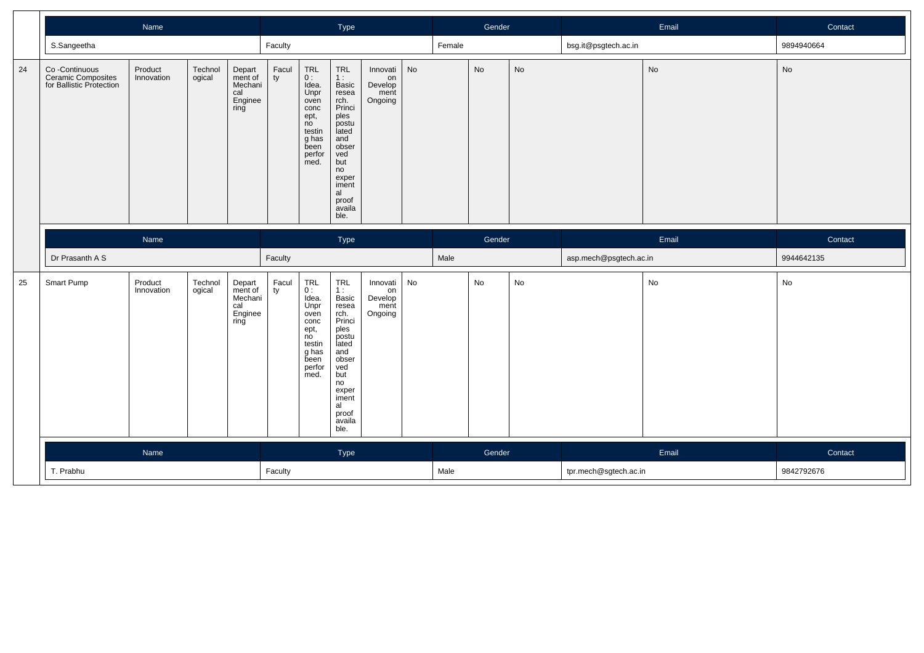|    |                                                                  |                       |                   |                                                        | Type        |                                                                                                                   |                                                                                                                                                                |                                              | Gender |        |           | Email     | Contact                |           |            |
|----|------------------------------------------------------------------|-----------------------|-------------------|--------------------------------------------------------|-------------|-------------------------------------------------------------------------------------------------------------------|----------------------------------------------------------------------------------------------------------------------------------------------------------------|----------------------------------------------|--------|--------|-----------|-----------|------------------------|-----------|------------|
|    | S.Sangeetha                                                      |                       |                   |                                                        | Faculty     |                                                                                                                   |                                                                                                                                                                |                                              |        | Female |           |           | bsg.it@psgtech.ac.in   |           | 9894940664 |
| 24 | Co -Continuous<br>Ceramic Composites<br>for Ballistic Protection | Product<br>Innovation | Technol<br>ogical | Depart<br>ment of<br>Mechani<br>cal<br>Enginee<br>ring | Facul<br>ty | <b>TRL</b><br>0:<br>Idea.<br>Unpr<br>oven<br>conc<br>ept,<br>no<br>testin<br>g has<br>been<br>perfor<br>med.      | TRL<br>1:<br>Basic<br>resea<br>rch.<br>Princi<br>ples<br>postu<br>lated<br>and<br>obser<br>ved<br>but<br>no<br>exper<br>iment<br>al<br>proof<br>availa<br>ble. | Innovati<br>on<br>Develop<br>ment<br>Ongoing | No     |        | <b>No</b> | <b>No</b> |                        | <b>No</b> | No         |
|    |                                                                  | Name                  |                   |                                                        |             |                                                                                                                   | Type                                                                                                                                                           |                                              |        |        | Gender    |           |                        | Email     | Contact    |
|    | Dr Prasanth A S                                                  |                       |                   |                                                        | Faculty     |                                                                                                                   |                                                                                                                                                                |                                              |        | Male   |           |           | asp.mech@psgtech.ac.in |           | 9944642135 |
|    |                                                                  |                       |                   |                                                        |             |                                                                                                                   |                                                                                                                                                                |                                              |        |        |           |           |                        |           |            |
| 25 | Smart Pump                                                       | Product<br>Innovation | Technol<br>ogical | Depart<br>ment of<br>Mechani<br>cal<br>Enginee<br>ring | Facul<br>ty | TRL<br>0:<br>Idea.<br>Unpr<br>oven<br>conc<br>ept,<br>n <sub>o</sub><br>testin<br>g has<br>been<br>perfor<br>med. | TRL<br>1:<br>Basic<br>resea<br>rch.<br>Princi<br>ples<br>postu<br>lated<br>and<br>obser<br>ved<br>but<br>no<br>exper<br>iment<br>al<br>proof<br>availa<br>ble. | Innovati<br>on<br>Develop<br>ment<br>Ongoing | No     |        | No        | No        |                        | No        | No         |
|    |                                                                  | Name                  |                   |                                                        |             |                                                                                                                   | Type                                                                                                                                                           |                                              |        |        | Gender    |           |                        | Email     | Contact    |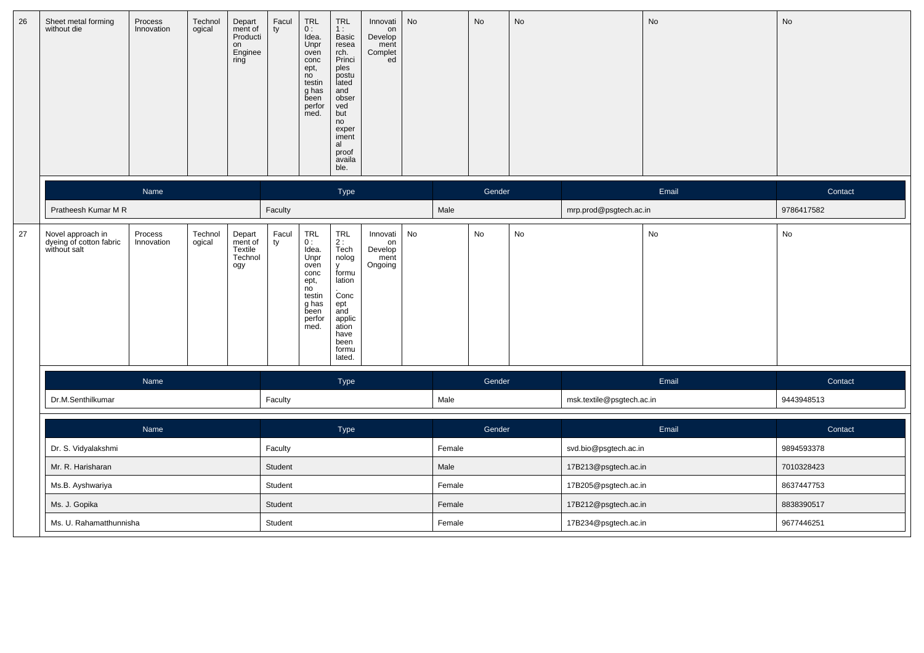| 26 | Sheet metal forming<br>without die                           | Process<br>Innovation   | Technol<br>ogical | Depart<br>ment of<br>Producti<br>on<br>Enginee<br>ring | Facul<br>ty | $\begin{array}{c} \mathsf{TRL} \\ \mathsf{O}: \end{array}$<br>Idea.<br>Unpr<br>oven<br>conc<br>ept,<br>no<br>testin<br>g has<br>been<br>perfor<br>med. | <b>TRL</b><br>1:<br>Basic<br>resea<br>rch.<br>Princi<br>ples<br>postu<br>lated<br>and<br>obser<br>ved<br>but<br>no<br>exper<br>iment<br>al<br>proof<br>availa<br>ble. | Innovati<br>on<br>Develop<br>ment<br>Complet<br>ed | No |        | <b>No</b> | <b>No</b> |                           | No    | No         |
|----|--------------------------------------------------------------|-------------------------|-------------------|--------------------------------------------------------|-------------|--------------------------------------------------------------------------------------------------------------------------------------------------------|-----------------------------------------------------------------------------------------------------------------------------------------------------------------------|----------------------------------------------------|----|--------|-----------|-----------|---------------------------|-------|------------|
|    |                                                              | Name                    |                   |                                                        |             |                                                                                                                                                        | Type                                                                                                                                                                  |                                                    |    |        | Gender    |           |                           | Email | Contact    |
|    | Pratheesh Kumar M R                                          |                         |                   |                                                        | Faculty     |                                                                                                                                                        |                                                                                                                                                                       |                                                    |    | Male   |           |           | mrp.prod@psgtech.ac.in    |       | 9786417582 |
| 27 | Novel approach in<br>dyeing of cotton fabric<br>without salt | Process<br>Innovation   | Technol<br>ogical | Depart<br>ment of<br>Textile<br>Technol<br>ogy         | Facul<br>ty | $TRL$<br>$0:$<br>Idea.<br>Unpr<br>oven<br>conc<br>ept,<br>$n^{\circ}$<br>testin<br>g has<br>been<br>perfor<br>med.                                     | TRL<br>2 :<br>Tech<br>nolog<br>y<br>formu<br>lation<br>Conc<br>ept<br>and<br>applic<br>ation<br>have<br>been<br>formu<br>lated.                                       | Innovati<br>on<br>Develop<br>ment<br>Ongoing       | No |        | No        | No        |                           | No    | No         |
|    |                                                              | Name                    |                   |                                                        |             |                                                                                                                                                        | Type                                                                                                                                                                  |                                                    |    |        | Gender    |           |                           | Email | Contact    |
|    | Dr.M.Senthilkumar                                            |                         |                   |                                                        | Faculty     |                                                                                                                                                        |                                                                                                                                                                       |                                                    |    | Male   |           |           | msk.textile@psgtech.ac.in |       | 9443948513 |
|    |                                                              | Name                    |                   |                                                        |             |                                                                                                                                                        | Type                                                                                                                                                                  |                                                    |    |        | Gender    |           |                           | Email | Contact    |
|    | Dr. S. Vidyalakshmi                                          |                         |                   |                                                        | Faculty     |                                                                                                                                                        |                                                                                                                                                                       |                                                    |    | Female |           |           | svd.bio@psgtech.ac.in     |       | 9894593378 |
|    | Mr. R. Harisharan                                            |                         |                   |                                                        | Student     |                                                                                                                                                        |                                                                                                                                                                       |                                                    |    | Male   |           |           | 17B213@psgtech.ac.in      |       | 7010328423 |
|    | Ms.B. Ayshwariya                                             |                         |                   |                                                        | Student     |                                                                                                                                                        |                                                                                                                                                                       |                                                    |    | Female |           |           | 17B205@psgtech.ac.in      |       | 8637447753 |
|    | Ms. J. Gopika                                                |                         |                   |                                                        | Student     |                                                                                                                                                        |                                                                                                                                                                       |                                                    |    | Female |           |           | 17B212@psgtech.ac.in      |       | 8838390517 |
|    |                                                              | Ms. U. Rahamatthunnisha |                   |                                                        | Student     |                                                                                                                                                        |                                                                                                                                                                       |                                                    |    | Female |           |           | 17B234@psgtech.ac.in      |       | 9677446251 |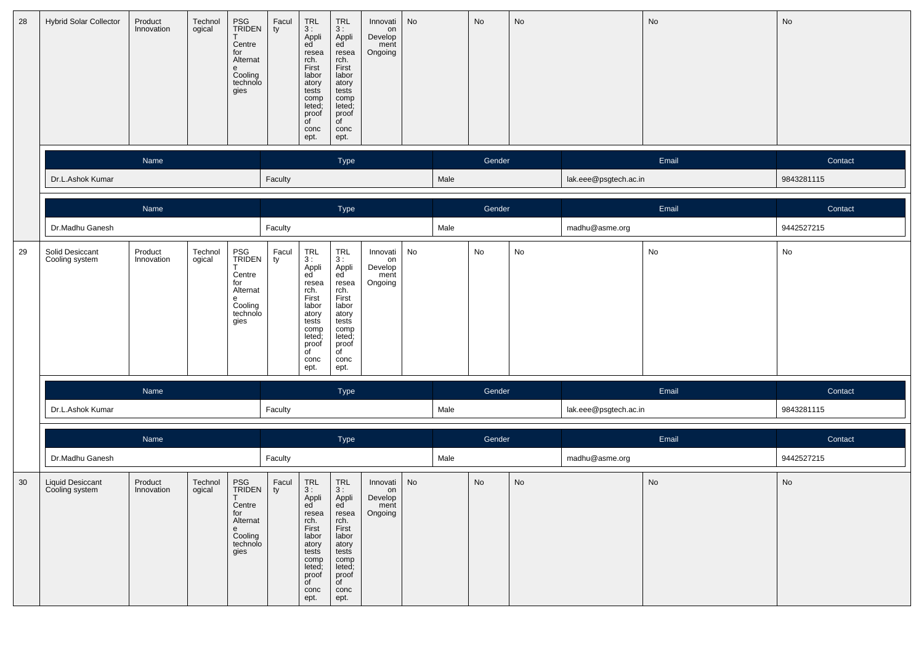| 28 | <b>Hybrid Solar Collector</b>      | Product<br>Innovation | Technol<br>ogical | PSG<br>TRIDEN<br>Centre<br>for<br>Alternat<br>е<br>Cooling<br>technolo<br>gies | Facul<br>ty | $\begin{array}{c} \n \text{TRL} \\  3 : \n \end{array}$<br>Appli<br>ed<br>resea<br>rch.<br>First<br>labor<br>atory<br>tests<br>comp<br>leted;<br>proof<br>of<br>conc<br>ept. | <b>TRL</b><br>3:<br>Appli<br>ed<br>resea<br>rch.<br>First<br>labor<br>atory<br>tests<br>comp<br>leted;<br>proof<br>of<br>conc<br>ept.                  | Innovati<br>on<br>Develop<br>ment<br>Ongoing | No |      | No     | No                           |                       | No    | No         |
|----|------------------------------------|-----------------------|-------------------|--------------------------------------------------------------------------------|-------------|------------------------------------------------------------------------------------------------------------------------------------------------------------------------------|--------------------------------------------------------------------------------------------------------------------------------------------------------|----------------------------------------------|----|------|--------|------------------------------|-----------------------|-------|------------|
|    |                                    | Name                  |                   |                                                                                |             |                                                                                                                                                                              | Type                                                                                                                                                   |                                              |    |      | Gender |                              |                       | Email | Contact    |
|    | Dr.L.Ashok Kumar                   |                       |                   |                                                                                | Faculty     |                                                                                                                                                                              |                                                                                                                                                        |                                              |    | Male |        |                              | lak.eee@psgtech.ac.in |       | 9843281115 |
|    |                                    | Name                  |                   |                                                                                |             |                                                                                                                                                                              | Type                                                                                                                                                   |                                              |    |      | Gender |                              |                       | Email | Contact    |
|    | Dr.Madhu Ganesh                    |                       |                   |                                                                                | Faculty     |                                                                                                                                                                              |                                                                                                                                                        |                                              |    | Male |        |                              | madhu@asme.org        |       | 9442527215 |
| 29 | Solid Desiccant<br>Cooling system  | Product<br>Innovation | Technol<br>ogical | PSG<br>TRIDEN<br>Centre<br>for<br>Alternat<br>е<br>Cooling<br>technolo<br>gies | Facul<br>ty | $\begin{array}{c}\nTRL \\ 3: \end{array}$<br>Appli<br>ed<br>resea<br>rch.<br>First<br>labor<br>atory<br>tests<br>comp<br>leted;<br>proof<br>of<br>conc<br>ept.               | <b>TRL</b><br>3:<br>Appli<br>ed<br>resea<br>rch.<br>First<br>labor<br>atory<br>tests<br>comp<br>leted;<br>proof<br>of<br>conc<br>ept.                  | Innovati<br>on<br>Develop<br>ment<br>Ongoing | No |      | No     | $\operatorname{\mathsf{No}}$ |                       | No    | No         |
|    |                                    | Name                  |                   |                                                                                |             |                                                                                                                                                                              | Type                                                                                                                                                   |                                              |    |      | Gender |                              |                       | Email | Contact    |
|    | Dr.L.Ashok Kumar                   |                       |                   |                                                                                | Faculty     |                                                                                                                                                                              |                                                                                                                                                        |                                              |    | Male |        |                              | lak.eee@psgtech.ac.in |       | 9843281115 |
|    |                                    | Name                  |                   |                                                                                |             |                                                                                                                                                                              | Type                                                                                                                                                   |                                              |    |      | Gender |                              |                       | Email | Contact    |
|    | Dr.Madhu Ganesh                    |                       |                   |                                                                                | Faculty     |                                                                                                                                                                              |                                                                                                                                                        |                                              |    | Male |        |                              | madhu@asme.org        |       | 9442527215 |
| 30 | Liquid Desiccant<br>Cooling system | Product<br>Innovation | Technol<br>ogical | PSG<br>TRIDEN<br>Centre<br>for<br>Alternat<br>e<br>Cooling<br>technolo<br>gies | Facul<br>ty | <b>TRL</b><br>3:<br>Appli<br>ea<br>resea<br>rch.<br>First<br>labor<br>atory<br>tests<br>comp<br>leted;<br>proof<br>of<br>conc<br>ept.                                        | $\ensuremath{\mathsf{TRL}}$<br>3:<br>Appli<br>ea<br>resea<br>rch.<br>First<br>labor<br>atory<br>tests<br>comp<br>leted;<br>proof<br>of<br>conc<br>ept. | Innovati<br>on<br>Develop<br>ment<br>Ongoing | No |      | No     | $\operatorname{\mathsf{No}}$ |                       | No    | No         |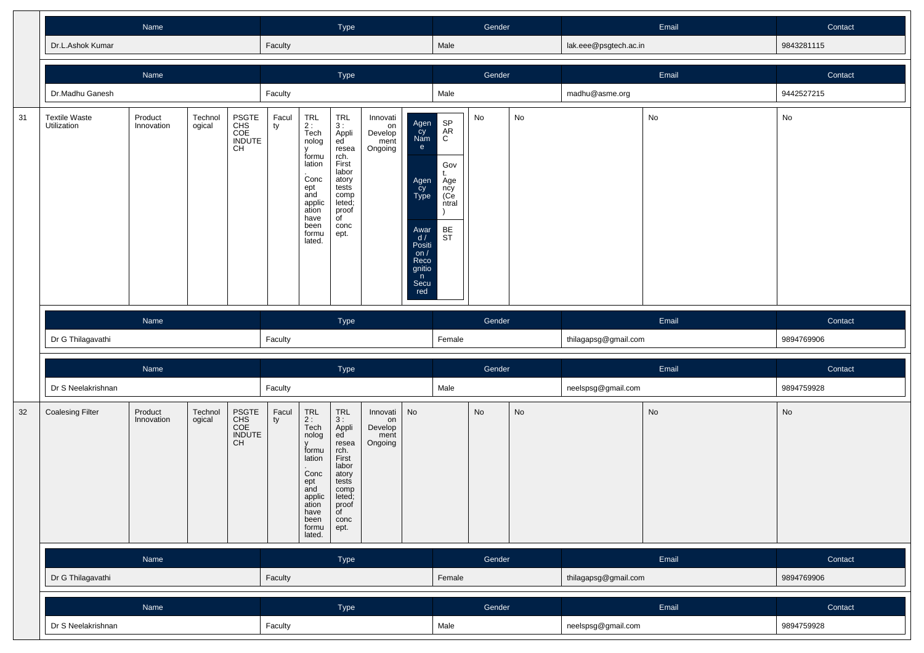|    |                                     | Name                                                                                      |                   |                                     |             |                                                                                                                                           | Type                                                                                                                                       |                                              |                                                                                                                   |                                                                                 | Gender |                              |                       | Email                        | Contact    |
|----|-------------------------------------|-------------------------------------------------------------------------------------------|-------------------|-------------------------------------|-------------|-------------------------------------------------------------------------------------------------------------------------------------------|--------------------------------------------------------------------------------------------------------------------------------------------|----------------------------------------------|-------------------------------------------------------------------------------------------------------------------|---------------------------------------------------------------------------------|--------|------------------------------|-----------------------|------------------------------|------------|
|    | Dr.L.Ashok Kumar                    |                                                                                           |                   |                                     | Faculty     |                                                                                                                                           |                                                                                                                                            |                                              |                                                                                                                   | Male                                                                            |        |                              | lak.eee@psgtech.ac.in |                              | 9843281115 |
|    |                                     | Name                                                                                      |                   |                                     |             |                                                                                                                                           | Type                                                                                                                                       |                                              |                                                                                                                   |                                                                                 | Gender |                              |                       | Email                        | Contact    |
|    | Dr.Madhu Ganesh                     |                                                                                           |                   |                                     | Faculty     |                                                                                                                                           |                                                                                                                                            |                                              |                                                                                                                   | Male                                                                            |        |                              | madhu@asme.org        |                              | 9442527215 |
| 31 | <b>Textile Waste</b><br>Utilization | PSGTE<br>CHS<br>COE<br>INDUTE<br>Technol<br>Product<br>ogical<br>Innovation<br>CH<br>Name |                   |                                     |             | TRL<br>$2:$<br>Tech<br>nolog<br>v<br>formu<br>lation<br>.<br>Conc<br>ept<br>and<br>applic<br>ation<br>have<br>been<br>formu<br>lated.     | TRL<br>3:<br>Appli<br>ed<br>resea<br>rch.<br>First<br>labor<br>atory<br>tests<br>comp<br>leted;<br>proof<br>of<br>conc<br>ept.             | Innovati<br>on<br>Develop<br>ment<br>Ongoing | Agen<br>Cy<br>Nam<br>e<br>Agen<br>cy<br>Type<br>Awar<br>d/<br>Positi<br>on/<br>Reco<br>gnitio<br>n<br>Secu<br>red | SP<br>AR<br>$\mathsf{C}$<br>Gov<br>t.<br>Age<br>ncy<br>(Ce<br>ntral<br>BE<br>ST | No     | $\mathsf{No}$                |                       | ${\sf No}$                   | No         |
|    |                                     |                                                                                           |                   |                                     |             |                                                                                                                                           |                                                                                                                                            |                                              |                                                                                                                   |                                                                                 |        |                              |                       |                              |            |
|    |                                     |                                                                                           |                   |                                     |             |                                                                                                                                           | Type                                                                                                                                       |                                              |                                                                                                                   |                                                                                 | Gender |                              |                       | Email                        | Contact    |
|    | Dr G Thilagavathi                   |                                                                                           |                   |                                     | Faculty     |                                                                                                                                           |                                                                                                                                            |                                              |                                                                                                                   | Female                                                                          |        |                              | thilagapsg@gmail.com  |                              | 9894769906 |
|    |                                     | Name                                                                                      |                   |                                     |             |                                                                                                                                           | Type                                                                                                                                       |                                              |                                                                                                                   |                                                                                 | Gender |                              |                       | Email                        | Contact    |
|    | Dr S Neelakrishnan                  |                                                                                           |                   |                                     | Faculty     |                                                                                                                                           |                                                                                                                                            |                                              |                                                                                                                   | Male                                                                            |        |                              | neelspsg@gmail.com    |                              | 9894759928 |
| 32 | <b>Coalesing Filter</b>             | Product<br>Innovation                                                                     | Technol<br>ogical | PSGTE<br>CHS<br>COE<br>INDUTE<br>CH | Facul<br>ty | TRL<br>2:<br>Tech<br>nolog<br>$\mathsf{V}$<br>formu<br>lation<br>Conc<br>ept<br>and<br>applic<br>ation<br>have<br>been<br>formu<br>lated. | TRL<br>3:<br>Appli<br>ed<br>resea<br>rch.<br>First<br>labor<br>atory<br>tests<br>comp<br>leted;<br>proof<br>$\overline{C}$<br>conc<br>ept. | Innovati<br>on<br>Develop<br>ment<br>Ongoing | No                                                                                                                |                                                                                 | No     | $\operatorname{\mathsf{No}}$ |                       | $\operatorname{\mathsf{No}}$ | No         |
|    |                                     | Name                                                                                      |                   |                                     |             |                                                                                                                                           | Type                                                                                                                                       |                                              |                                                                                                                   |                                                                                 | Gender |                              |                       | Email                        | Contact    |
|    | Dr G Thilagavathi                   |                                                                                           |                   |                                     | Faculty     |                                                                                                                                           |                                                                                                                                            |                                              |                                                                                                                   | Female                                                                          |        |                              | thilagapsg@gmail.com  |                              | 9894769906 |
|    |                                     | Name                                                                                      |                   |                                     |             |                                                                                                                                           | Type                                                                                                                                       |                                              |                                                                                                                   |                                                                                 | Gender |                              |                       | Email                        | Contact    |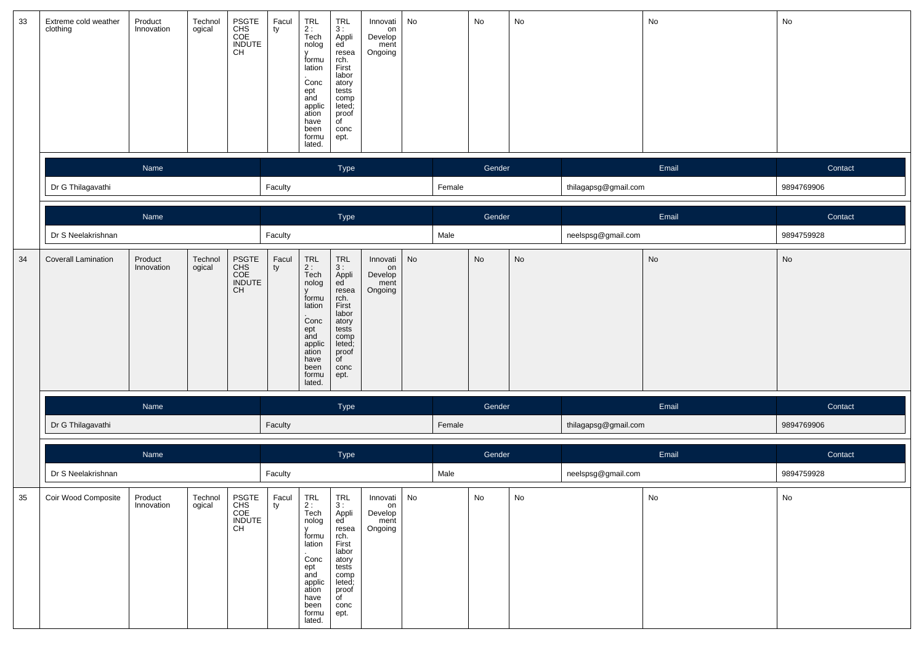| 33 | Extreme cold weather<br>clothing | Product<br>Innovation | Technol<br>ogical | PSGTE<br>CHS<br>COE<br>INDUTE<br>CH | Facul<br>ty   | TRL<br>2 :<br>Tech<br>nolog<br>$\mathsf{v}$<br>formu<br>lation<br>Conc<br>ept<br>and<br>applic<br>ation<br>have<br>been<br>formu<br>lated. | TRL<br>3 :<br>Appli<br>ed<br>resea<br>rch.<br>First<br>labor<br>atory<br>tests<br>comp<br>leted;<br>proof<br>of<br>conc<br>ept.                    | Innovati<br>on<br>Develop<br>ment<br>Ongoing | No                           |        | No     | No |                      | No         | No                           |
|----|----------------------------------|-----------------------|-------------------|-------------------------------------|---------------|--------------------------------------------------------------------------------------------------------------------------------------------|----------------------------------------------------------------------------------------------------------------------------------------------------|----------------------------------------------|------------------------------|--------|--------|----|----------------------|------------|------------------------------|
|    |                                  | Name                  |                   |                                     |               |                                                                                                                                            | Type                                                                                                                                               |                                              |                              |        | Gender |    |                      | Email      | Contact                      |
|    | Dr G Thilagavathi                |                       |                   |                                     | Faculty       |                                                                                                                                            |                                                                                                                                                    |                                              |                              | Female |        |    | thilagapsg@gmail.com |            | 9894769906                   |
|    |                                  | Name                  |                   |                                     |               |                                                                                                                                            | Type                                                                                                                                               |                                              |                              |        | Gender |    |                      | Email      | Contact                      |
|    | Dr S Neelakrishnan               |                       |                   |                                     | Faculty       |                                                                                                                                            |                                                                                                                                                    |                                              |                              | Male   |        |    | neelspsg@gmail.com   |            | 9894759928                   |
| 34 | <b>Coverall Lamination</b>       | Product<br>Innovation | Technol<br>ogical | PSGTE<br>CHS<br>COE<br>INDUTE<br>CH | $_{ty}$ Facul | TRL<br>2 :<br>Tech<br>nolog<br>$\mathsf{V}$<br>formu<br>lation<br>Conc<br>ept<br>and<br>applic<br>ation<br>have<br>been<br>formu<br>lated. | TRL<br>3 :<br>Appli<br>ed<br>resea<br>rch.<br>First<br>labor<br>atory<br>tests<br>comp<br>leted;<br>proof<br>of<br>conc<br>ept.                    | Innovati<br>on<br>Develop<br>ment<br>Ongoing | No                           |        | No     | No |                      | ${\sf No}$ | $\operatorname{\mathsf{No}}$ |
|    |                                  | Name                  |                   |                                     |               |                                                                                                                                            | Type                                                                                                                                               |                                              |                              |        | Gender |    |                      | Email      | Contact                      |
|    | Dr G Thilagavathi                |                       |                   |                                     | Faculty       |                                                                                                                                            |                                                                                                                                                    |                                              |                              | Female |        |    | thilagapsg@gmail.com |            | 9894769906                   |
|    |                                  | Name                  |                   |                                     |               |                                                                                                                                            | Type                                                                                                                                               |                                              |                              |        | Gender |    |                      | Email      | Contact                      |
|    | Dr S Neelakrishnan               |                       |                   |                                     | Faculty       |                                                                                                                                            |                                                                                                                                                    |                                              |                              | Male   |        |    | neelspsg@gmail.com   |            | 9894759928                   |
| 35 | Coir Wood Composite              | Product<br>Innovation | Technol<br>ogical | PSGTE<br>CHS<br>COE<br>INDUTE<br>CH | Facul<br>  ty | TRL<br>2 :<br>Tech<br>nolog<br><b>V</b><br>formu<br>lation<br>Conc<br>ept<br>and<br>applic<br>ation<br>have<br>been<br>formu<br>lated.     | <b>TRL</b><br>3 :<br>Appli<br>ed<br>resea<br>rch.<br>First<br>labor<br>atory<br>tests<br>comp<br>leted;<br>proof<br>$\overline{C}$<br>conc<br>ept. | Innovati<br>on<br>Develop<br>ment<br>Ongoing | $\operatorname{\mathsf{No}}$ |        | No     | No |                      | No         | No                           |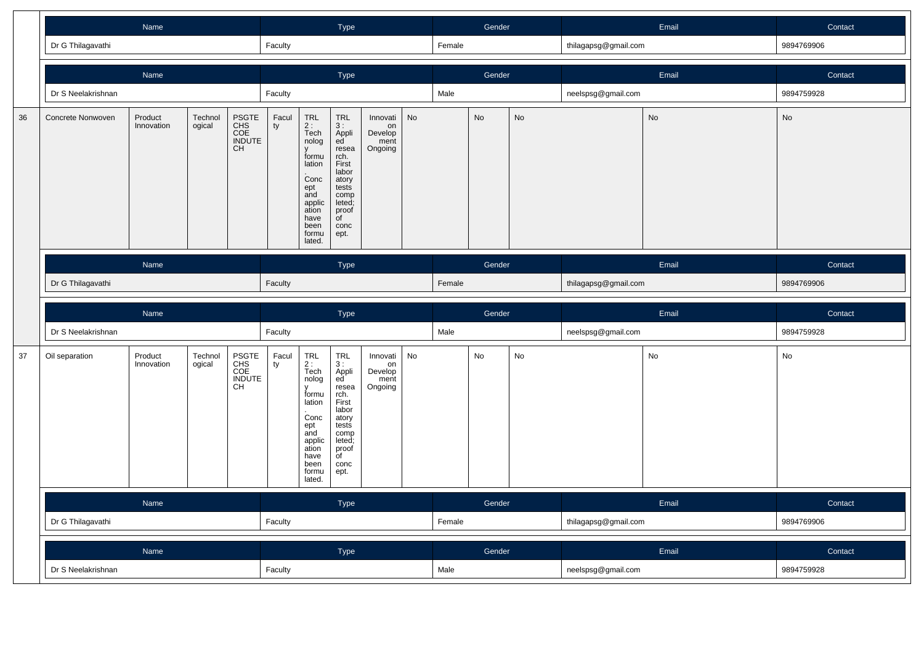|    |                    | Name                                                                                             |  |                                     |             |                                                                                                                            | Type                                                                                                                                              |                                              |           |        | Gender |    |                      | Email         | Contact    |
|----|--------------------|--------------------------------------------------------------------------------------------------|--|-------------------------------------|-------------|----------------------------------------------------------------------------------------------------------------------------|---------------------------------------------------------------------------------------------------------------------------------------------------|----------------------------------------------|-----------|--------|--------|----|----------------------|---------------|------------|
|    | Dr G Thilagavathi  |                                                                                                  |  |                                     | Faculty     |                                                                                                                            |                                                                                                                                                   |                                              |           | Female |        |    | thilagapsg@gmail.com |               | 9894769906 |
|    |                    | Name                                                                                             |  |                                     |             |                                                                                                                            | Type                                                                                                                                              |                                              |           |        | Gender |    |                      | Email         | Contact    |
|    | Dr S Neelakrishnan |                                                                                                  |  |                                     | Faculty     |                                                                                                                            |                                                                                                                                                   |                                              |           | Male   |        |    | neelspsg@gmail.com   |               | 9894759928 |
| 36 | Concrete Nonwoven  | PSGTE<br>CHS<br>COE<br>INDUTE<br>Product<br>Technol<br>Innovation<br>ogical<br><b>CH</b><br>Name |  |                                     |             | TRL<br>$2:$ Tech<br>nolog<br>formu<br>lation<br>Conc<br>ept<br>and<br>applic<br>ation<br>have<br>been<br>formu<br>lated.   | <b>TRL</b><br>3:<br>Appli<br>ed<br>resea<br>rch.<br>First<br>labor<br>atory<br>tests<br>comp<br>leted;<br>proof<br>$\overline{C}$<br>conc<br>ept. | Innovati<br>on<br>Develop<br>ment<br>Ongoing | <b>No</b> |        | No     | No |                      | $\mathsf{No}$ | No         |
|    |                    |                                                                                                  |  |                                     |             |                                                                                                                            | <b>Type</b>                                                                                                                                       |                                              |           |        | Gender |    |                      | Email         | Contact    |
|    | Dr G Thilagavathi  |                                                                                                  |  |                                     | Faculty     |                                                                                                                            |                                                                                                                                                   |                                              |           | Female |        |    | thilagapsg@gmail.com |               | 9894769906 |
|    |                    |                                                                                                  |  |                                     |             |                                                                                                                            |                                                                                                                                                   |                                              |           |        |        |    |                      |               |            |
|    |                    | Name                                                                                             |  |                                     |             |                                                                                                                            | Type                                                                                                                                              |                                              |           |        | Gender |    |                      | Email         | Contact    |
|    | Dr S Neelakrishnan | Product<br>Technol<br>ogical<br>Innovation                                                       |  |                                     | Faculty     |                                                                                                                            |                                                                                                                                                   |                                              |           | Male   |        |    | neelspsg@gmail.com   |               | 9894759928 |
| 37 | Oil separation     |                                                                                                  |  | PSGTE<br>CHS<br>COE<br>INDUTE<br>CH | Facul<br>ty | TRL<br>2 :<br>Tech<br>nolog<br>formu<br>lation<br>Conc<br>ept<br>and<br>applic<br>ation<br>have<br>been<br>formu<br>lated. | <b>TRL</b><br>3:<br>Appli<br>ed<br>resea<br>rch.<br>First<br>labor<br>atory<br>tests<br>comp<br>leted;<br>proof<br>$\overline{C}$<br>conc<br>ept. | Innovati<br>on<br>Develop<br>ment<br>Ongoing | No        |        | No     | No |                      | No            | No         |
|    |                    | Name                                                                                             |  |                                     |             |                                                                                                                            | Type                                                                                                                                              |                                              |           |        | Gender |    |                      | Email         | Contact    |
|    | Dr G Thilagavathi  |                                                                                                  |  |                                     | Faculty     |                                                                                                                            |                                                                                                                                                   |                                              |           | Female |        |    | thilagapsg@gmail.com |               | 9894769906 |
|    |                    | Name                                                                                             |  |                                     |             |                                                                                                                            | Type                                                                                                                                              |                                              |           |        | Gender |    |                      | Email         | Contact    |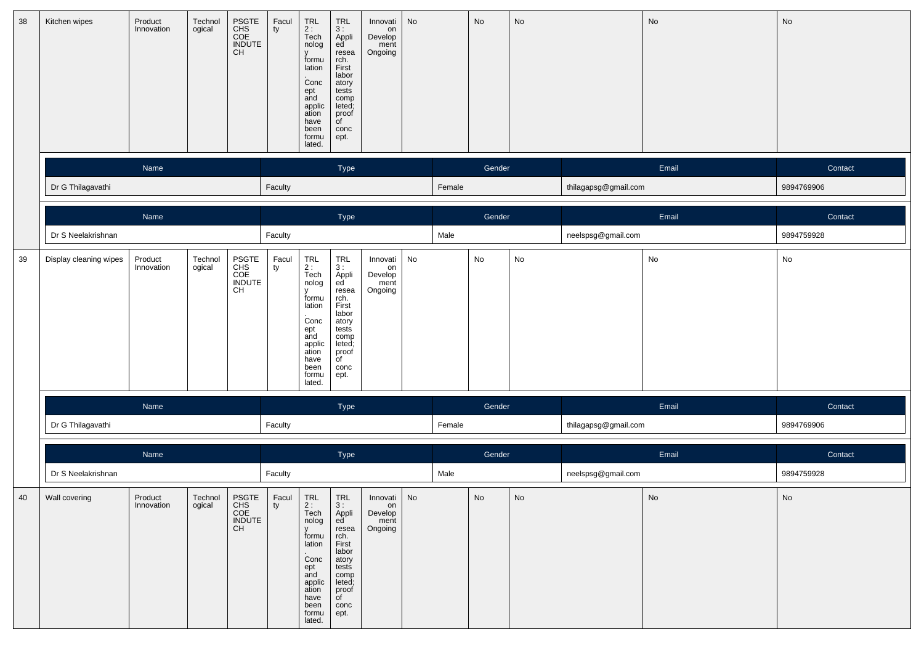| 38 | Kitchen wipes          | Product<br>Innovation | Technol<br>ogical | PSGTE<br>CHS<br>COE<br>INDUTE<br>CH | Facul<br>ty     | TRL<br>2 :<br>Tech<br>nolog<br>formu<br>lation<br>Conc<br>$_{\rm end}^{\rm ept}$<br>applic<br>ation<br>have<br>been<br>formu<br>lated.     | $\begin{array}{c} \mathsf{TRL} \\ \mathsf{3:} \end{array}$<br>Appli<br>ed <sup>'</sup><br>resea<br>rch.<br>First<br>labor<br>atory<br>tests<br>comp<br>leted;<br>proof<br>of<br>conc<br>ept. | Innovati<br>on<br>Develop<br>ment<br>Ongoing | No                           |        | No                           | No                           |                      | No                           | No         |
|----|------------------------|-----------------------|-------------------|-------------------------------------|-----------------|--------------------------------------------------------------------------------------------------------------------------------------------|----------------------------------------------------------------------------------------------------------------------------------------------------------------------------------------------|----------------------------------------------|------------------------------|--------|------------------------------|------------------------------|----------------------|------------------------------|------------|
|    |                        | Name                  |                   |                                     |                 |                                                                                                                                            | Type                                                                                                                                                                                         |                                              |                              |        | Gender                       |                              |                      | Email                        | Contact    |
|    | Dr G Thilagavathi      |                       |                   |                                     | Faculty         |                                                                                                                                            |                                                                                                                                                                                              |                                              |                              | Female |                              |                              | thilagapsg@gmail.com |                              | 9894769906 |
|    |                        | Name                  |                   |                                     |                 |                                                                                                                                            | Type                                                                                                                                                                                         |                                              |                              |        | Gender                       |                              |                      | Email                        | Contact    |
|    | Dr S Neelakrishnan     |                       |                   |                                     | Faculty         |                                                                                                                                            |                                                                                                                                                                                              |                                              |                              | Male   |                              |                              | neelspsg@gmail.com   |                              | 9894759928 |
| 39 | Display cleaning wipes | Product<br>Innovation | Technol<br>ogical | PSGTE<br>CHS<br>COE<br>INDUTE<br>CH | Facul<br>ty     | TRL<br>2 :<br>Tech<br>nolog<br>$\mathsf{v}$<br>formu<br>lation<br>Conc<br>ept<br>and<br>applic<br>ation<br>have<br>been<br>formu<br>lated. | TRL<br>3:<br>Appli<br>ed<br>resea<br>rch.<br>First<br>labor<br>atory<br>tests<br>comp<br>leted;<br>proof<br>of<br>conc<br>ept.                                                               | Innovati<br>on<br>Develop<br>ment<br>Ongoing | No                           |        | No                           | $\operatorname{\mathsf{No}}$ |                      | No                           | No         |
|    |                        | Name                  |                   |                                     |                 |                                                                                                                                            | Type                                                                                                                                                                                         |                                              |                              |        | Gender                       |                              |                      | Email                        | Contact    |
|    | Dr G Thilagavathi      |                       |                   |                                     | Faculty         |                                                                                                                                            |                                                                                                                                                                                              |                                              |                              | Female |                              |                              | thilagapsg@gmail.com |                              | 9894769906 |
|    |                        | Name                  |                   |                                     |                 |                                                                                                                                            | Type                                                                                                                                                                                         |                                              |                              |        | Gender                       |                              |                      | Email                        | Contact    |
|    | Dr S Neelakrishnan     |                       |                   |                                     | Faculty         |                                                                                                                                            |                                                                                                                                                                                              |                                              |                              | Male   |                              |                              | neelspsg@gmail.com   |                              | 9894759928 |
| 40 | Wall covering          | Product<br>Innovation | Technol<br>ogical | PSGTE<br>CHS<br>COE<br>INDUTE<br>CH | Facul<br>$ $ ty | TRL<br>2 :<br>Tech<br>nolog<br>V<br>formu<br>lation<br>Conc<br>ept<br>and<br>applic<br>ation<br>have<br>been<br>formu<br>lated.            | TRL<br>3:<br>Appli<br>ed<br>resea<br>rch.<br>First<br>labor<br>atory<br>tests<br>comp<br>leted;<br>proof<br>$\overline{C}$<br>conc<br>ept.                                                   | Innovati<br>on<br>Develop<br>ment<br>Ongoing | $\operatorname{\mathsf{No}}$ |        | $\operatorname{\mathsf{No}}$ | No                           |                      | $\operatorname{\mathsf{No}}$ | No         |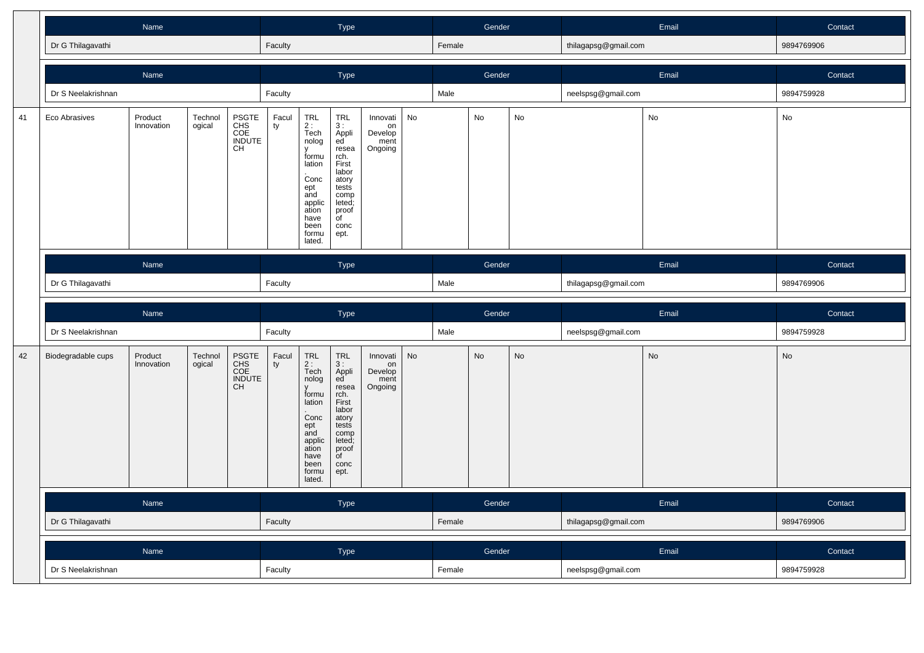|    |                    | Name                  |                   |                                     |             |                                                                                                                                         | Type                                                                                                                                                           |                                              |    |        | Gender |           |                      | Email | Contact    |
|----|--------------------|-----------------------|-------------------|-------------------------------------|-------------|-----------------------------------------------------------------------------------------------------------------------------------------|----------------------------------------------------------------------------------------------------------------------------------------------------------------|----------------------------------------------|----|--------|--------|-----------|----------------------|-------|------------|
|    | Dr G Thilagavathi  |                       |                   |                                     | Faculty     |                                                                                                                                         |                                                                                                                                                                |                                              |    | Female |        |           | thilagapsg@gmail.com |       | 9894769906 |
|    |                    | Name                  |                   |                                     |             |                                                                                                                                         | Type                                                                                                                                                           |                                              |    |        | Gender |           |                      | Email | Contact    |
|    | Dr S Neelakrishnan |                       |                   |                                     | Faculty     |                                                                                                                                         |                                                                                                                                                                |                                              |    | Male   |        |           | neelspsg@gmail.com   |       | 9894759928 |
| 41 | Eco Abrasives      | Product<br>Innovation | Technol<br>ogical | PSGTE<br>CHS<br>COE<br>INDUTE<br>CH | Facul<br>ty | <b>TRL</b><br>$2:$<br>Tech<br>nolog<br>formu<br>lation<br>.<br>Conc<br>ept<br>and<br>applic<br>ation<br>have<br>been<br>formu<br>lated. | <b>TRL</b><br>3:<br>Appli<br>ed<br>resea<br>rch.<br>First<br>labor<br>atory<br>tests<br>comp<br>leted;<br>proof<br>$\overline{C}$<br>conc<br>ept.              | Innovati<br>on<br>Develop<br>ment<br>Ongoing | No |        | No     | No        |                      | No    | No         |
|    |                    | Name                  |                   |                                     |             |                                                                                                                                         | Type                                                                                                                                                           |                                              |    |        | Gender |           |                      | Email | Contact    |
|    | Dr G Thilagavathi  |                       |                   |                                     | Faculty     |                                                                                                                                         |                                                                                                                                                                |                                              |    | Male   |        |           | thilagapsg@gmail.com |       | 9894769906 |
|    |                    |                       |                   |                                     |             |                                                                                                                                         |                                                                                                                                                                |                                              |    |        |        |           |                      |       |            |
|    |                    | Name                  |                   |                                     |             |                                                                                                                                         | Type                                                                                                                                                           |                                              |    |        | Gender |           |                      | Email | Contact    |
|    | Dr S Neelakrishnan |                       |                   |                                     | Faculty     |                                                                                                                                         |                                                                                                                                                                |                                              |    | Male   |        |           | neelspsg@gmail.com   |       | 9894759928 |
| 42 | Biodegradable cups | Product<br>Innovation | Technol<br>ogical | PSGTE<br>CHS<br>COE<br>INDUTE<br>CH | Facul<br>ty | TRL<br>2 :<br>Tech<br>nolog<br>formu<br>lation<br>Conc<br>$ept$ and<br>applic<br>ation<br>have<br>been<br>formu<br>lated.               | <b>TRL</b><br>3:<br>Appli<br>ed <sup>'</sup><br>resea<br>rch.<br>First<br>labor<br>atory<br>tests<br>comp<br>leted;<br>proof<br>$\overline{C}$<br>conc<br>ept. | Innovati<br>on<br>Develop<br>ment<br>Ongoing | No |        | No     | <b>No</b> |                      | No    | <b>No</b>  |
|    |                    | Name                  |                   |                                     |             |                                                                                                                                         | Type                                                                                                                                                           |                                              |    |        | Gender |           |                      | Email | Contact    |
|    | Dr G Thilagavathi  |                       |                   |                                     | Faculty     |                                                                                                                                         |                                                                                                                                                                |                                              |    | Female |        |           | thilagapsg@gmail.com |       | 9894769906 |
|    |                    | Name                  |                   |                                     |             |                                                                                                                                         | Type                                                                                                                                                           |                                              |    |        | Gender |           |                      | Email | Contact    |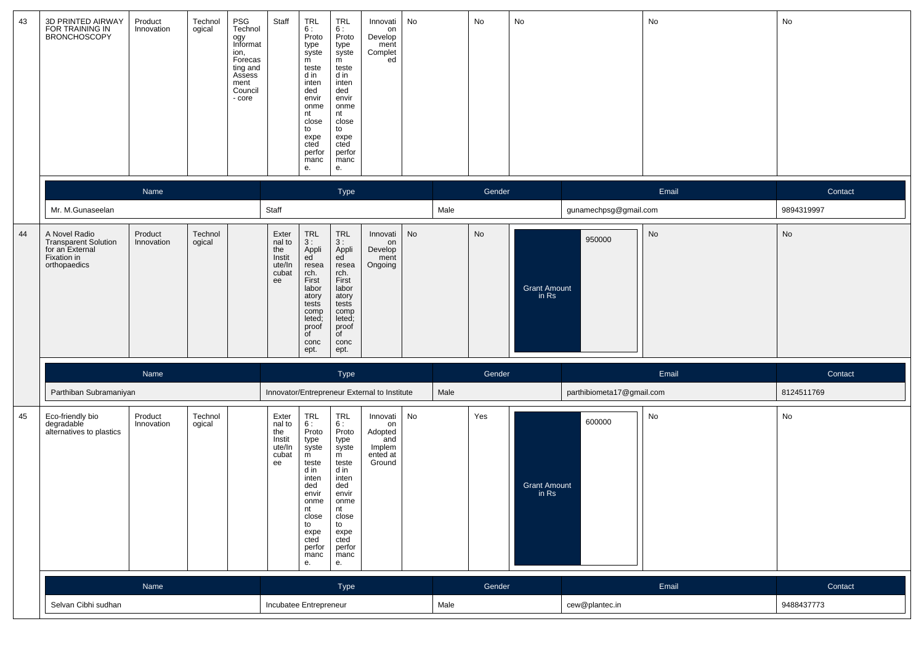| 43 | 3D PRINTED AIRWAY<br>FOR TRAINING IN<br>BRONCHOSCOPY                                           | Product<br>Innovation | Technol<br>ogical | $\ensuremath{\mathsf{PSG}}$<br>Technol<br>ogy<br>Informat<br>ion,<br>Forecas<br>ting and<br>Assess<br>ment<br>Council<br>- core | Staff<br>TRL<br>6:<br>m<br>teste<br>d in<br>inten<br>ded<br>envir<br>nt<br>close<br>to<br>expe<br>cted<br>е.                                                    | <b>TRL</b><br>6:<br>Proto<br>Proto<br>type<br>syste<br>type<br>syste<br>m<br>teste<br>d in<br>inten<br>ded<br>envir<br>onme<br>onme<br>nt<br>close<br>to<br>expe<br>cted<br>perfor<br>perfor<br>manc<br>manc<br>е.   | Innovati<br>on<br>Develop<br>ment<br>Complet<br>ed               | No |      | No     | No                           |                           | No    | No         |
|----|------------------------------------------------------------------------------------------------|-----------------------|-------------------|---------------------------------------------------------------------------------------------------------------------------------|-----------------------------------------------------------------------------------------------------------------------------------------------------------------|----------------------------------------------------------------------------------------------------------------------------------------------------------------------------------------------------------------------|------------------------------------------------------------------|----|------|--------|------------------------------|---------------------------|-------|------------|
|    |                                                                                                | Name                  |                   |                                                                                                                                 |                                                                                                                                                                 | Type                                                                                                                                                                                                                 |                                                                  |    |      | Gender |                              |                           | Email | Contact    |
|    | Mr. M.Gunaseelan                                                                               |                       |                   | Staff                                                                                                                           |                                                                                                                                                                 |                                                                                                                                                                                                                      |                                                                  |    | Male |        |                              | gunamechpsg@gmail.com     |       | 9894319997 |
| 44 | A Novel Radio<br><b>Transparent Solution</b><br>for an External<br>Fixation in<br>orthopaedics | Product<br>Innovation | Technol<br>ogical |                                                                                                                                 | Exter<br>nal to<br>the<br>Instit<br>ute/In<br>cubat<br>rch.<br>First<br>ee<br>labor<br>atory<br>tests<br>leted;<br>proof<br>of<br>conc<br>ept.                  | TRL<br>3 :<br>Appli<br>ed<br><b>TRL</b><br>3:<br>Appli<br>ed<br>resea<br>resea<br>rch.<br>First<br>labor<br>atory<br>tests<br>comp<br>comp<br>leted;<br>proof<br>of<br>conc<br>ept.                                  | Innovati<br>on<br>Develop<br>ment<br>Ongoing                     | No |      | No     | <b>Grant Amount</b><br>in Rs | 950000                    | No    | No         |
|    |                                                                                                | Name                  |                   |                                                                                                                                 |                                                                                                                                                                 | <b>Type</b>                                                                                                                                                                                                          |                                                                  |    |      | Gender |                              |                           | Email | Contact    |
|    | Parthiban Subramaniyan                                                                         |                       |                   |                                                                                                                                 |                                                                                                                                                                 | Innovator/Entrepreneur External to Institute                                                                                                                                                                         |                                                                  |    | Male |        |                              | parthibiometa17@gmail.com |       | 8124511769 |
| 45 | Eco-friendly bio<br>degradable<br>alternatives to plastics                                     | Product<br>Innovation | Technol<br>ogical |                                                                                                                                 | TRL<br>Exter<br>6:<br>nal to<br>the<br>Instit<br>type<br>ute/In<br>cubat<br>m<br>ee<br>teste<br>d in<br>inten<br>ded<br>envir<br>nt<br>to<br>expe<br>cted<br>е. | <b>TRL</b><br>6 :<br>Proto<br>Proto<br>type<br>syste<br>syste<br>m<br>teste<br>d in<br>inten<br>ded<br>envir<br>onme<br>onme<br>nt<br>close<br>close<br>to<br>expe<br>cted<br>perfor<br>perfor<br>manc<br>manc<br>е. | Innovati<br>on<br>Adopted<br>and<br>Implem<br>ented at<br>Ground | No |      | Yes    | <b>Grant Amount</b><br>in Rs | 600000                    | No    | No         |
|    |                                                                                                | Name                  |                   |                                                                                                                                 |                                                                                                                                                                 | Type                                                                                                                                                                                                                 |                                                                  |    |      | Gender |                              |                           | Email | Contact    |
|    | Selvan Cibhi sudhan                                                                            |                       |                   |                                                                                                                                 | Incubatee Entrepreneur                                                                                                                                          |                                                                                                                                                                                                                      |                                                                  |    | Male |        |                              | cew@plantec.in            |       | 9488437773 |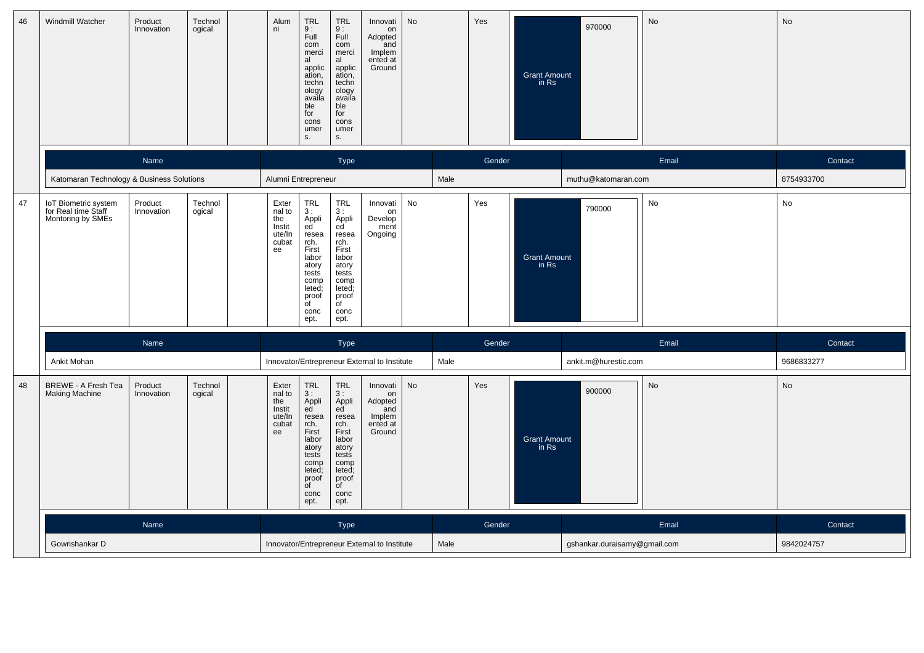| 46 | Windmill Watcher                                                 | Product<br>Innovation | Technol<br>ogical | Alum<br>ni                                                | $TRL$<br>$9:$<br>TRL<br>9 :<br>Full<br>Full<br>com<br>com<br>merci<br>merci<br>al<br>al<br>applic<br>applic<br>ation,<br>ation,<br>techn<br>techn<br>ology<br>availa<br>ology<br>availa<br>ble<br>ble<br>for<br>for<br>cons<br>cons<br>umer<br>umer<br>s.<br>S.                                                                  | <b>No</b><br>Innovati<br>on<br>Adopted<br>and<br>Implem<br>ented at<br>Ground |      | Yes    | 970000<br><b>Grant Amount</b><br>in Rs | No    | No         |
|----|------------------------------------------------------------------|-----------------------|-------------------|-----------------------------------------------------------|----------------------------------------------------------------------------------------------------------------------------------------------------------------------------------------------------------------------------------------------------------------------------------------------------------------------------------|-------------------------------------------------------------------------------|------|--------|----------------------------------------|-------|------------|
|    |                                                                  | <b>Name</b>           |                   |                                                           | Type                                                                                                                                                                                                                                                                                                                             |                                                                               |      | Gender |                                        | Email | Contact    |
|    | Katomaran Technology & Business Solutions                        |                       |                   | Alumni Entrepreneur                                       |                                                                                                                                                                                                                                                                                                                                  |                                                                               | Male |        | muthu@katomaran.com                    |       | 8754933700 |
| 47 | IoT Biometric system<br>for Real time Staff<br>Montoring by SMEs | Product<br>Innovation | Technol<br>ogical | Exter<br>nal to<br>the<br>Instit<br>ute/In<br>cubat<br>ee | TRL<br><b>TRL</b><br>3:<br>3:<br>Appli<br>ed<br>Appli<br>ed<br>resea<br>resea<br>rch.<br>rch.<br>First<br>First<br>labor<br>labor<br>atory<br>atory<br>tests<br>tests<br>comp<br>comp<br>leted;<br>leted;<br>proof<br>proof<br>$\overline{C}$<br>$\overline{C}$<br>conc<br>conc<br>ept.<br>ept.                                  | No<br>Innovati<br>on<br>Develop<br>ment<br>Ongoing                            |      | Yes    | 790000<br><b>Grant Amount</b><br>in Rs | No    | No         |
|    |                                                                  | Name                  |                   |                                                           | Type                                                                                                                                                                                                                                                                                                                             |                                                                               |      | Gender |                                        | Email | Contact    |
|    | Ankit Mohan                                                      |                       |                   |                                                           | Innovator/Entrepreneur External to Institute                                                                                                                                                                                                                                                                                     |                                                                               | Male |        | ankit.m@hurestic.com                   |       | 9686833277 |
| 48 | BREWE - A Fresh Tea<br><b>Making Machine</b>                     | Product<br>Innovation | Technol<br>ogical | Exter<br>nal to<br>the<br>Instit<br>ute/In<br>cubat<br>ee | $\begin{array}{c} \mathsf{TRL} \\ 3: \end{array}$<br>TRL<br>3:<br>Appli<br>ed<br>Appli<br>ed<br>resea<br>resea<br>rch.<br>First<br>rch.<br>First<br>labor<br>labor<br>atory<br>atory<br>tests<br>tests<br>comp<br>comp<br>leted;<br>leted;<br>proof<br>proof<br>$\overline{f}$<br>$\overline{C}$<br>conc<br>conc<br>ept.<br>ept. | No<br>Innovati<br>on<br>Adopted<br>and<br>Implem<br>ented at<br>Ground        |      | Yes    | 900000<br><b>Grant Amount</b><br>in Rs | No    | No         |
|    |                                                                  | Name                  |                   |                                                           | Type                                                                                                                                                                                                                                                                                                                             |                                                                               |      | Gender |                                        | Email | Contact    |
|    | Gowrishankar D                                                   |                       |                   |                                                           | Innovator/Entrepreneur External to Institute                                                                                                                                                                                                                                                                                     |                                                                               | Male |        | gshankar.duraisamy@gmail.com           |       | 9842024757 |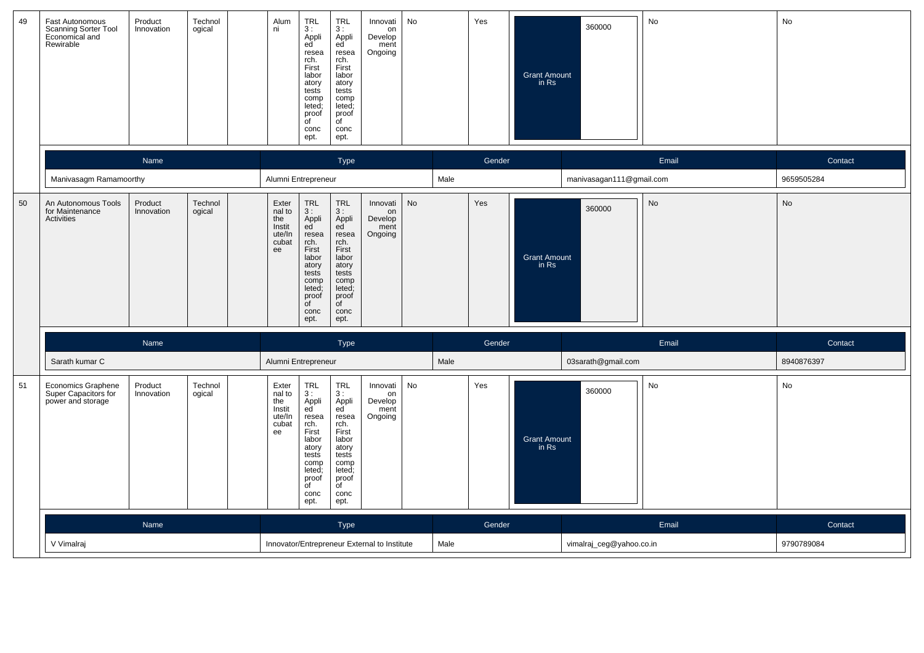| 49 | Fast Autonomous<br>Scanning Sorter Tool<br>Economical and<br>Rewirable | Product<br>Innovation | Technol<br>ogical | Alum<br>ni                                                | $_{3}^{TRL}$<br>Appli<br>ed<br>resea<br>rch.<br>First<br>labor<br>atory<br>tests<br>comp<br>leted;<br>proof<br>of<br>conc<br>ept.                                                  | TRL<br>3:<br>Appli<br>ed<br>resea<br>rch.<br>First<br>labor<br>atory<br>tests<br>comp<br>leted;<br>proof<br>of<br>conc<br>ept.                    | Innovati<br>on<br>Develop<br>ment<br>Ongoing | No        |      | Yes    | <b>Grant Amount</b><br>in Rs | 360000                   | No        | No         |
|----|------------------------------------------------------------------------|-----------------------|-------------------|-----------------------------------------------------------|------------------------------------------------------------------------------------------------------------------------------------------------------------------------------------|---------------------------------------------------------------------------------------------------------------------------------------------------|----------------------------------------------|-----------|------|--------|------------------------------|--------------------------|-----------|------------|
|    |                                                                        | <b>Name</b>           |                   |                                                           |                                                                                                                                                                                    | Type                                                                                                                                              |                                              |           |      | Gender |                              |                          | Email     | Contact    |
|    | Manivasagm Ramamoorthy                                                 |                       |                   | Alumni Entrepreneur                                       |                                                                                                                                                                                    |                                                                                                                                                   |                                              |           | Male |        |                              | manivasagan111@gmail.com |           | 9659505284 |
| 50 | An Autonomous Tools<br>for Maintenance<br><b>Activities</b>            | Product<br>Innovation | Technol<br>ogical | Exter<br>nal to<br>the<br>Instit<br>ute/In<br>cubat<br>ee | $\begin{array}{c} \mathsf{TRL} \\ 3: \end{array}$<br>Appli<br>ed<br>resea<br>rch.<br>First<br>labor<br>atory<br>tests<br>comp<br>leted;<br>proof<br>$\overline{C}$<br>conc<br>ept. | <b>TRL</b><br>3:<br>Appli<br>ed<br>resea<br>rch.<br>First<br>labor<br>atory<br>tests<br>comp<br>leted;<br>proof<br>$\overline{C}$<br>conc<br>ept. | Innovati<br>on<br>Develop<br>ment<br>Ongoing | <b>No</b> |      | Yes    | <b>Grant Amount</b><br>in Rs | 360000                   | <b>No</b> | <b>No</b>  |
|    |                                                                        | Name                  |                   |                                                           |                                                                                                                                                                                    | Type                                                                                                                                              |                                              |           |      | Gender |                              |                          | Email     | Contact    |
|    | Sarath kumar C                                                         |                       |                   | Alumni Entrepreneur                                       |                                                                                                                                                                                    |                                                                                                                                                   |                                              |           | Male |        |                              | 03sarath@gmail.com       |           | 8940876397 |
| 51 | <b>Economics Graphene</b><br>Super Capacitors for<br>power and storage | Product<br>Innovation | Technol<br>ogical | Exter<br>nal to<br>the<br>Instit<br>ute/In<br>cubat<br>ee | <b>TRL</b><br>3:<br>Appli<br>ed<br>resea<br>rch.<br>First<br>labor<br>atory<br>tests<br>comp<br>leted;<br>proof<br>$\overline{f}$<br>conc<br>ept.                                  | <b>TRL</b><br>3:<br>Appli<br>ed<br>resea<br>rch.<br>First<br>labor<br>atory<br>tests<br>comp<br>leted;<br>proof<br>$\overline{f}$<br>conc<br>ept. | Innovati<br>on<br>Develop<br>ment<br>Ongoing | No        |      | Yes    | <b>Grant Amount</b><br>in Rs | 360000                   | No        | No         |
|    |                                                                        | Name                  |                   |                                                           |                                                                                                                                                                                    | <b>Type</b>                                                                                                                                       |                                              |           |      | Gender |                              |                          | Email     | Contact    |
|    | V Vimalraj                                                             |                       |                   |                                                           |                                                                                                                                                                                    |                                                                                                                                                   | Innovator/Entrepreneur External to Institute |           | Male |        |                              | vimalraj_ceg@yahoo.co.in |           | 9790789084 |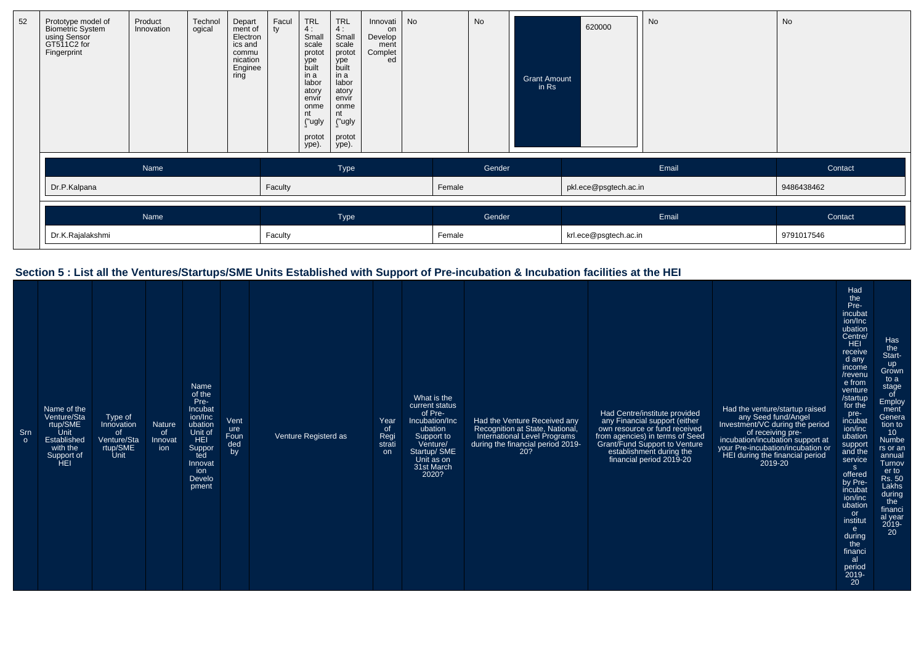| 52 | Prototype model of<br>Biometric System<br>using Sensor<br>GT511C2 for<br>Fingerprint | Product<br>Innovation | Technol<br>ogical | Depart<br>ment of<br>Electron<br>ics and<br>commu<br>nication<br>Enginee<br>ring | Facul<br>tv | <b>TRL</b><br>4:<br>Small<br>scale<br>protot<br>ype<br>built<br>in a<br>labor<br>atory<br>envir<br>onme<br>nt<br>("ugly<br>protot<br>ype). | <b>TRL</b><br>4:<br>Small<br>scale<br>protot<br>ype<br>built<br>in a<br>labor<br>atory<br>envir<br>onme<br>nt<br>("ugly<br>protot<br>ype). | Innovati<br>on<br>Develop<br>ment<br>Complet<br>ed | No |        | No     | <b>Grant Amount</b><br>$in$ Rs | 620000                | No    | No         |
|----|--------------------------------------------------------------------------------------|-----------------------|-------------------|----------------------------------------------------------------------------------|-------------|--------------------------------------------------------------------------------------------------------------------------------------------|--------------------------------------------------------------------------------------------------------------------------------------------|----------------------------------------------------|----|--------|--------|--------------------------------|-----------------------|-------|------------|
|    |                                                                                      | Name                  |                   |                                                                                  |             |                                                                                                                                            | Type                                                                                                                                       |                                                    |    |        | Gender |                                |                       | Email | Contact    |
|    | Dr.P.Kalpana                                                                         |                       |                   |                                                                                  | Faculty     |                                                                                                                                            |                                                                                                                                            |                                                    |    | Female |        |                                | pkl.ece@psgtech.ac.in |       | 9486438462 |
|    |                                                                                      | Name                  |                   |                                                                                  |             |                                                                                                                                            | Type                                                                                                                                       |                                                    |    |        | Gender |                                |                       | Email | Contact    |
|    | Dr.K.Rajalakshmi                                                                     |                       |                   |                                                                                  | Faculty     |                                                                                                                                            |                                                                                                                                            |                                                    |    | Female |        |                                | krl.ece@psgtech.ac.in |       | 9791017546 |

# **Section 5 : List all the Ventures/Startups/SME Units Established with Support of Pre-incubation & Incubation facilities at the HEI**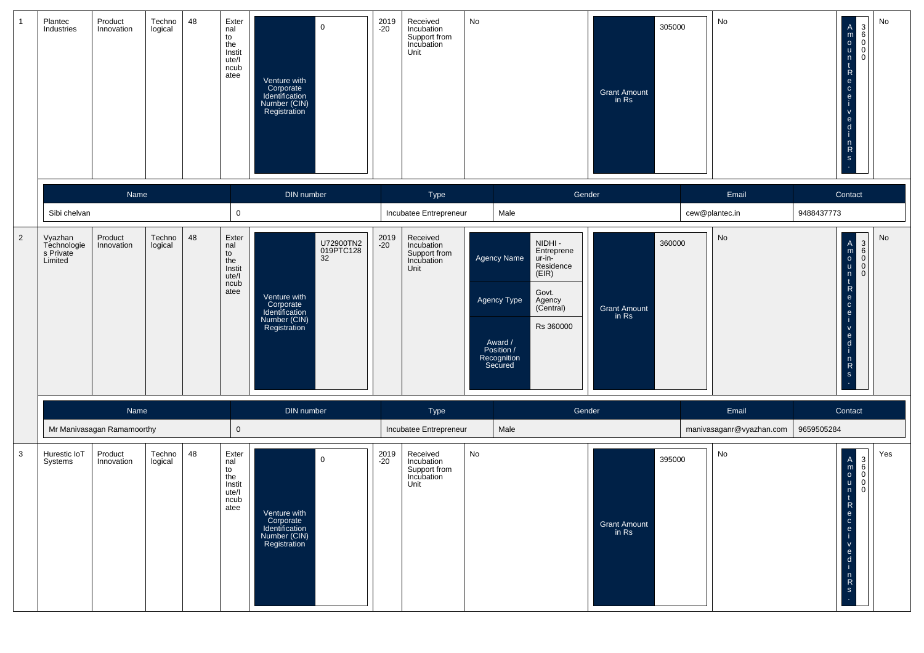|                | Plantec<br>Industries                          | Product<br>Innovation                 | Techno<br>logical | 48 | Exter<br>nal<br>to<br>the<br>Instit<br>ute/l<br>ncub<br>atee | $\mathsf{O}\xspace$<br>Venture with<br>Corporate<br>Identification<br>Number (CIN)<br>Registration          | 2019<br>-20 | Received<br>Incubation<br>Support from<br>Incubation<br>Unit | No |                                                                                                                                                                                            | Grant Amount<br>in Rs        | 305000 | No                             | No<br>$\begin{matrix} 3 \\ 6 \\ 0 \\ 0 \end{matrix}$<br>$\mathsf{A}$<br>$\begin{array}{c} 0 \\ 0 \\ 0 \end{array}$<br>n<br>t.<br>$\mathsf{R}$<br>$\mathbf{e}$<br>$\mathbf{C}$<br>$\mathbf{e}$<br>$\mathsf{v}$<br>$\mathbf{e}$<br>d<br>$n \nR$<br>$\mathbf{s}$ |
|----------------|------------------------------------------------|---------------------------------------|-------------------|----|--------------------------------------------------------------|-------------------------------------------------------------------------------------------------------------|-------------|--------------------------------------------------------------|----|--------------------------------------------------------------------------------------------------------------------------------------------------------------------------------------------|------------------------------|--------|--------------------------------|---------------------------------------------------------------------------------------------------------------------------------------------------------------------------------------------------------------------------------------------------------------|
|                | Sibi chelvan                                   | Name                                  |                   |    | $\mathsf 0$                                                  | DIN number                                                                                                  |             | Type<br>Incubatee Entrepreneur                               |    | Gender<br>Male                                                                                                                                                                             |                              |        | Email<br>cew@plantec.in        | Contact<br>9488437773                                                                                                                                                                                                                                         |
| $\overline{2}$ | Vyazhan<br>Technologie<br>s Private<br>Limited | Product<br>Innovation                 | Techno<br>logical | 48 | Exter<br>nal<br>to<br>the<br>Instit<br>ute/l<br>ncub<br>atee | U72900TN2<br>019PTC128<br>32<br>Venture with<br>Corporate<br>Identification<br>Number (CIN)<br>Registration | 2019<br>-20 | Received<br>Incubation<br>Support from<br>Incubation<br>Unit |    | NIDHI -<br>Entreprene<br><b>Agency Name</b><br>ur-in-<br>Residence<br>(EIR)<br>Govt.<br>Agency Type<br>Agency<br>(Central)<br>Rs 360000<br>Award /<br>Position /<br>Recognition<br>Secured | Grant Amount<br>in Rs        | 360000 | No                             | No<br>A<br>BOOOD<br>$\lfloor m \rfloor$<br>n<br>$\overline{1}$<br>$\mathsf{R}$<br>e<br>$\mathbf{C}$<br>e<br>$\mathbf{v}$<br>$\frac{e}{d}$<br>$n \nR$<br>$\mathbf{s}$                                                                                          |
|                |                                                | Name                                  |                   |    |                                                              | DIN number                                                                                                  |             | Type                                                         |    | Gender                                                                                                                                                                                     |                              |        | Email                          | Contact                                                                                                                                                                                                                                                       |
| $\mathbf{3}$   | Hurestic IoT                                   | Mr Manivasagan Ramamoorthy<br>Product |                   | 48 | $\mathsf 0$                                                  |                                                                                                             |             | Incubatee Entrepreneur                                       | No | Male                                                                                                                                                                                       |                              |        | manivasaganr@vyazhan.com<br>No | 9659505284<br>Yes                                                                                                                                                                                                                                             |
|                | Systems                                        | Innovation                            | Techno<br>logical |    | Exter<br>nal<br>to<br>the<br>Instit<br>ute/l<br>ncub<br>atee | $\mathbf 0$<br>Venture with<br>Corporate<br>Identification<br>Number (CIN)<br>Registration                  | 2019<br>-20 | Received<br>Incubation<br>Support from<br>Incubation<br>Unit |    |                                                                                                                                                                                            | <b>Grant Amount</b><br>in Rs | 395000 |                                | $\frac{m}{\circ}$<br>$\mathbf{t}$<br>ĸ<br>e<br>$\mathbf{C}$<br>e<br>$\mathbf v$<br>e.<br>-d<br>$\mathsf{n}$<br>$\mathsf{R}$<br>S                                                                                                                              |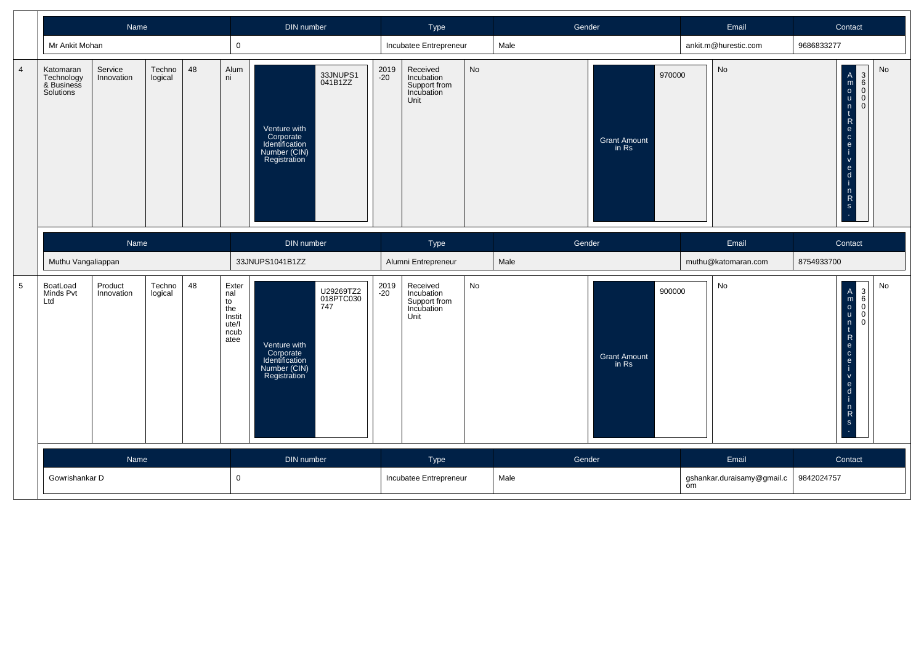|                 | Name                                               |                                                  |                   | DIN number |                                                                             |                                                                             | Type                          |                                                              |                                                              | Gender |                                        | Contact                                  |                                                                                                                                       |                                         |
|-----------------|----------------------------------------------------|--------------------------------------------------|-------------------|------------|-----------------------------------------------------------------------------|-----------------------------------------------------------------------------|-------------------------------|--------------------------------------------------------------|--------------------------------------------------------------|--------|----------------------------------------|------------------------------------------|---------------------------------------------------------------------------------------------------------------------------------------|-----------------------------------------|
|                 | Mr Ankit Mohan                                     |                                                  |                   |            | $\mathbf 0$                                                                 |                                                                             |                               |                                                              | Incubatee Entrepreneur                                       |        | Male                                   |                                          | ankit.m@hurestic.com                                                                                                                  | 9686833277                              |
| $\overline{4}$  | Katomaran<br>Technology<br>& Business<br>Solutions | 48<br>Techno<br>Service<br>Innovation<br>logical |                   | Alum<br>ni | Venture with<br>Corporate<br>Identification<br>Number (CIN)<br>Registration | 33JNUPS1<br>041B1ZZ                                                         | 2019<br>$-20$                 | Received<br>Incubation<br>Support from<br>Incubation<br>Unit | No                                                           |        | 970000<br><b>Grant Amount</b><br>in Rs | $\operatorname{\mathsf{No}}$             | <b>No</b><br>A<br>m<br>o<br>u<br>n<br>c<br>e<br>c<br>e<br>c<br>e<br>i<br>000<br>$\overline{0}$<br>$ \alpha$ $\alpha$<br>$\frac{n}{s}$ |                                         |
|                 |                                                    | Name                                             |                   |            |                                                                             | DIN number                                                                  |                               |                                                              | Type                                                         |        | Gender                                 |                                          | Email                                                                                                                                 | Contact                                 |
|                 | Muthu Vangaliappan                                 |                                                  |                   |            |                                                                             | 33JNUPS1041B1ZZ                                                             |                               |                                                              | Alumni Entrepreneur                                          |        | Male                                   |                                          | muthu@katomaran.com                                                                                                                   | 8754933700                              |
| $5\phantom{.0}$ | <b>BoatLoad</b><br>Minds Pvt<br>Ltd                | Product<br>Innovation                            | Techno<br>logical | 48         | Exter<br>nal<br>to<br>the<br>Instit<br>ute/l<br>ncub<br>atee                | Venture with<br>Corporate<br>Identification<br>Number (CIN)<br>Registration | U29269TZ2<br>018PTC030<br>747 | 2019<br>$-20$                                                | Received<br>Incubation<br>Support from<br>Incubation<br>Unit | No     |                                        | 900000<br><b>Grant Amount</b><br>in Rs   | No                                                                                                                                    | No<br>$rac{1}{\alpha}$<br>$\frac{1}{2}$ |
|                 |                                                    | Name                                             |                   |            |                                                                             | DIN number                                                                  |                               |                                                              | Type                                                         |        | Gender                                 |                                          | Email                                                                                                                                 | Contact                                 |
|                 | $\mathbf 0$<br>Gowrishankar D                      |                                                  |                   |            |                                                                             |                                                                             | Incubatee Entrepreneur        |                                                              | Male                                                         | om     |                                        | 9842024757<br>gshankar.duraisamy@gmail.c |                                                                                                                                       |                                         |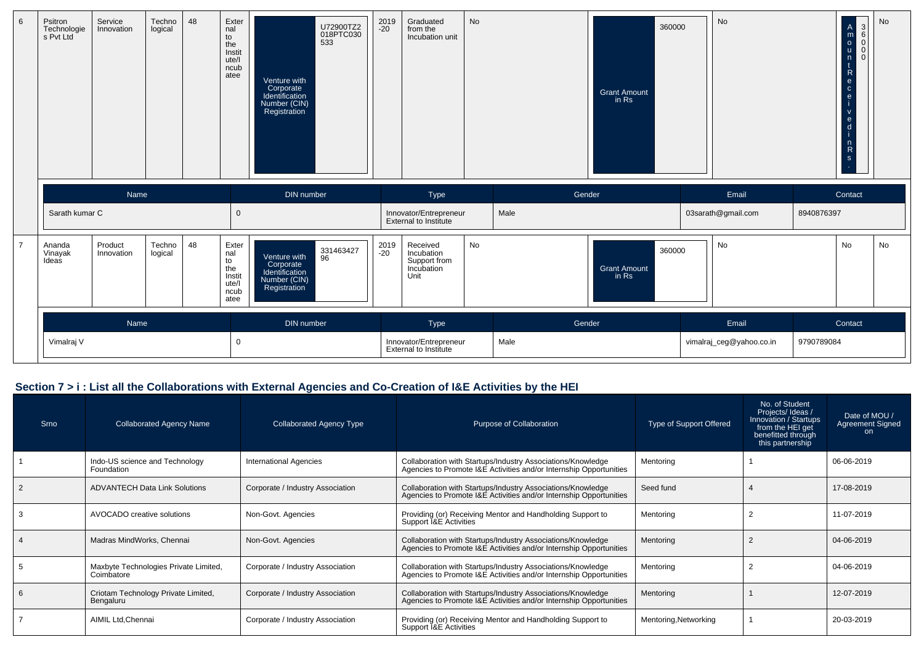| 6              | Psitron<br>Technologie<br>s Pvt Ltd | Service<br>Innovation | Techno<br>logical | 48 | Exter<br>nal<br>to<br>the<br>Instit<br>ute/l<br>ncub<br>atee | Venture with<br>Corporate<br>Identification<br>Number (CIN)<br>Registration | U72900TZ2<br>018PTC030<br>533 | 2019<br>$-20$ | Graduated<br>from the<br>Incubation unit                     | <b>No</b> |        | <b>Grant Amount</b><br>in Rs | 360000 | <b>No</b>                |            | $\begin{matrix} 3 \\ 6 \\ 0 \end{matrix}$<br>$\mathsf{A}$<br>$\frac{m}{\circ}$<br>$\sf u$<br> 0 <br>n<br>$\mathsf{R}$<br>$\mathbf{e}$<br>$\mathbf{C}$<br>$\mathbf{e}$<br>$\mathbf{e}$<br>d<br>$\frac{n}{R}$<br>S | No |
|----------------|-------------------------------------|-----------------------|-------------------|----|--------------------------------------------------------------|-----------------------------------------------------------------------------|-------------------------------|---------------|--------------------------------------------------------------|-----------|--------|------------------------------|--------|--------------------------|------------|------------------------------------------------------------------------------------------------------------------------------------------------------------------------------------------------------------------|----|
|                |                                     | Name                  |                   |    |                                                              | DIN number                                                                  |                               |               | Type                                                         |           | Gender |                              |        | Email                    |            | Contact                                                                                                                                                                                                          |    |
|                | Sarath kumar C                      |                       |                   |    | $\mathbf 0$                                                  |                                                                             |                               |               | Innovator/Entrepreneur<br>External to Institute              |           | Male   |                              |        | 03sarath@gmail.com       | 8940876397 |                                                                                                                                                                                                                  |    |
| $\overline{7}$ | Ananda<br>Vinayak<br>Ideas          | Product<br>Innovation | Techno<br>logical | 48 | Exter<br>nal<br>to<br>the<br>Instit<br>ute/l<br>ncub<br>atee | Venture with<br>Corporate<br>Identification<br>Number (CIN)<br>Registration | 331463427<br>96               | 2019<br>-20   | Received<br>Incubation<br>Support from<br>Incubation<br>Unit | No        |        | <b>Grant Amount</b><br>in Rs | 360000 | No                       |            | <b>No</b>                                                                                                                                                                                                        | No |
|                |                                     | Name                  |                   |    |                                                              | DIN number                                                                  |                               |               | Type                                                         |           | Gender |                              |        | Email                    |            | Contact                                                                                                                                                                                                          |    |
|                | Vimalraj V                          |                       |                   |    | $\mathbf{0}$                                                 |                                                                             |                               |               | Innovator/Entrepreneur<br>External to Institute              |           | Male   |                              |        | vimalraj_ceg@yahoo.co.in | 9790789084 |                                                                                                                                                                                                                  |    |

#### **Section 7 > i : List all the Collaborations with External Agencies and Co-Creation of I&E Activities by the HEI**

| Srno | <b>Collaborated Agency Name</b>                     | <b>Collaborated Agency Type</b>  | Purpose of Collaboration                                                                                                          | Type of Support Offered | No. of Student<br>Projects/ Ideas /<br>Innovation / Startups<br>from the HEI get<br>benefitted through<br>this partnership | Date of MOU /<br><b>Agreement Signed</b><br>on. |
|------|-----------------------------------------------------|----------------------------------|-----------------------------------------------------------------------------------------------------------------------------------|-------------------------|----------------------------------------------------------------------------------------------------------------------------|-------------------------------------------------|
|      | Indo-US science and Technology<br>Foundation        | <b>International Agencies</b>    | Collaboration with Startups/Industry Associations/Knowledge<br>Agencies to Promote I&E Activities and/or Internship Opportunities | Mentoring               |                                                                                                                            | 06-06-2019                                      |
|      | <b>ADVANTECH Data Link Solutions</b>                | Corporate / Industry Association | Collaboration with Startups/Industry Associations/Knowledge<br>Agencies to Promote I&E Activities and/or Internship Opportunities | Seed fund               |                                                                                                                            | 17-08-2019                                      |
|      | AVOCADO creative solutions                          | Non-Govt. Agencies               | Providing (or) Receiving Mentor and Handholding Support to<br>Support I&E Activities                                              | Mentoring               |                                                                                                                            | 11-07-2019                                      |
|      | Madras MindWorks, Chennai                           | Non-Govt. Agencies               | Collaboration with Startups/Industry Associations/Knowledge<br>Agencies to Promote I&E Activities and/or Internship Opportunities | Mentoring               |                                                                                                                            | 04-06-2019                                      |
| -5   | Maxbyte Technologies Private Limited,<br>Coimbatore | Corporate / Industry Association | Collaboration with Startups/Industry Associations/Knowledge<br>Agencies to Promote I&E Activities and/or Internship Opportunities | Mentoring               |                                                                                                                            | 04-06-2019                                      |
|      | Criotam Technology Private Limited,<br>Bengaluru    | Corporate / Industry Association | Collaboration with Startups/Industry Associations/Knowledge<br>Agencies to Promote I&E Activities and/or Internship Opportunities | Mentoring               |                                                                                                                            | 12-07-2019                                      |
|      | AIMIL Ltd, Chennai                                  | Corporate / Industry Association | Providing (or) Receiving Mentor and Handholding Support to<br>Support I&E Activities                                              | Mentoring, Networking   |                                                                                                                            | 20-03-2019                                      |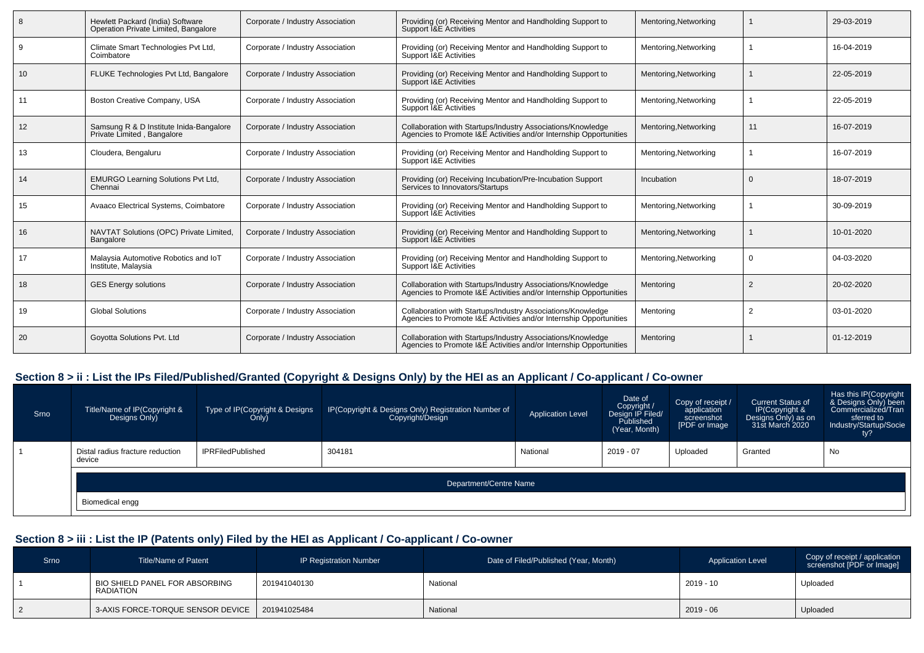| 8  | Hewlett Packard (India) Software<br>Operation Private Limited, Bangalore | Corporate / Industry Association | Providing (or) Receiving Mentor and Handholding Support to<br>Support I&E Activities                                              | Mentoring, Networking |                | 29-03-2019 |
|----|--------------------------------------------------------------------------|----------------------------------|-----------------------------------------------------------------------------------------------------------------------------------|-----------------------|----------------|------------|
|    | Climate Smart Technologies Pvt Ltd,<br>Coimbatore                        | Corporate / Industry Association | Providing (or) Receiving Mentor and Handholding Support to<br>Support I&E Activities                                              | Mentoring, Networking |                | 16-04-2019 |
| 10 | FLUKE Technologies Pvt Ltd, Bangalore                                    | Corporate / Industry Association | Providing (or) Receiving Mentor and Handholding Support to<br>Support I&E Activities                                              | Mentoring, Networking |                | 22-05-2019 |
| 11 | Boston Creative Company, USA                                             | Corporate / Industry Association | Providing (or) Receiving Mentor and Handholding Support to<br>Support I&E Activities                                              | Mentoring, Networking |                | 22-05-2019 |
| 12 | Samsung R & D Institute Inida-Bangalore<br>Private Limited, Bangalore    | Corporate / Industry Association | Collaboration with Startups/Industry Associations/Knowledge<br>Agencies to Promote I&E Activities and/or Internship Opportunities | Mentoring, Networking | 11             | 16-07-2019 |
| 13 | Cloudera, Bengaluru                                                      | Corporate / Industry Association | Providing (or) Receiving Mentor and Handholding Support to<br>Support I&E Activities                                              | Mentoring, Networking |                | 16-07-2019 |
| 14 | <b>EMURGO Learning Solutions Pvt Ltd.</b><br>Chennai                     | Corporate / Industry Association | Providing (or) Receiving Incubation/Pre-Incubation Support<br>Services to Innovators/Startups                                     | Incubation            |                | 18-07-2019 |
| 15 | Avaaco Electrical Systems, Coimbatore                                    | Corporate / Industry Association | Providing (or) Receiving Mentor and Handholding Support to<br>Support I&E Activities                                              | Mentoring, Networking |                | 30-09-2019 |
| 16 | NAVTAT Solutions (OPC) Private Limited,<br>Bangalore                     | Corporate / Industry Association | Providing (or) Receiving Mentor and Handholding Support to<br>Support I&E Activities                                              | Mentoring, Networking |                | 10-01-2020 |
| 17 | Malaysia Automotive Robotics and IoT<br>Institute, Malaysia              | Corporate / Industry Association | Providing (or) Receiving Mentor and Handholding Support to<br>Support I&E Activities                                              | Mentoring, Networking |                | 04-03-2020 |
| 18 | <b>GES Energy solutions</b>                                              | Corporate / Industry Association | Collaboration with Startups/Industry Associations/Knowledge<br>Agencies to Promote I&E Activities and/or Internship Opportunities | Mentoring             | $\overline{2}$ | 20-02-2020 |
| 19 | <b>Global Solutions</b>                                                  | Corporate / Industry Association | Collaboration with Startups/Industry Associations/Knowledge<br>Agencies to Promote I&E Activities and/or Internship Opportunities | Mentoring             | $\overline{2}$ | 03-01-2020 |
| 20 | Goyotta Solutions Pvt. Ltd                                               | Corporate / Industry Association | Collaboration with Startups/Industry Associations/Knowledge<br>Agencies to Promote I&E Activities and/or Internship Opportunities | Mentoring             |                | 01-12-2019 |

# **Section 8 > ii : List the IPs Filed/Published/Granted (Copyright & Designs Only) by the HEI as an Applicant / Co-applicant / Co-owner**

| Srno | Title/Name of IP(Copyright &<br>Designs Only) | Type of IP(Copyright & Designs<br>Only) | IP(Copyright & Designs Only) Registration Number of<br>Copyright/Design | <b>Application Level</b> | Date of<br>Copyright /<br>Design IP Filed/<br>Published<br>(Year, Month) | Copy of receipt /<br>application<br>screenshot<br>[PDF or Image | <b>Current Status of</b><br>IP(Copyright &<br>Designs Only) as on<br>31st March 2020 | Has this IP(Copyright<br>& Designs Only) been<br>Commercialized/Tran<br>sferred to<br>Industry/Startup/Socie<br>ty? |  |  |  |
|------|-----------------------------------------------|-----------------------------------------|-------------------------------------------------------------------------|--------------------------|--------------------------------------------------------------------------|-----------------------------------------------------------------|--------------------------------------------------------------------------------------|---------------------------------------------------------------------------------------------------------------------|--|--|--|
|      | Distal radius fracture reduction<br>device    | <b>IPRFiledPublished</b>                | 304181                                                                  | National                 | 2019 - 07                                                                | Uploaded                                                        | Granted                                                                              | No                                                                                                                  |  |  |  |
|      |                                               | Department/Centre Name                  |                                                                         |                          |                                                                          |                                                                 |                                                                                      |                                                                                                                     |  |  |  |
|      | Biomedical engg                               |                                         |                                                                         |                          |                                                                          |                                                                 |                                                                                      |                                                                                                                     |  |  |  |

# **Section 8 > iii : List the IP (Patents only) Filed by the HEI as Applicant / Co-applicant / Co-owner**

| <b>Srno</b> | Title/Name of Patent                        | IP Registration Number | Date of Filed/Published (Year, Month) | <b>Application Level</b> | Copy of receipt / application<br>screenshot [PDF or Image] |
|-------------|---------------------------------------------|------------------------|---------------------------------------|--------------------------|------------------------------------------------------------|
|             | BIO SHIELD PANEL FOR ABSORBING<br>RADIATION | 201941040130           | National                              | $2019 - 10$              | Uploaded                                                   |
|             | 3-AXIS FORCE-TORQUE SENSOR DEVICE           | 201941025484           | National                              | $2019 - 06$              | Uploaded                                                   |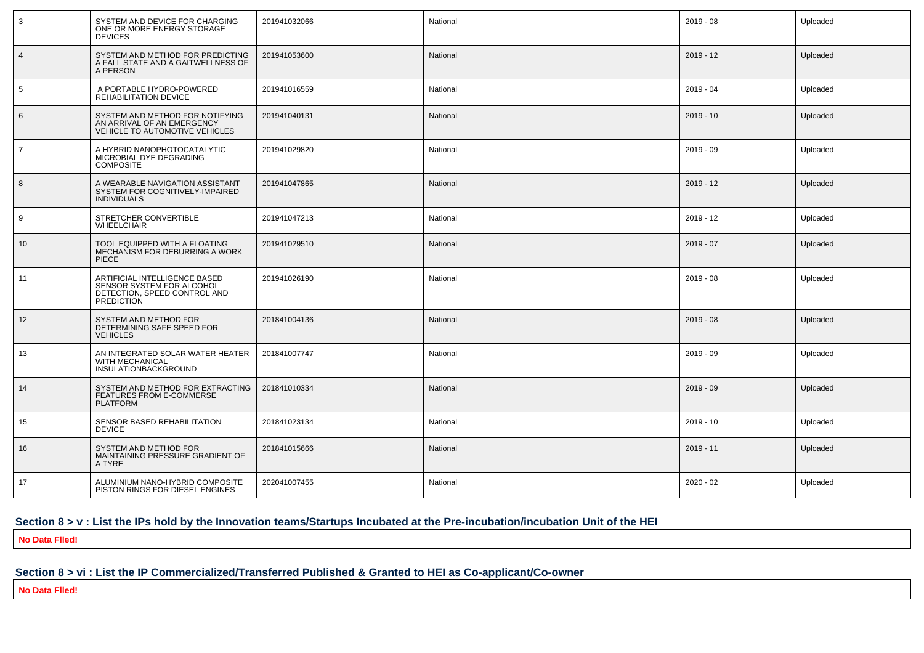| 3               | SYSTEM AND DEVICE FOR CHARGING<br>ONE OR MORE ENERGY STORAGE<br><b>DEVICES</b>                                  | 201941032066 | National | $2019 - 08$ | Uploaded |
|-----------------|-----------------------------------------------------------------------------------------------------------------|--------------|----------|-------------|----------|
| $\overline{4}$  | SYSTEM AND METHOD FOR PREDICTING<br>A FALL STATE AND A GAITWELLNESS OF<br>A PERSON                              | 201941053600 | National | $2019 - 12$ | Uploaded |
| $5\phantom{.0}$ | A PORTABLE HYDRO-POWERED<br>REHABILITATION DEVICE                                                               | 201941016559 | National | $2019 - 04$ | Uploaded |
| 6               | SYSTEM AND METHOD FOR NOTIFYING<br>AN ARRIVAL OF AN EMERGENCY<br>VEHICLE TO AUTOMOTIVE VEHICLES                 | 201941040131 | National | $2019 - 10$ | Uploaded |
| $\overline{7}$  | A HYBRID NANOPHOTOCATALYTIC<br>MICROBIAL DYE DEGRADING<br><b>COMPOSITE</b>                                      | 201941029820 | National | $2019 - 09$ | Uploaded |
| 8               | A WEARABLE NAVIGATION ASSISTANT<br>SYSTEM FOR COGNITIVELY-IMPAIRED<br><b>INDIVIDUALS</b>                        | 201941047865 | National | $2019 - 12$ | Uploaded |
| 9               | STRETCHER CONVERTIBLE<br><b>WHEELCHAIR</b>                                                                      | 201941047213 | National | $2019 - 12$ | Uploaded |
| 10              | TOOL EQUIPPED WITH A FLOATING<br>MECHANISM FOR DEBURRING A WORK<br><b>PIECE</b>                                 | 201941029510 | National | $2019 - 07$ | Uploaded |
| 11              | ARTIFICIAL INTELLIGENCE BASED<br>SENSOR SYSTEM FOR ALCOHOL<br>DETECTION, SPEED CONTROL AND<br><b>PREDICTION</b> | 201941026190 | National | $2019 - 08$ | Uploaded |
| 12              | SYSTEM AND METHOD FOR<br>DETERMINING SAFE SPEED FOR<br><b>VEHICLES</b>                                          | 201841004136 | National | $2019 - 08$ | Uploaded |
| 13              | AN INTEGRATED SOLAR WATER HEATER<br>WITH MECHANICAL<br>INSULATIONBACKGROUND                                     | 201841007747 | National | $2019 - 09$ | Uploaded |
| 14              | SYSTEM AND METHOD FOR EXTRACTING<br>FEATURES FROM E-COMMERSE<br><b>PLATFORM</b>                                 | 201841010334 | National | $2019 - 09$ | Uploaded |
| 15              | SENSOR BASED REHABILITATION<br><b>DEVICE</b>                                                                    | 201841023134 | National | $2019 - 10$ | Uploaded |
| 16              | SYSTEM AND METHOD FOR<br>MAINTAINING PRESSURE GRADIENT OF<br>A TYRE                                             | 201841015666 | National | $2019 - 11$ | Uploaded |
| 17              | ALUMINIUM NANO-HYBRID COMPOSITE<br>PISTON RINGS FOR DIESEL ENGINES                                              | 202041007455 | National | $2020 - 02$ | Uploaded |

# **Section 8 > v : List the IPs hold by the Innovation teams/Startups Incubated at the Pre-incubation/incubation Unit of the HEI**

**No Data Flled!**

# **Section 8 > vi : List the IP Commercialized/Transferred Published & Granted to HEI as Co-applicant/Co-owner**

**No Data Flled!**